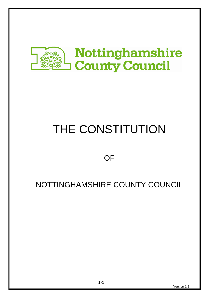

# THE CONSTITUTION

# **OF**

# NOTTINGHAMSHIRE COUNTY COUNCIL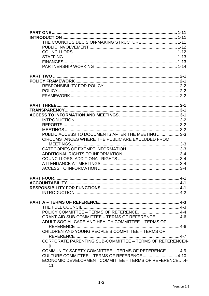| THE COUNCIL'S DECISION-MAKING STRUCTURE 1-11                  |  |
|---------------------------------------------------------------|--|
|                                                               |  |
|                                                               |  |
|                                                               |  |
|                                                               |  |
|                                                               |  |
|                                                               |  |
|                                                               |  |
|                                                               |  |
|                                                               |  |
|                                                               |  |
|                                                               |  |
|                                                               |  |
|                                                               |  |
|                                                               |  |
|                                                               |  |
|                                                               |  |
| PUBLIC ACCESS TO DOCUMENTS AFTER THE MEETING  3-3             |  |
| CIRCUMSTANCES WHERE THE PUBLIC ARE EXCLUDED FROM              |  |
|                                                               |  |
|                                                               |  |
|                                                               |  |
|                                                               |  |
|                                                               |  |
|                                                               |  |
|                                                               |  |
|                                                               |  |
|                                                               |  |
|                                                               |  |
|                                                               |  |
|                                                               |  |
|                                                               |  |
| GRANT AID SUB-COMMITTEE - TERMS OF REFERENCE 4-6              |  |
| ADULT SOCIAL CARE AND HEALTH COMMITTEE - TERMS OF             |  |
|                                                               |  |
| CHILDREN AND YOUNG PEOPLE'S COMMITTEE - TERMS OF              |  |
|                                                               |  |
| CORPORATE PARENTING SUB-COMMITTEE - TERMS OF REFERENCE4-<br>9 |  |
| COMMUNITY SAFETY COMMITTEE - TERMS OF REFERENCE  4-9          |  |
|                                                               |  |
| ECONOMIC DEVELOPMENT COMMITTEE - TERMS OF REFERENCE4-<br>11   |  |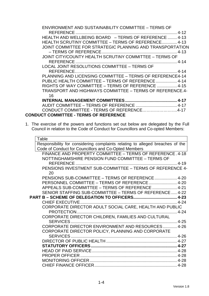| ENVIRONMENT AND SUSTAINABILITY COMMITTEE - TERMS OF       |
|-----------------------------------------------------------|
|                                                           |
| HEALTH AND WELLBEING BOARD - TERMS OF REFERENCE  4-13     |
| HEALTH SCRUTINY COMMITTEE – TERMS OF REFERENCE 4-13       |
| JOINT COMMITTEE FOR STRATEGIC PLANNING AND TRANSPORTATION |
|                                                           |
| JOINT CITY/COUNTY HEALTH SCRUTINY COMMITTEE – TERMS OF    |
|                                                           |
| LOCAL JOINT RESOLUTIONS COMMITTEE - TERMS OF              |
|                                                           |
| PLANNING AND LICENSING COMMITTEE - TERMS OF REFERENCE4-14 |
| PUBLIC HEALTH COMMITTEE - TERMS OF REFERENCE 4-14         |
| RIGHTS OF WAY COMMITTEE – TERMS OF REFERENCE  4-15        |
| TRANSPORT AND HIGHWAYS COMMITTEE - TERMS OF REFERENCE.4-  |
| 16                                                        |
|                                                           |
|                                                           |
| CONDUCT COMMITTEE - TERMS OF REFERENCE4-17                |
| <b>CONDUCT COMMITTEE - TERMS OF REFERENCE</b>             |

1. The exercise of the powers and functions set out below are delegated by the Full Council in relation to the Code of Conduct for Councillors and Co-opted Members:

| Table                                                                         |  |
|-------------------------------------------------------------------------------|--|
| Responsibility for considering complaints relating to alleged breaches of the |  |
| Code of Conduct for Councillors and Co-Opted Members                          |  |
| FINANCE AND PROPERTY COMMITTEE - TERMS OF REFERENCE. 4-18                     |  |
| NOTTINGHAMSHIRE PENSION FUND COMMITTEE - TERMS OF                             |  |
|                                                                               |  |
| PENSIONS INVESTMENT SUB-COMMITTEE - TERMS OF REFERENCE 4-                     |  |
| 20                                                                            |  |
| PENSIONS SUB-COMMITTEE - TERMS OF REFERENCE  4-20                             |  |
|                                                                               |  |
| APPEALS SUB-COMMITTEE - TERMS OF REFERENCE  4-21                              |  |
| SENIOR STAFFING SUB-COMMITTEE - TERMS OF REFERENCE  4-22                      |  |
|                                                                               |  |
|                                                                               |  |
| CORPORATE DIRECTOR ADULT SOCIAL CARE, HEALTH AND PUBLIC                       |  |
|                                                                               |  |
| CORPORATE DIRECTOR CHILDREN, FAMILIES AND CULTURAL                            |  |
|                                                                               |  |
| <b>CORPORATE DIRECTOR ENVIRONMENT AND RESOURCES 4-26</b>                      |  |
| CORPORATE DIRECTOR POLICY, PLANNING AND CORPORATE                             |  |
|                                                                               |  |
|                                                                               |  |
|                                                                               |  |
|                                                                               |  |
|                                                                               |  |
|                                                                               |  |
|                                                                               |  |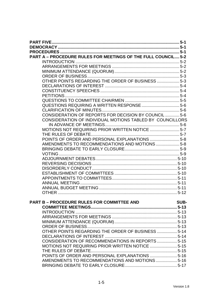| PART A - PROCEDURE RULES FOR MEETINGS OF THE FULL COUNCIL 5-2 |      |
|---------------------------------------------------------------|------|
|                                                               |      |
|                                                               |      |
|                                                               |      |
|                                                               |      |
| OTHER POINTS REGARDING THE ORDER OF BUSINESS  5-3             |      |
|                                                               |      |
|                                                               |      |
|                                                               |      |
|                                                               |      |
|                                                               |      |
|                                                               |      |
| CONSIDERATION OF REPORTS FOR DECISION BY COUNCIL  5-6         |      |
| CONSIDERATION OF INDIVIDUAL MOTIONS TABLED BY COUNCILLORS     |      |
|                                                               |      |
| MOTIONS NOT REQUIRING PRIOR WRITTEN NOTICE  5-7               |      |
|                                                               |      |
| POINTS OF ORDER AND PERSONAL EXPLANATIONS  5-8                |      |
| AMENDMENTS TO RECOMMENDATIONS AND MOTIONS 5-8                 |      |
|                                                               |      |
|                                                               |      |
|                                                               |      |
|                                                               |      |
|                                                               |      |
|                                                               |      |
|                                                               |      |
|                                                               |      |
|                                                               |      |
|                                                               |      |
|                                                               |      |
| <b>PART B - PROCEDURE RULES FOR COMMITTEE AND</b>             | SUB- |
|                                                               |      |
|                                                               |      |
|                                                               |      |
|                                                               |      |
|                                                               |      |
| OTHER POINTS REGARDING THE ORDER OF BUSINESS  5-14            |      |
|                                                               |      |
| CONSIDERATION OF RECOMMENDATIONS IN REPORTS  5-15             |      |
|                                                               |      |
| MOTIONS NOT REQUIRING PRIOR WRITTEN NOTICE  5-15              |      |
|                                                               |      |
| POINTS OF ORDER AND PERSONAL EXPLANATIONS  5-16               |      |
| AMENDMENTS TO RECOMMENDATIONS AND MOTIONS 5-16                |      |
|                                                               |      |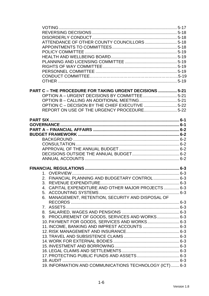| ATTENDANCE OF OTHER COUNTY COUNCILLORS  5-18             |  |
|----------------------------------------------------------|--|
|                                                          |  |
|                                                          |  |
|                                                          |  |
|                                                          |  |
|                                                          |  |
|                                                          |  |
|                                                          |  |
|                                                          |  |
|                                                          |  |
| PART C - THE PROCEDURE FOR TAKING URGENT DECISIONS  5-21 |  |
|                                                          |  |
|                                                          |  |
| OPTION C - DECISION BY THE CHIEF EXECUTIVE 5-22          |  |
|                                                          |  |
|                                                          |  |
|                                                          |  |
|                                                          |  |
|                                                          |  |
|                                                          |  |
|                                                          |  |
|                                                          |  |
|                                                          |  |
|                                                          |  |
|                                                          |  |
|                                                          |  |
|                                                          |  |
| 2. FINANCIAL PLANNING AND BUDGETARY CONTROL 6-3          |  |
|                                                          |  |
| 4. CAPITAL EXPENDITURE AND OTHER MAJOR PROJECTS  6-3     |  |
|                                                          |  |
| 6. MANAGEMENT, RETENTION, SECURITY AND DISPOSAL OF       |  |
|                                                          |  |
|                                                          |  |
|                                                          |  |
| 9. PROCUREMENT OF GOODS, SERVICES AND WORKS 6-3          |  |
| 10. PAYMENT FOR GOODS, SERVICES AND WORKS 6-3            |  |
| 11. INCOME, BANKING AND IMPREST ACCOUNTS  6-3            |  |
|                                                          |  |
|                                                          |  |
|                                                          |  |
|                                                          |  |
|                                                          |  |
|                                                          |  |
|                                                          |  |
| 19. INFORMATION AND COMMUNICATIONS TECHNOLOGY (ICT)  6-3 |  |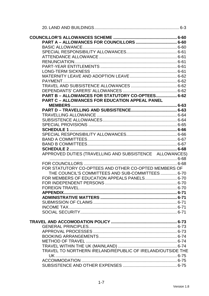| PART B - ALLOWANCES FOR STATUTORY CO-OPTEES 6-62           |  |
|------------------------------------------------------------|--|
| <b>PART C - ALLOWANCES FOR EDUCATION APPEAL PANEL</b>      |  |
|                                                            |  |
|                                                            |  |
|                                                            |  |
|                                                            |  |
|                                                            |  |
|                                                            |  |
|                                                            |  |
|                                                            |  |
|                                                            |  |
|                                                            |  |
| APPROVED DUTIES (TRAVELLING AND SUBSISTENCE ALLOWANCES)    |  |
|                                                            |  |
|                                                            |  |
| FOR STATUTORY CO-OPTEES AND OTHER CO-OPTED MEMBERS OF      |  |
| THE COUNCIL'S COMMITTEES AND SUB-COMMITTEES 6-70           |  |
| FOR MEMBERS OF EDUCATION APPEALS PANELS 6-70               |  |
|                                                            |  |
|                                                            |  |
|                                                            |  |
|                                                            |  |
|                                                            |  |
|                                                            |  |
|                                                            |  |
|                                                            |  |
|                                                            |  |
|                                                            |  |
|                                                            |  |
|                                                            |  |
|                                                            |  |
|                                                            |  |
| TRAVEL TO NORTHERN IRELAND/REPUBLIC OF IRELAND/OUTSIDE THE |  |
|                                                            |  |
|                                                            |  |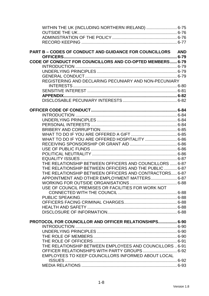| WITHIN THE UK (INCLUDING NORTHERN IRELAND)  6-75           |  |
|------------------------------------------------------------|--|
|                                                            |  |
|                                                            |  |
|                                                            |  |
| PART B - CODES OF CONDUCT AND GUIDANCE FOR COUNCILLORS AND |  |
|                                                            |  |
| CODE OF CONDUCT FOR COUNCILLORS AND CO-OPTED MEMBERS 6-79  |  |
|                                                            |  |
|                                                            |  |
| REGISTERING AND DECLARING PECUNIARY AND NON-PECUNIARY      |  |
|                                                            |  |
|                                                            |  |
|                                                            |  |
|                                                            |  |
|                                                            |  |
|                                                            |  |
|                                                            |  |
|                                                            |  |
|                                                            |  |
|                                                            |  |
|                                                            |  |
|                                                            |  |
|                                                            |  |
|                                                            |  |
|                                                            |  |
| THE RELATIONSHIP BETWEEN OFFICERS AND COUNCILLORS  6-87    |  |
| THE RELATIONSHIP BETWEEN OFFICERS AND THE PUBLIC  6-87     |  |
| THE RELATIONSHIP BETWEEN OFFICERS AND CONTRACTORS 6-87     |  |
| APPOINTMENT AND OTHER EMPLOYMENT MATTERS 6-87              |  |
|                                                            |  |
| USE OF COUNCIL PREMISES OR FACILITIES FOR WORK NOT         |  |
|                                                            |  |
|                                                            |  |
|                                                            |  |
|                                                            |  |
|                                                            |  |
| PROTOCOL FOR COUNCILLOR AND OFFICER RELATIONSHIPS 6-90     |  |
|                                                            |  |
|                                                            |  |
|                                                            |  |
|                                                            |  |
| THE RELATIONSHIP BETWEEN EMPLOYEES AND COUNCILLORS  6-91   |  |
| OFFICER RELATIONSHIPS WITH PARTY GROUPS 6-92               |  |
| EMPLOYEES TO KEEP COUNCILLORS INFORMED ABOUT LOCAL         |  |
|                                                            |  |
|                                                            |  |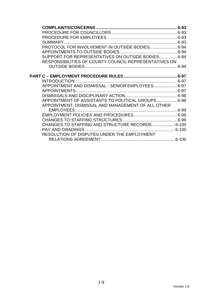| PROTOCOL FOR INVOLVEMENT IN OUTSIDE BODIES 6-94       |  |
|-------------------------------------------------------|--|
|                                                       |  |
| SUPPORT FOR REPRESENTATIVES ON OUTSIDE BODIES 6-94    |  |
| RESPONSIBILITIES OF COUNTY COUNCIL REPRESENTATIVES ON |  |
|                                                       |  |
|                                                       |  |
|                                                       |  |
|                                                       |  |
| APPOINTMENT AND DISMISSAL - SENIOR EMPLOYEES 6-97     |  |
|                                                       |  |
|                                                       |  |
| APPOINTMENT OF ASSISTANTS TO POLITICAL GROUPS 6-98    |  |
| APPOINTMENT, DISMISSAL AND MANAGEMENT OF ALL OTHER    |  |
|                                                       |  |
|                                                       |  |
|                                                       |  |
| CHANGES TO STAFFING AND STRUCTURE RECORDS 6-100       |  |
|                                                       |  |
| RESOLUTION OF DISPUTES UNDER THE EMPLOYMENT           |  |
|                                                       |  |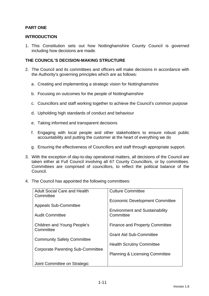# **PART ONE**

# **INTRODUCTION**

1. This Constitution sets out how Nottinghamshire County Council is governed including how decisions are made.

# **THE COUNCIL'S DECISION-MAKING STRUCTURE**

- 2. The Council and its committees and officers will make decisions in accordance with the Authority's governing principles which are as follows:
	- a. Creating and implementing a strategic vision for Nottinghamshire
	- b. Focusing on outcomes for the people of Nottinghamshire
	- c. Councillors and staff working together to achieve the Council's common purpose
	- d. Upholding high standards of conduct and behaviour
	- e. Taking informed and transparent decisions
	- f. Engaging with local people and other stakeholders to ensure robust public accountability and putting the customer at the heart of everything we do
	- g. Ensuring the effectiveness of Councillors and staff through appropriate support.
- 3. With the exception of day-to-day operational matters, all decisions of the Council are taken either at Full Council involving all 67 County Councillors, or by committees. Committees are comprised of councillors, to reflect the political balance of the Council.
- 4. The Council has appointed the following committees:

| <b>Adult Social Care and Health</b><br>Committee | <b>Culture Committee</b>                  |
|--------------------------------------------------|-------------------------------------------|
|                                                  | <b>Economic Development Committee</b>     |
| <b>Appeals Sub-Committee</b>                     | <b>Environment and Sustainability</b>     |
| <b>Audit Committee</b>                           | Committee                                 |
| <b>Children and Young People's</b><br>Committee  | <b>Finance and Property Committee</b>     |
|                                                  | <b>Grant Aid Sub-Committee</b>            |
| <b>Community Safety Committee</b>                | <b>Health Scrutiny Committee</b>          |
| Corporate Parenting Sub-Committee                | <b>Planning &amp; Licensing Committee</b> |
|                                                  |                                           |
| Joint Committee on Strategic                     |                                           |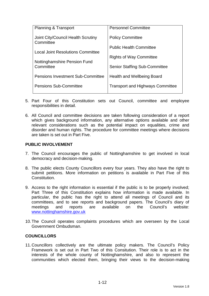| <b>Planning &amp; Transport</b>                 | <b>Personnel Committee</b>              |
|-------------------------------------------------|-----------------------------------------|
| Joint City/Council Health Scrutiny<br>Committee | <b>Policy Committee</b>                 |
|                                                 | <b>Public Health Committee</b>          |
| <b>Local Joint Resolutions Committee</b>        | <b>Rights of Way Committee</b>          |
| Nottinghamshire Pension Fund<br>Committee       | <b>Senior Staffing Sub-Committee</b>    |
| <b>Pensions Investment Sub-Committee</b>        | Health and Wellbeing Board              |
| <b>Pensions Sub-Committee</b>                   | <b>Transport and Highways Committee</b> |

- 5. Part Four of this Constitution sets out Council, committee and employee responsibilities in detail.
- 6. All Council and committee decisions are taken following consideration of a report which gives background information, any alternative options available and other relevant considerations such as the potential impact on equalities, crime and disorder and human rights. The procedure for committee meetings where decisions are taken is set out in Part Five.

# **PUBLIC INVOLVEMENT**

- 7. The Council encourages the public of Nottinghamshire to get involved in local democracy and decision-making.
- 8. The public elects County Councillors every four years. They also have the right to submit petitions. More information on petitions is available in Part Five of this Constitution.
- 9. Access to the right information is essential if the public is to be properly involved; Part Three of this Constitution explains how information is made available. In particular, the public has the right to attend all meetings of Council and its committees, and to see reports and background papers. The Council's diary of meetings and reports are available on the Council's website: www.nottinghamshire.gov.uk
- 10. The Council operates complaints procedures which are overseen by the Local Government Ombudsman.

#### **COUNCILLORS**

11. Councillors collectively are the ultimate policy makers. The Council's Policy Framework is set out in Part Two of this Consitution. Their role is to act in the interests of the whole county of Nottinghamshire, and also to represent the communities which elected them, bringing their views to the decision-making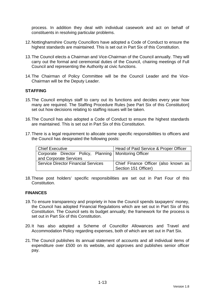process. In addition they deal with individual casework and act on behalf of constituents in resolving particular problems.

- 12. Nottinghamshire County Councillors have adopted a Code of Conduct to ensure the highest standards are maintained. This is set out in Part Six of this Constitution.
- 13. The Council elects a Chairman and Vice-Chairman of the Council annually. They will carry out the formal and ceremonial duties of the Council, chairing meetings of Full Council and representing the Authority at civic functions.
- 14. The Chairman of Policy Committee will be the Council Leader and the Vice-Chairman will be the Deputy Leader.

# **STAFFING**

- 15. The Council employs staff to carry out its functions and decides every year how many are required. The Staffing Procedure Rules [see Part Six of this Constitution] set out how decisions relating to staffing issues will be taken.
- 16. The Council has also adopted a Code of Conduct to ensure the highest standards are maintained. This is set out in Part Six of this Constitution.
- 17. There is a legal requirement to allocate some specific responsibilities to officers and the Council has designated the following posts:

| <b>Chief Executive</b>                                   | Head of Paid Service & Proper Officer |
|----------------------------------------------------------|---------------------------------------|
| Corporate Director Policy, Planning   Monitoring Officer |                                       |
| and Corporate Services                                   |                                       |
| <b>Service Director Financial Services</b>               | Chief Finance Officer (also known as  |
|                                                          | Section 151 Officer)                  |

18. These post holders' specific responsibilities are set out in Part Four of this Constitution.

#### **FINANCES**

- 19. To ensure transparency and propriety in how the Council spends taxpayers' money, the Council has adopted Financial Regulations which are set out in Part Six of this Constitution. The Council sets its budget annually; the framework for the process is set out in Part Six of this Constitution.
- 20. It has also adopted a Scheme of Councillor Allowances and Travel and Accommodation Policy regarding expenses, both of which are set out in Part Six.
- 21. The Council publishes its annual statement of accounts and all individual items of expenditure over £500 on its website, and approves and publishes senior officer pay.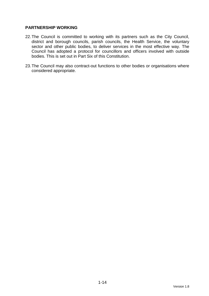# **PARTNERSHIP WORKING**

- 22. The Council is committed to working with its partners such as the City Council, district and borough councils, parish councils, the Health Service, the voluntary sector and other public bodies, to deliver services in the most effective way. The Council has adopted a protocol for councillors and officers involved with outside bodies. This is set out in Part Six of this Constitution.
- 23. The Council may also contract-out functions to other bodies or organisations where considered appropriate.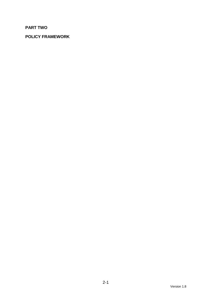# **PART TWO**

# **POLICY FRAMEWORK**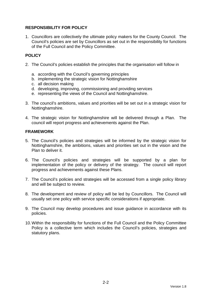# **RESPONSIBILITY FOR POLICY**

1. Councillors are collectively the ultimate policy makers for the County Council. The Council's policies are set by Councillors as set out in the responsibility for functions of the Full Council and the Policy Committee.

# **POLICY**

- 2. The Council's policies establish the principles that the organisation will follow in
	- a. according with the Council's governing principles
	- b. implementing the strategic vision for Nottinghamshire
	- c. all decision making
	- d. developing, improving, commissioning and providing services
	- e. representing the views of the Council and Nottinghamshire.
- 3. The council's ambitions, values and priorities will be set out in a strategic vision for Nottinghamshire.
- 4. The strategic vision for Nottinghamshire will be delivered through a Plan. The council will report progress and achievements against the Plan.

# **FRAMEWORK**

- 5. The Council's policies and strategies will be informed by the strategic vision for Nottinghamshire, the ambitions, values and priorities set out in the vision and the Plan to deliver it.
- 6. The Council's policies and strategies will be supported by a plan for implementation of the policy or delivery of the strategy. The council will report progress and achievements against these Plans.
- 7. The Council's policies and strategies will be accessed from a single policy library and will be subject to review.
- 8. The development and review of policy will be led by Councillors. The Council will usually set one policy with service specific considerations if appropriate.
- 9. The Council may develop procedures and issue guidance in accordance with its policies.
- 10. Within the responsibility for functions of the Full Council and the Policy Committee Policy is a collective term which includes the Council's policies, strategies and statutory plans.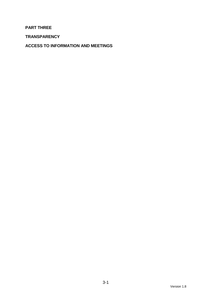# **PART THREE**

**TRANSPARENCY** 

**ACCESS TO INFORMATION AND MEETINGS**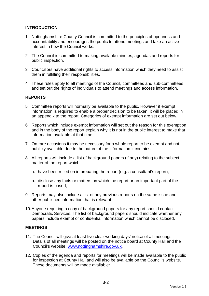# **INTRODUCTION**

- 1. Nottinghamshire County Council is committed to the principles of openness and accountability and encourages the public to attend meetings and take an active interest in how the Council works.
- 2. The Council is committed to making available minutes, agendas and reports for public inspection.
- 3. Councillors have additional rights to access information which they need to assist them in fulfilling their responsibilities.
- 4. These rules apply to all meetings of the Council, committees and sub-committees and set out the rights of individuals to attend meetings and access information.

# **REPORTS**

- 5. Committee reports will normally be available to the public. However if exempt information is required to enable a proper decision to be taken, it will be placed in an appendix to the report. Categories of exempt information are set out below.
- 6. Reports which include exempt information will set out the reason for this exemption and in the body of the report explain why it is not in the public interest to make that information available at that time.
- 7. On rare occasions it may be necessary for a whole report to be exempt and not publicly available due to the nature of the information it contains.
- 8. All reports will include a list of background papers (if any) relating to the subject matter of the report which:
	- a. have been relied on in preparing the report (e.g. a consultant's report);
	- b. disclose any facts or matters on which the report or an important part of the report is based;
- 9. Reports may also include a list of any previous reports on the same issue and other published information that is relevant
- 10. Anyone requiring a copy of background papers for any report should contact Democratic Services. The list of background papers should indicate whether any papers include exempt or confidential information which cannot be disclosed.

#### **MEETINGS**

- 11. The Council will give at least five clear working days' notice of all meetings. Details of all meetings will be posted on the notice board at County Hall and the Council's website: www.nottinghamshire.gov.uk.
- 12. Copies of the agenda and reports for meetings will be made available to the public for inspection at County Hall and will also be available on the Council's website. These documents will be made available: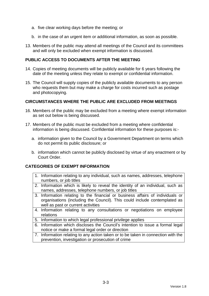- a. five clear working days before the meeting; or
- b. in the case of an urgent item or additional information, as soon as possible.
- 13. Members of the public may attend all meetings of the Council and its committees and will only be excluded when exempt information is discussed.

# **PUBLIC ACCESS TO DOCUMENTS AFTER THE MEETING**

- 14. Copies of meeting documents will be publicly available for 6 years following the date of the meeting unless they relate to exempt or confidential information.
- 15. The Council will supply copies of the publicly available documents to any person who requests them but may make a charge for costs incurred such as postage and photocopying.

#### **CIRCUMSTANCES WHERE THE PUBLIC ARE EXCLUDED FROM MEETINGS**

- 16. Members of the public may be excluded from a meeting where exempt information as set out below is being discussed.
- 17. Members of the public must be excluded from a meeting where confidential information is being discussed. Confidential information for these purposes is:
	- a. information given to the Council by a Government Department on terms which do not permit its public disclosure; or
	- b. information which cannot be publicly disclosed by virtue of any enactment or by Court Order.

#### **CATEGORIES OF EXEMPT INFORMATION**

- 1. Information relating to any individual, such as names, addresses, telephone numbers, or job titles
- 2. Information which is likely to reveal the identity of an individual, such as names, addresses, telephone numbers, or job titles
- 3. Information relating to the financial or business affairs of individuals or organisations (including the Council). This could include contemplated as well as past or current activities
- 4. Information relating to any consultations or negotiations on employee relations
- 5. Information to which legal professional privilege applies
- 6. Information which discloses the Council's intention to issue a formal legal notice or make a formal legal order or direction
- 7. Information relating to any action taken or to be taken in connection with the prevention, investigation or prosecution of crime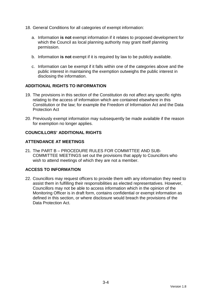- 18. General Conditions for all categories of exempt information:
	- a. Information **is not** exempt information if it relates to proposed development for which the Council as local planning authority may grant itself planning permission.
	- b. Information **is not** exempt if it is required by law to be publicly available.
	- c. Information can be exempt if it falls within one of the categories above and the public interest in maintaining the exemption outweighs the public interest in disclosing the information.

# **ADDITIONAL RIGHTS TO INFORMATION**

- 19. The provisions in this section of the Constitution do not affect any specific rights relating to the access of information which are contained elsewhere in this Constitution or the law; for example the Freedom of Information Act and the Data Protection Act
- 20. Previously exempt information may subsequently be made available if the reason for exemption no longer applies.

# **COUNCILLORS' ADDITIONAL RIGHTS**

# **ATTENDANCE AT MEETINGS**

21. The PART B – PROCEDURE RULES FOR COMMITTEE AND SUB-COMMITTEE MEETINGS set out the provisions that apply to Councillors who wish to attend meetings of which they are not a member.

# **ACCESS TO INFORMATION**

22. Councillors may request officers to provide them with any information they need to assist them in fulfilling their responsibilities as elected representatives. However, Councillors may not be able to access information which in the opinion of the Monitoring Officer is in draft form, contains confidential or exempt information as defined in this section, or where disclosure would breach the provisions of the Data Protection Act.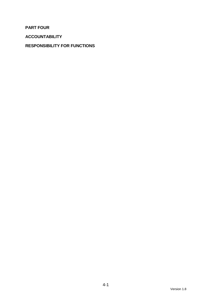**PART FOUR** 

**ACCOUNTABILITY** 

# **RESPONSIBILITY FOR FUNCTIONS**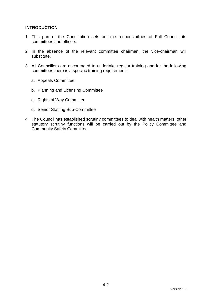# **INTRODUCTION**

- 1. This part of the Constitution sets out the responsibilities of Full Council, its committees and officers.
- 2. In the absence of the relevant committee chairman, the vice-chairman will substitute.
- 3. All Councillors are encouraged to undertake regular training and for the following committees there is a specific training requirement:
	- a. Appeals Committee
	- b. Planning and Licensing Committee
	- c. Rights of Way Committee
	- d. Senior Staffing Sub-Committee
- 4. The Council has established scrutiny committees to deal with health matters; other statutory scrutiny functions will be carried out by the Policy Committee and Community Safety Committee.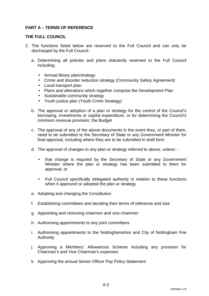# **PART A – TERMS OF REFERENCE**

### **THE FULL COUNCIL**

- 2. The functions listed below are reserved to the Full Council and can only be discharged by the Full Council:
	- a. Determining all policies and plans statutorily reserved to the Full Council including:
		- Annual library plan/strategy
		- Crime and disorder reduction strategy (Community Safety Agreement)
		- Local transport plan
		- Plans and alterations which together comprise the Development Plan
		- Sustainable community strategy
		- Youth justice plan (Youth Crime Strategy)
	- b. The approval or adoption of a plan or strategy for the control of the Council's borrowing, investments or capital expenditure, or for determining the Council's minimum revenue provision; the Budget
	- c. The approval of any of the above documents in the event they, or part of them, need to be submitted to the Secretary of State or any Government Minister for final approval, including where they are to be submitted in draft form
	- d. The approval of changes to any plan or strategy referred to above, unless:
		- that change is required by the Secretary of State or any Government Minister where the plan or strategy has been submitted to them for approval, or
		- Full Council specifically delegated authority in relation to these functions when it approved or adopted the plan or strategy
	- e. Adopting and changing the Constitution
	- f. Establishing committees and deciding their terms of reference and size
	- g. Appointing and removing chairmen and vice-chairmen
	- h. Authorising appointments to any joint committees
	- i. Authorising appointments to the Nottinghamshire and City of Nottingham Fire Authority
	- j. Approving a Members' Allowances Scheme including any provision for Chairman's and Vice Chairman's expenses
	- k. Approving the annual Senior Officer Pay Policy Statement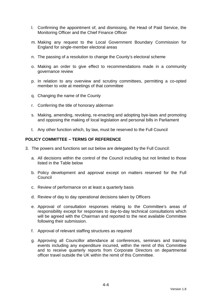- l. Confirming the appointment of, and dismissing, the Head of Paid Service, the Monitoring Officer and the Chief Finance Officer
- m. Making any request to the Local Government Boundary Commission for England for single-member electoral areas
- n. The passing of a resolution to change the County's electoral scheme
- o. Making an order to give effect to recommendations made in a community governance review
- p. In relation to any overview and scrutiny committees, permitting a co-opted member to vote at meetings of that committee
- q. Changing the name of the County
- r. Conferring the title of honorary alderman
- s. Making, amending, revoking, re-enacting and adopting bye-laws and promoting and opposing the making of local legislation and personal bills in Parliament
- t. Any other function which, by law, must be reserved to the Full Council

#### **POLICY COMMITTEE – TERMS OF REFERENCE**

- 3. The powers and functions set out below are delegated by the Full Council:
	- a. All decisions within the control of the Council including but not limited to those listed in the Table below
	- b. Policy development and approval except on matters reserved for the Full Council
	- c. Review of performance on at least a quarterly basis
	- d. Review of day to day operational decisions taken by Officers
	- e. Approval of consultation responses relating to the Committee's areas of responsibility except for responses to day-to-day technical consultations which will be agreed with the Chairman and reported to the next available Committee following their submission.
	- f. Approval of relevant staffing structures as required
	- g. Approving all Councillor attendance at conferences, seminars and training events including any expenditure incurred, within the remit of this Committee and to receive quarterly reports from Corporate Directors on departmental officer travel outside the UK within the remit of this Committee.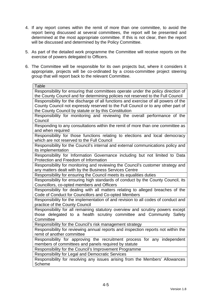- 4. If any report comes within the remit of more than one committee, to avoid the report being discussed at several committees, the report will be presented and determined at the most appropriate committee. If this is not clear, then the report will be discussed and determined by the Policy Committee.
- 5. As part of the detailed work programme the Committee will receive reports on the exercise of powers delegated to Officers.
- 6. The Committee will be responsible for its own projects but, where it considers it appropriate, projects will be co-ordinated by a cross-committee project steering group that will report back to the relevant Committee.

| <b>Table</b>                                                                        |
|-------------------------------------------------------------------------------------|
| Responsibility for ensuring that committees operate under the policy direction of   |
| the County Council and for determining policies not reserved to the Full Council    |
| Responsibility for the discharge of all functions and exercise of all powers of the |
| County Council not expressly reserved to the Full Council or to any other part of   |
| the County Council by statute or by this Constitution                               |
| Responsibility for monitoring and reviewing the overall performance of the          |
| Council                                                                             |
| Responding to any consultations within the remit of more than one committee as      |
| and when required                                                                   |
| Responsibility for those functions relating to elections and local democracy        |
| which are not reserved to the Full Council                                          |
| Responsibility for the Council's internal and external communications policy and    |
| its implementation                                                                  |
| Responsibility for Information Governance including but not limited to Data         |
| Protection and Freedom of Information                                               |
| Responsibility for monitoring and reviewing the Council's customer strategy and     |
| any matters dealt with by the Business Services Centre                              |
| Responsibility for ensuring the Council meets its equalities duties                 |
| Responsibility for ensuring high standards of conduct by the County Council, its    |
| Councillors, co-opted members and Officers                                          |
| Responsibility for dealing with all matters relating to alleged breaches of the     |
| Code of Conduct for Councillors and Co-opted Members                                |
| Responsibility for the implementation of and revision to all codes of conduct and   |
| practice of the County Council                                                      |
| Responsibility for all remaining statutory overview and scrutiny powers except      |
| those delegated to a health scrutiny committee and Community Safety                 |
| Committee                                                                           |
| Responsibility for the Council's risk management strategy                           |
| Responsibility for reviewing annual reports and inspection reports not within the   |
| remit of another committee                                                          |
| Responsibility for approving the recruitment process for any independent            |
| members of committees and panels required by statute                                |
| Responsibility for the Council's Improvement Programme                              |
| Responsibility for Legal and Democratic Services                                    |
| Responsibility for resolving any issues arising from the Members' Allowances        |
| <b>Scheme</b>                                                                       |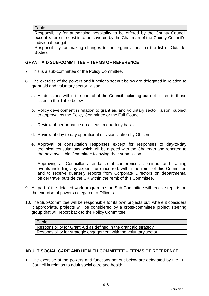**Table** 

Responsibility for authorising hospitality to be offered by the County Council except where the cost is to be covered by the Chairman of the County Council's individual budget

Responsibility for making changes to the organsiations on the list of Outside Bodies

# **GRANT AID SUB-COMMITTEE – TERMS OF REFERENCE**

- 7. This is a sub-committee of the Policy Committee.
- 8. The exercise of the powers and functions set out below are delegated in relation to grant aid and voluntary sector liaison:
	- a. All decisions within the control of the Council including but not limited to those listed in the Table below
	- b. Policy development in relation to grant aid and voluntary sector liaison, subject to approval by the Policy Committee or the Full Council
	- c. Review of performance on at least a quarterly basis
	- d. Review of day to day operational decisions taken by Officers
	- e. Approval of consultation responses except for responses to day-to-day technical consultations which will be agreed with the Chairman and reported to the next available Committee following their submission.
	- f. Approving all Councillor attendance at conferences, seminars and training events including any expenditure incurred, within the remit of this Committee and to receive quarterly reports from Corporate Directors on departmental officer travel outside the UK within the remit of this Committee.
- 9. As part of the detailed work programme the Sub-Committee will receive reports on the exercise of powers delegated to Officers.
- 10. The Sub-Committee will be responsible for its own projects but, where it considers it appropriate, projects will be considered by a cross-committee project steering group that will report back to the Policy Committee.

Table Responsibility for Grant Aid as defined in the grant aid strategy Responsibility for strategic engagement with the voluntary sector

#### **ADULT SOCIAL CARE AND HEALTH COMMITTEE – TERMS OF REFERENCE**

11. The exercise of the powers and functions set out below are delegated by the Full Council in relation to adult social care and health: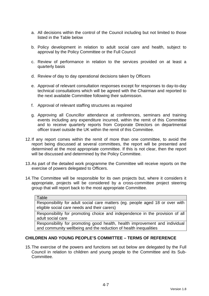- a. All decisions within the control of the Council including but not limited to those listed in the Table below
- b. Policy development in relation to adult social care and health, subject to approval by the Policy Committee or the Full Council
- c. Review of performance in relation to the services provided on at least a quarterly basis
- d. Review of day to day operational decisions taken by Officers
- e. Approval of relevant consultation responses except for responses to day-to-day technical consultations which will be agreed with the Chairman and reported to the next available Committee following their submission.
- f. Approval of relevant staffing structures as required
- g. Approving all Councillor attendance at conferences, seminars and training events including any expenditure incurred, within the remit of this Committee and to receive quarterly reports from Corporate Directors on departmental officer travel outside the UK within the remit of this Committee.
- 12. If any report comes within the remit of more than one committee, to avoid the report being discussed at several committees, the report will be presented and determined at the most appropriate committee. If this is not clear, then the report will be discussed and determined by the Policy Committee.
- 13. As part of the detailed work programme the Committee will receive reports on the exercise of powers delegated to Officers.
- 14. The Committee will be responsible for its own projects but, where it considers it appropriate, projects will be considered by a cross-committee project steering group that will report back to the most appropriate Committee.

#### Table

Responsibility for adult social care matters (eg. people aged 18 or over with eligible social care needs and their carers)

Responsibility for promoting choice and independence in the provision of all adult social care

Responsibility for promoting good health, health improvement and individual and community wellbeing and the reduction of health inequalities

#### **CHILDREN AND YOUNG PEOPLE'S COMMITTEE – TERMS OF REFERENCE**

15. The exercise of the powers and functions set out below are delegated by the Full Council in relation to children and young people to the Committee and its Sub-Committee.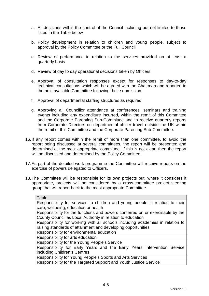- a. All decisions within the control of the Council including but not limited to those listed in the Table below
- b. Policy development in relation to children and young people, subject to approval by the Policy Committee or the Full Council
- c. Review of performance in relation to the services provided on at least a quarterly basis
- d. Review of day to day operational decisions taken by Officers
- e. Approval of consultation responses except for responses to day-to-day technical consultations which will be agreed with the Chairman and reported to the next available Committee following their submission.
- f. Approval of departmental staffing structures as required
- g. Approving all Councillor attendance at conferences, seminars and training events including any expenditure incurred, within the remit of this Committee and the Corporate Parenting Sub-Committee and to receive quarterly reports from Corporate Directors on departmental officer travel outside the UK within the remit of this Committee and the Corporate Parenting Sub-Committee.
- 16. If any report comes within the remit of more than one committee, to avoid the report being discussed at several committees, the report will be presented and determined at the most appropriate committee. If this is not clear, then the report will be discussed and determined by the Policy Committee.
- 17. As part of the detailed work programme the Committee will receive reports on the exercise of powers delegated to Officers.
- 18. The Committee will be responsible for its own projects but, where it considers it appropriate, projects will be considered by a cross-committee project steering group that will report back to the most appropriate Committee.

| Table                                                                          |
|--------------------------------------------------------------------------------|
| Responsibility for services to children and young people in relation to their  |
| care, wellbeing, education or health                                           |
| Responsibility for the functions and powers conferred on or exercisable by the |
| County Council as Local Authority in relation to education                     |
| Responsibility for working with all schools including academies in relation to |
| raising standards of attainment and developing opportunities                   |
| Responsibility for environmental education                                     |
| Responsibility for arts education                                              |
| Responsibility for the Young People's Service                                  |
| Responsibility for Early Years and the Early Years Intervention Service        |
| including Children's Centres                                                   |
| Responsibility for Young People's Sports and Arts Services                     |
| Responsibility for the Targeted Support and Youth Justice Service              |
|                                                                                |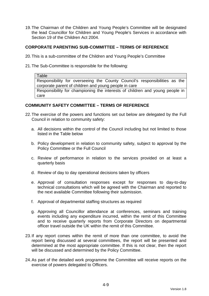19. The Chairman of the Children and Young People's Committee will be designated the lead Councillor for Children and Young People's Services in accordance with Section 19 of the Children Act 2004.

### **CORPORATE PARENTING SUB-COMMITTEE – TERMS OF REFERENCE**

- 20. This is a sub-committee of the Children and Young People's Committee
- 21. The Sub-Committee is responsible for the following:

Table Responsibility for overseeing the County Council's responsibilities as the corporate parent of children and young people in care Responsibility for championing the interests of children and young people in care

#### **COMMUNITY SAFETY COMMITTEE – TERMS OF REFERENCE**

- 22. The exercise of the powers and functions set out below are delegated by the Full Council in relation to community safety:
	- a. All decisions within the control of the Council including but not limited to those listed in the Table below
	- b. Policy development in relation to community safety, subject to approval by the Policy Committee or the Full Council
	- c. Review of performance in relation to the services provided on at least a quarterly basis
	- d. Review of day to day operational decisions taken by officers
	- e. Approval of consultation responses except for responses to day-to-day technical consultations which will be agreed with the Chairman and reported to the next available Committee following their submission.
	- f. Approval of departmental staffing structures as required
	- g. Approving all Councillor attendance at conferences, seminars and training events including any expenditure incurred, within the remit of this Committee and to receive quarterly reports from Corporate Directors on departmental officer travel outside the UK within the remit of this Committee.
- 23. If any report comes within the remit of more than one committee, to avoid the report being discussed at several committees, the report will be presented and determined at the most appropriate committee. If this is not clear, then the report will be discussed and determined by the Policy Committee.
- 24. As part of the detailed work programme the Committee will receive reports on the exercise of powers delegated to Officers.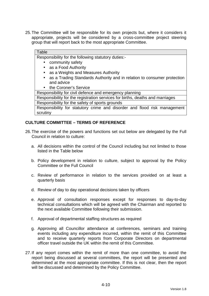25. The Committee will be responsible for its own projects but, where it considers it appropriate, projects will be considered by a cross-committee project steering group that will report back to the most appropriate Committee.

# **Table**

Responsibility for the following statutory duties:-

- community safety
- as a Food Authority
- as a Weights and Measures Authority
- as a Trading Standards Authority and in relation to consumer protection and advice
- the Coroner's Service

Responsibility for civil defence and emergency planning

Responsibility for the registration services for births, deaths and marriages Responsibility for the safety of sports grounds

Responsibility for statutory crime and disorder and flood risk management scrutiny

# **CULTURE COMMITTEE – TERMS OF REFERENCE**

- 26. The exercise of the powers and functions set out below are delegated by the Full Council in relation to culture:
	- a. All decisions within the control of the Council including but not limited to those listed in the Table below
	- b. Policy development in relation to culture, subject to approval by the Policy Committee or the Full Council
	- c. Review of performance in relation to the services provided on at least a quarterly basis
	- d. Review of day to day operational decisions taken by officers
	- e. Approval of consultation responses except for responses to day-to-day technical consultations which will be agreed with the Chairman and reported to the next available Committee following their submission.
	- f. Approval of departmental staffing structures as required
	- g. Approving all Councillor attendance at conferences, seminars and training events including any expenditure incurred, within the remit of this Committee and to receive quarterly reports from Corporate Directors on departmental officer travel outside the UK within the remit of this Committee.
- 27. If any report comes within the remit of more than one committee, to avoid the report being discussed at several committees, the report will be presented and determined at the most appropriate committee. If this is not clear, then the report will be discussed and determined by the Policy Committee.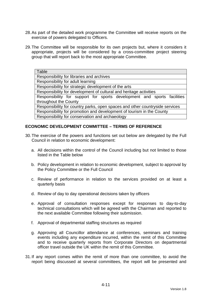- 28. As part of the detailed work programme the Committee will receive reports on the exercise of powers delegated to Officers.
- 29. The Committee will be responsible for its own projects but, where it considers it appropriate, projects will be considered by a cross-committee project steering group that will report back to the most appropriate Committee.

| Table                                                                        |
|------------------------------------------------------------------------------|
| Responsibility for libraries and archives                                    |
| Responsibility for adult learning                                            |
| Responsibility for strategic development of the arts                         |
| Responsibility for development of cultural and heritage activities           |
| Responsibility for support for sports development and sports facilities      |
| throughout the County                                                        |
| Responsibility for country parks, open spaces and other countryside services |
| Responsibility for promotion and development of tourism in the County        |
| Responsibility for conservation and archaeology                              |

# **ECONOMIC DEVELOPMENT COMMITTEE – TERMS OF REFERENCE**

- 30. The exercise of the powers and functions set out below are delegated by the Full Council in relation to economic development:
	- a. All decisions within the control of the Council including but not limited to those listed in the Table below
	- b. Policy development in relation to economic development, subject to approval by the Policy Committee or the Full Council
	- c. Review of performance in relation to the services provided on at least a quarterly basis
	- d. Review of day to day operational decisions taken by officers
	- e. Approval of consultation responses except for responses to day-to-day technical consultations which will be agreed with the Chairman and reported to the next available Committee following their submission.
	- f. Approval of departmental staffing structures as required
	- g. Approving all Councillor attendance at conferences, seminars and training events including any expenditure incurred, within the remit of this Committee and to receive quarterly reports from Corporate Directors on departmental officer travel outside the UK within the remit of this Committee.
- 31. If any report comes within the remit of more than one committee, to avoid the report being discussed at several committees, the report will be presented and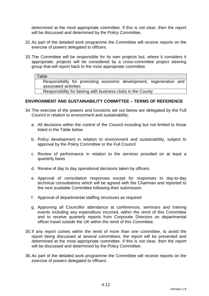determined at the most appropriate committee. If this is not clear, then the report will be discussed and determined by the Policy Committee.

- 32. As part of the detailed work programme the Committee will receive reports on the exercise of powers delegated to officers.
- 33. The Committee will be responsible for its own projects but, where it considers it appropriate, projects will be considered by a cross-committee project steering group that will report back to the most appropriate committee.

#### **Table**

Responsibility for promoting economic development, regeneration and associated activities

Responsibility for liaising with business clubs in the County

#### **ENVIRONMENT AND SUSTAINABILITY COMMITTEE – TERMS OF REFERENCE**

- 34. The exercise of the powers and functions set out below are delegated by the Full Council in relation to environment and sustainability:
	- a. All decisions within the control of the Council including but not limited to those listed in the Table below
	- b. Policy development in relation to environment and sustainability, subject to approval by the Policy Committee or the Full Council
	- c. Review of performance in relation to the services provided on at least a quarterly basis
	- d. Review of day to day operational decisions taken by officers
	- e. Approval of consultation responses except for responses to day-to-day technical consultations which will be agreed with the Chairman and reported to the next available Committee following their submission.
	- f. Approval of departmental staffing structures as required
	- g. Approving all Councillor attendance at conferences, seminars and training events including any expenditure incurred, within the remit of this Committee and to receive quarterly reports from Corporate Directors on departmental officer travel outside the UK within the remit of this Committee.
- 35. If any report comes within the remit of more than one committee, to avoid the report being discussed at several committees, the report will be presented and determined at the most appropriate committee. If this is not clear, then the report will be discussed and determined by the Policy Committee.
- 36. As part of the detailed work programme the Committee will receive reports on the exercise of powers delegated to officers.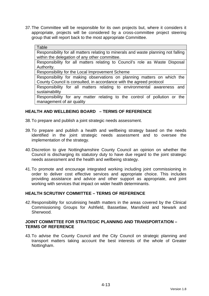37. The Committee will be responsible for its own projects but, where it considers it appropriate, projects will be considered by a cross-committee project steering group that will report back to the most appropriate Committee.

#### Table

Responsibility for all matters relating to minerals and waste planning not falling within the delegation of any other committee.

Responsibility for all matters relating to Council's role as Waste Disposal Authority.

Responsibility for the Local Improvement Scheme

Responsibility for making observations on planning matters on which the County Council is consulted, in accordance with the agreed protocol

Responsibility for all matters relating to environmental awareness and sustainability

Responsibility for any matter relating to the control of pollution or the management of air quality

#### **HEALTH AND WELLBEING BOARD – TERMS OF REFERENCE**

38. To prepare and publish a joint strategic needs assessment.

- 39. To prepare and publish a health and wellbeing strategy based on the needs identified in the joint strategic needs assessment and to oversee the implementation of the strategy.
- 40. Discretion to give Nottinghamshire County Council an opinion on whether the Council is discharging its statutory duty to have due regard to the joint strategic needs assessment and the health and wellbeing strategy.
- 41. To promote and encourage integrated working including joint commissioning in order to deliver cost effective services and appropriate choice. This includes providing assistance and advice and other support as appropriate, and joint working with services that impact on wider health determinants.

#### **HEALTH SCRUTINY COMMITTEE – TERMS OF REFERENCE**

42. Responsibility for scrutinising health matters in the areas covered by the Clinical Commissioning Groups for Ashfield, Bassetlaw, Mansfield and Newark and Sherwood.

#### **JOINT COMMITTEE FOR STRATEGIC PLANNING AND TRANSPORTATION – TERMS OF REFERENCE**

43. To advise the County Council and the City Council on strategic planning and transport matters taking account the best interests of the whole of Greater Nottingham.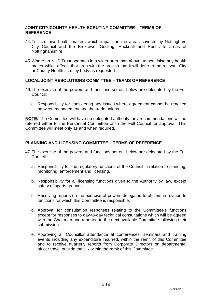#### **JOINT CITY/COUNTY HEALTH SCRUTINY COMMITTEE – TERMS OF REFERENCE**

- 44. To scrutinise health matters which impact on the areas covered by Nottingham City Council and the Broxtowe, Gedling, Hucknall and Rushcliffe areas of Nottinghamshire.
- 45. Where an NHS Trust operates in a wider area than above, to scrutinise any health matter which affects that area with the proviso that it will defer to the relevant City or County Health scrutiny body as requested.

# **LOCAL JOINT RESOLUTIONS COMMITTEE – TERMS OF REFERENCE**

- 46. The exercise of the powers and functions set out below are delegated by the Full Council:
	- a. Responsibility for considering any issues where agreement cannot be reached between management and the trade unions.

**NOTE:** The Committee will have no delegated authority; any recommendations will be referred either to the Personnel Committee or to the Full Council for approval. This Committee will meet only as and when required.

# **PLANNING AND LICENSING COMMITTEE – TERMS OF REFERENCE**

- 47. The exercise of the powers and functions set out below are delegated by the Full Council:
	- a. Responsibility for the regulatory functions of the Council in relation to planning, monitoring, enforcement and licensing.
	- b. Responsibility for all licensing functions given to the Authority by law, except safety of sports grounds.
	- c. Receiving reports on the exercise of powers delegated to officers in relation to functions for which this Committee is responsible.
	- d. Approval for consultation responses relating to the Committee's functions except for responses to day-to-day technical consultations which will be agreed with the Chairman and reported to the next available Committee following their submission.
	- e. Approving all Councillor attendance at conferences, seminars and training events including any expenditure incurred, within the remit of this Committee and to receive quarterly reports from Corporate Directors on departmental officer travel outside the UK within the remit of this Committee.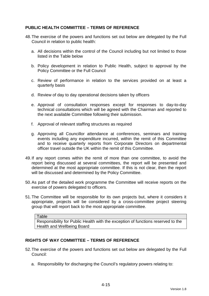# **PUBLIC HEALTH COMMITTEE – TERMS OF REFERENCE**

- 48. The exercise of the powers and functions set out below are delegated by the Full Council in relation to public health:
	- a. All decisions within the control of the Council including but not limited to those listed in the Table below
	- b. Policy development in relation to Public Health, subject to approval by the Policy Committee or the Full Council
	- c. Review of performance in relation to the services provided on at least a quarterly basis
	- d. Review of day to day operational decisions taken by officers
	- e. Approval of consultation responses except for responses to day-to-day technical consultations which will be agreed with the Chairman and reported to the next available Committee following their submission.
	- f. Approval of relevant staffing structures as required
	- g. Approving all Councillor attendance at conferences, seminars and training events including any expenditure incurred, within the remit of this Committee and to receive quarterly reports from Corporate Directors on departmental officer travel outside the UK within the remit of this Committee.
- 49. If any report comes within the remit of more than one committee, to avoid the report being discussed at several committees, the report will be presented and determined at the most appropriate committee. If this is not clear, then the report will be discussed and determined by the Policy Committee.
- 50. As part of the detailed work programme the Committee will receive reports on the exercise of powers delegated to officers.
- 51. The Committee will be responsible for its own projects but, where it considers it appropriate, projects will be considered by a cross-committee project steering group that will report back to the most appropriate committee.

**Table** 

Responsibility for Public Health with the exception of functions reserved to the Health and Wellbeing Board

### **RIGHTS OF WAY COMMITTEE – TERMS OF REFERENCE**

- 52. The exercise of the powers and functions set out below are delegated by the Full Council:
	- a. Responsibility for discharging the Council's regulatory powers relating to: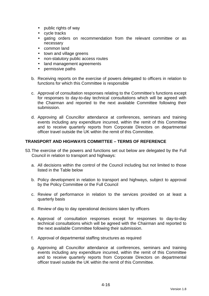- public rights of way
- cycle tracks
- gating orders on recommendation from the relevant committee or as necessary
- common land
- town and village greens
- non-statutory public access routes
- land management agreements
- permissive paths
- b. Receiving reports on the exercise of powers delegated to officers in relation to functions for which this Committee is responsible
- c. Approval of consultation responses relating to the Committee's functions except for responses to day-to-day technical consultations which will be agreed with the Chairman and reported to the next available Committee following their submission.
- d. Approving all Councillor attendance at conferences, seminars and training events including any expenditure incurred, within the remit of this Committee and to receive quarterly reports from Corporate Directors on departmental officer travel outside the UK within the remit of this Committee.

# **TRANSPORT AND HIGHWAYS COMMITTEE – TERMS OF REFERENCE**

- 53. The exercise of the powers and functions set out below are delegated by the Full Council in relation to transport and highways:
	- a. All decisions within the control of the Council including but not limited to those listed in the Table below
	- b. Policy development in relation to transport and highways, subject to approval by the Policy Committee or the Full Council
	- c. Review of performance in relation to the services provided on at least a quarterly basis
	- d. Review of day to day operational decisions taken by officers
	- e. Approval of consultation responses except for responses to day-to-day technical consultations which will be agreed with the Chairman and reported to the next available Committee following their submission.
	- f. Approval of departmental staffing structures as required
	- g. Approving all Councillor attendance at conferences, seminars and training events including any expenditure incurred, within the remit of this Committee and to receive quarterly reports from Corporate Directors on departmental officer travel outside the UK within the remit of this Committee.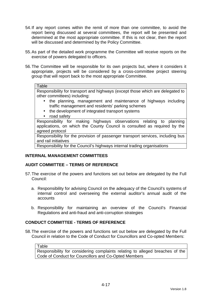- 54. If any report comes within the remit of more than one committee, to avoid the report being discussed at several committees, the report will be presented and determined at the most appropriate committee. If this is not clear, then the report will be discussed and determined by the Policy Committee.
- 55. As part of the detailed work programme the Committee will receive reports on the exercise of powers delegated to officers.
- 56. The Committee will be responsible for its own projects but, where it considers it appropriate, projects will be considered by a cross-committee project steering group that will report back to the most appropriate Committee.

#### **Table**

Responsibility for transport and highways (except those which are delegated to other committees) including:

- the planning, management and maintenance of highways including traffic management and residents' parking schemes
- the development of integrated transport systems
- road safety

Responsibility for making highways observations relating to planning applications, on which the County Council is consulted as required by the agreed protocol

Responsibility for the provision of passenger transport services, including bus and rail initiatives

Responsibility for the Council's highways internal trading organisations

## **INTERNAL MANAGEMENT COMMITTEES**

## **AUDIT COMMITTEE – TERMS OF REFERENCE**

- 57. The exercise of the powers and functions set out below are delegated by the Full Council:
	- a. Responsibility for advising Council on the adequacy of the Council's systems of internal control and overseeing the external auditor's annual audit of the accounts
	- b. Responsibility for maintaining an overview of the Council's Financial Regulations and anti-fraud and anti-corruption strategies

## **CONDUCT COMMITTEE - TERMS OF REFERENCE**

58. The exercise of the powers and functions set out below are delegated by the Full Council in relation to the Code of Conduct for Councillors and Co-opted Members:

**Table** 

Responsibility for considering complaints relating to alleged breaches of the Code of Conduct for Councillors and Co-Opted Members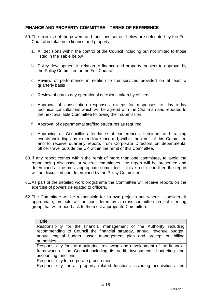## **FINANCE AND PROPERTY COMMITTEE – TERMS OF REFERENCE**

- 59. The exercise of the powers and functions set out below are delegated by the Full Council in relation to finance and property:
	- a. All decisions within the control of the Council including but not limited to those listed in the Table below
	- b. Policy development in relation to finance and property, subject to approval by the Policy Committee or the Full Council
	- c. Review of performance in relation to the services provided on at least a quarterly basis
	- d. Review of day to day operational decisions taken by officers
	- e. Approval of consultation responses except for responses to day-to-day technical consultations which will be agreed with the Chairman and reported to the next available Committee following their submission.
	- f. Approval of departmental staffing structures as required
	- g. Approving all Councillor attendance at conferences, seminars and training events including any expenditure incurred, within the remit of this Committee and to receive quarterly reports from Corporate Directors on departmental officer travel outside the UK within the remit of this Committee.
- 60. If any report comes within the remit of more than one committee, to avoid the report being discussed at several committees, the report will be presented and determined at the most appropriate committee. If this is not clear, then the report will be discussed and determined by the Policy Committee.
- 61. As part of the detailed work programme the Committee will receive reports on the exercise of powers delegated to officers.
- 62. The Committee will be responsible for its own projects but, where it considers it appropriate, projects will be considered by a cross-committee project steering group that will report back to the most appropriate Committee.

| Table                                                                                                                                            |
|--------------------------------------------------------------------------------------------------------------------------------------------------|
| Responsibility for the financial management of the Authority including<br>recommending to Council the financial strategy, annual revenue budget, |
| annual capital budget, asset management plan and precept on billing<br>authorities                                                               |
| Responsibility for the monitoring, reviewing and development of the financial                                                                    |
| framework of the Council including its audit, investments, budgeting and                                                                         |
| accounting functions                                                                                                                             |

Responsibility for corporate procurement

Responsibility for all property related functions including acquisitions and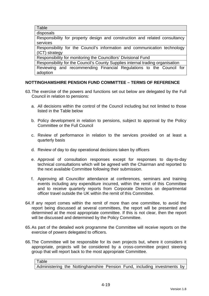**Table** 

disposals

Responsibility for property design and construction and related consultancy services

Responsibility for the Council's information and communication technology (ICT) strategy

Responsibility for monitoring the Councillors' Divisional Fund

Responsibility for the Council's County Supplies internal trading organisation

Reviewing and recommending Financial Regulations to the Council for adoption

# **NOTTINGHAMSHIRE PENSION FUND COMMITTEE – TERMS OF REFERENCE**

- 63. The exercise of the powers and functions set out below are delegated by the Full Council in relation to pensions:
	- a. All decisions within the control of the Council including but not limited to those listed in the Table below
	- b. Policy development in relation to pensions, subject to approval by the Policy Committee or the Full Council
	- c. Review of performance in relation to the services provided on at least a quarterly basis
	- d. Review of day to day operational decisions taken by officers
	- e. Approval of consultation responses except for responses to day-to-day technical consultations which will be agreed with the Chairman and reported to the next available Committee following their submission.
	- f. Approving all Councillor attendance at conferences, seminars and training events including any expenditure incurred, within the remit of this Committee and to receive quarterly reports from Corporate Directors on departmental officer travel outside the UK within the remit of this Committee.
- 64. If any report comes within the remit of more than one committee, to avoid the report being discussed at several committees, the report will be presented and determined at the most appropriate committee. If this is not clear, then the report will be discussed and determined by the Policy Committee.
- 65. As part of the detailed work programme the Committee will receive reports on the exercise of powers delegated to officers.
- 66. The Committee will be responsible for its own projects but, where it considers it appropriate, projects will be considered by a cross-committee project steering group that will report back to the most appropriate Committee.

Table Administering the Nottinghamshire Pension Fund, including investments by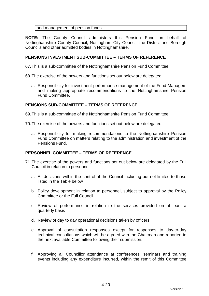## and management of pension funds

**NOTE:** The County Council administers this Pension Fund on behalf of Nottinghamshire County Council, Nottingham City Council, the District and Borough Councils and other admitted bodies in Nottinghamshire.

## **PENSIONS INVESTMENT SUB-COMMITTEE – TERMS OF REFERENCE**

67. This is a sub-committee of the Nottinghamshire Pension Fund Committee

68. The exercise of the powers and functions set out below are delegated:

a. Responsibility for investment performance management of the Fund Managers and making appropriate recommendations to the Nottinghamshire Pension Fund Committee.

## **PENSIONS SUB-COMMITTEE – TERMS OF REFERENCE**

69. This is a sub-committee of the Nottinghamshire Pension Fund Committee

70. The exercise of the powers and functions set out below are delegated:

a. Responsibility for making recommendations to the Nottinghamshire Pension Fund Committee on matters relating to the administration and investment of the Pensions Fund.

## **PERSONNEL COMMITTEE – TERMS OF REFERENCE**

- 71. The exercise of the powers and functions set out below are delegated by the Full Council in relation to personnel:
	- a. All decisions within the control of the Council including but not limited to those listed in the Table below
	- b. Policy development in relation to personnel, subject to approval by the Policy Committee or the Full Council
	- c. Review of performance in relation to the services provided on at least a quarterly basis
	- d. Review of day to day operational decisions taken by officers
	- e. Approval of consultation responses except for responses to day-to-day technical consultations which will be agreed with the Chairman and reported to the next available Committee following their submission.
	- f. Approving all Councillor attendance at conferences, seminars and training events including any expenditure incurred, within the remit of this Committee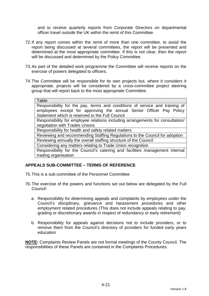and to receive quarterly reports from Corporate Directors on departmental officer travel outside the UK within the remit of this Committee.

- 72. If any report comes within the remit of more than one committee, to avoid the report being discussed at several committees, the report will be presented and determined at the most appropriate committee. If this is not clear, then the report will be discussed and determined by the Policy Committee.
- 73. As part of the detailed work programme the Committee will receive reports on the exercise of powers delegated to officers.
- 74. The Committee will be responsible for its own projects but, where it considers it appropriate, projects will be considered by a cross-committee project steering group that will report back to the most appropriate Committee.

# **APPEALS SUB-COMMITTEE – TERMS OF REFERENCE**

- 75. This is a sub-committee of the Personnel Committee
- 76. The exercise of the powers and functions set out below are delegated by the Full Council:
	- a. Responsibility for determining appeals and complaints by employees under the Council's disciplinary, grievance and harassment procedures and other employment related procedures (This does not include appeals relating to pay, grading or discretionary awards in respect of redundancy or early retirement)
	- b. Responsibility for appeals against decisions not to include providers, or to remove them from the Council's directory of providers for funded early years education

**NOTE:** Complaints Review Panels are not formal meetings of the County Council. The responsibilities of these Panels are contained in the Complaints Procedures.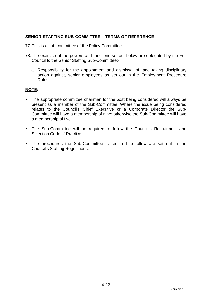## **SENIOR STAFFING SUB-COMMITTEE – TERMS OF REFERENCE**

77. This is a sub-committee of the Policy Committee.

- 78. The exercise of the powers and functions set out below are delegated by the Full Council to the Senior Staffing Sub-Committee:
	- a. Responsibility for the appointment and dismissal of, and taking disciplinary action against, senior employees as set out in the Employment Procedure Rules

## **NOTE:-**

- The appropriate committee chairman for the post being considered will always be present as a member of the Sub-Committee. Where the issue being considered relates to the Council's Chief Executive or a Corporate Director the Sub-Committee will have a membership of nine; otherwise the Sub-Committee will have a membership of five.
- The Sub-Committee will be required to follow the Council's Recruitment and Selection Code of Practice.
- The procedures the Sub-Committee is required to follow are set out in the Council's Staffing Regulations.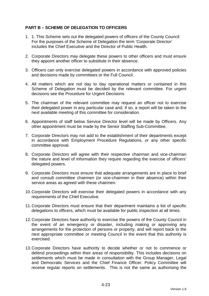# **PART B – SCHEME OF DELEGATION TO OFFICERS**

- 1. 1. This Scheme sets out the delegated powers of officers of the County Council. For the purposes of the Scheme of Delegation the term 'Corporate Director' includes the Chief Executive and the Director of Public Health.
- 2. Corporate Directors may delegate these powers to other officers and must ensure they appoint another officer to substitute in their absence.
- 3. Officers can only exercise delegated powers in accordance with approved policies and decisions made by committees or the Full Council.
- 4. All matters which are not day to day operational matters or contained in this Scheme of Delegation must be decided by the relevant committee. For urgent decisions see the Procedure for Urgent Decisions.
- 5. The chairman of the relevant committee may request an officer not to exercise their delegated power in any particular case and, if so, a report will be taken to the next available meeting of this committee for consideration.
- 6. Appointments of staff below Service Director level will be made by Officers. Any other appointment must be made by the Senior Staffing Sub-Committee.
- 7. Corporate Directors may not add to the establishment of their departments except in accordance with Employment Procedure Regulations, or any other specific committee approval.
- 8. Corporate Directors will agree with their respective chairman and vice-chairman the nature and level of information they require regarding the exercise of officers' delegated powers.
- 9. Corporate Directors must ensure that adequate arrangements are in place to brief and consult committee chairmen (or vice-chairmen in their absence) within their service areas as agreed with these chairmen.
- 10. Corporate Directors will exercise their delegated powers in accordance with any requirements of the Chief Executive.
- 11. Corporate Directors must ensure that their department maintains a list of specific delegations to officers, which must be available for public inspection at all times.
- 12. Corporate Directors have authority to exercise the powers of the County Council in the event of an emergency or disaster, including making or approving any arrangements for the protection of persons or property, and will report back to the next appropriate committee or meeting Council in the event that this authority is exercised.
- 13. Corporate Directors have authority to decide whether or not to commence or defend proceedings within their areas of responsibility. This includes decisions on settlements which must be made in consultation with the Group Manager, Legal and Democratic Services and the Chief Finance Officer. Policy Committee will receive regular reports on settlements. This is not the same as authorising the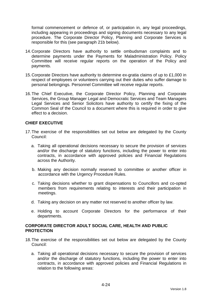formal commencement or defence of, or participation in, any legal proceedings, including appearing in proceedings and signing documents necessary to any legal procedure. The Corporate Director Policy, Planning and Corporate Services is responsible for this (see paragraph 21b below).

- 14. Corporate Directors have authority to settle ombudsman complaints and to determine payments under the Payments for Maladministration Policy. Policy Committee will receive regular reports on the operation of the Policy and payments.
- 15. Corporate Directors have authority to determine ex-gratia claims of up to £1,000 in respect of employees or volunteers carrying out their duties who suffer damage to personal belongings. Personnel Committee will receive regular reports.
- 16. The Chief Executive, the Corporate Director Policy, Planning and Corporate Services, the Group Manager Legal and Democratic Services and Team Managers Legal Services and Senior Solicitors have authority to certify the fixing of the Common Seal of the Council to a document where this is required in order to give effect to a decision.

## **CHIEF EXECUTIVE**

- 17. The exercise of the responsibilities set out below are delegated by the County Council:
	- a. Taking all operational decisions necessary to secure the provision of services and/or the discharge of statutory functions, including the power to enter into contracts, in accordance with approved policies and Financial Regulations across the Authority.
	- b. Making any decision normally reserved to committee or another officer in accordance with the Urgency Procedure Rules.
	- c. Taking decisions whether to grant dispensations to Councillors and co-opted members from requirements relating to interests and their participation in meetings.
	- d. Taking any decision on any matter not reserved to another officer by law.
	- e. Holding to account Corporate Directors for the performance of their departments.

## **CORPORATE DIRECTOR ADULT SOCIAL CARE, HEALTH AND PUBLIC PROTECTION**

- 18. The exercise of the responsibilities set out below are delegated by the County Council:
	- a. Taking all operational decisions necessary to secure the provision of services and/or the discharge of statutory functions, including the power to enter into contracts, in accordance with approved policies and Financial Regulations in relation to the following areas: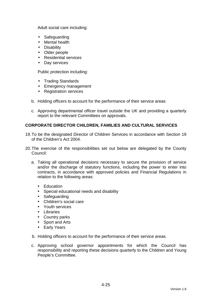Adult social care including:

- Safeguarding
- Mental health
- Disability
- Older people
- Residential services
- Day services

Public protection including:

- Trading Standards
- Emergency management
- Registration services
- b. Holding officers to account for the performance of their service areas
- c. Approving departmental officer travel outside the UK and providing a quarterly report to the relevant Committees on approvals.

## **CORPORATE DIRECTOR CHILDREN, FAMILIES AND CULTURAL SERVICES**

- 19. To be the designated Director of Children Services in accordance with Section 19 of the Children's Act 2004.
- 20. The exercise of the responsibilities set out below are delegated by the County Council:
	- a. Taking all operational decisions necessary to secure the provision of service and/or the discharge of statutory functions, including the power to enter into contracts, in accordance with approved policies and Financial Regulations in relation to the following areas:
		- Education
		- Special educational needs and disability
		- Safeguarding
		- Children's social care
		- Youth services
		- Libraries
		- Country parks
		- Sport and Arts
		- Early Years
	- b. Holding officers to account for the performance of their service areas.
	- c. Approving school governor appointments for which the Council has responsibility and reporting these decisions quarterly to the Children and Young People's Committee.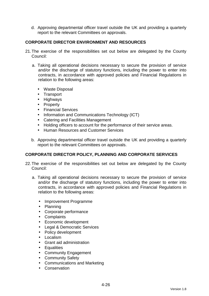d. Approving departmental officer travel outside the UK and providing a quarterly report to the relevant Committees on approvals.

# **CORPORATE DIRECTOR ENVIRONMENT AND RESOURCES**

- 21. The exercise of the responsibilities set out below are delegated by the County Council:
	- a. Taking all operational decisions necessary to secure the provision of service and/or the discharge of statutory functions, including the power to enter into contracts, in accordance with approved policies and Financial Regulations in relation to the following areas:
		- Waste Disposal
		- Transport
		- Highways
		- Property
		- Financial Services
		- Information and Communications Technology (ICT)
		- Catering and Facilities Management
		- Holding officers to account for the performance of their service areas.
		- Human Resources and Customer Services
	- b. Approving departmental officer travel outside the UK and providing a quarterly report to the relevant Committees on approvals.

## **CORPORATE DIRECTOR POLICY, PLANNING AND CORPORATE SERVICES**

- 22. The exercise of the responsibilities set out below are delegated by the County Council:
	- a. Taking all operational decisions necessary to secure the provision of service and/or the discharge of statutory functions, including the power to enter into contracts, in accordance with approved policies and Financial Regulations in relation to the following areas:
		- Improvement Programme
		- Planning
		- Corporate performance
		- Complaints
		- Economic development
		- Legal & Democratic Services
		- Policy development
		- Localism
		- Grant aid administration
		- Equalities
		- Community Engagement
		- Community Safety
		- Communications and Marketing
		- Conservation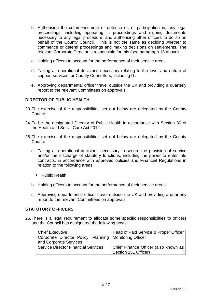- b. Authorising the commencement or defence of, or participation in, any legal proceedings, including appearing in proceedings and signing documents necessary to any legal procedure, and authorising other officers to do so on behalf of the County Council. This is not the same as deciding whether to commence or defend proceedings and making decisions on settlements. The relevant Corporate Director is responsible for this (see paragraph 13 above).
- c. Holding officers to account for the performance of their service areas.
- d. Taking all operational decisions necessary relating to the level and nature of support services for County Councillors, including IT.
- e. Approving departmental officer travel outside the UK and providing a quarterly report to the relevant Committees on approvals.

# **DIRECTOR OF PUBLIC HEALTH**

- 23. The exercise of the responsibilities set out below are delegated by the County Council:
- 24. To be the designated Director of Public Health in accordance with Section 30 of the Health and Social Care Act 2012.
- 25. The exercise of the responsibilities set out below are delegated by the County Council:
	- a. Taking all operational decisions necessary to secure the provision of service and/or the discharge of statutory functions, including the power to enter into contracts, in accordance with approved policies and Financial Regulations in relation to the following areas:
		- Public Health
	- b. Holding officers to account for the performance of their service areas.
	- c. Approving departmental officer travel outside the UK and providing a quarterly report to the relevant Committees on approvals.

## **STATUTORY OFFICERS**

26. There is a legal requirement to allocate some specific responsibilities to officers and the Council has designated the following posts:

| Chief Executive                                          | Head of Paid Service & Proper Officer |
|----------------------------------------------------------|---------------------------------------|
| Corporate Director Policy, Planning   Monitoring Officer |                                       |
| and Corporate Services                                   |                                       |
| <b>Service Director Financial Services</b>               | Chief Finance Officer (also known as  |
|                                                          | Section 151 Officer)                  |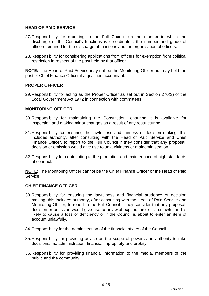## **HEAD OF PAID SERVICE**

- 27. Responsibility for reporting to the Full Council on the manner in which the discharge of the Council's functions is co-ordinated, the number and grade of officers required for the discharge of functions and the organisation of officers.
- 28. Responsibility for considering applications from officers for exemption from political restriction in respect of the post held by that officer.

**NOTE:** The Head of Paid Service may not be the Monitoring Officer but may hold the post of Chief Finance Officer if a qualified accountant.

## **PROPER OFFICER**

29. Responsibility for acting as the Proper Officer as set out in Section 270(3) of the Local Government Act 1972 in connection with committees.

#### **MONITORING OFFICER**

- 30. Responsibility for maintaining the Constitution, ensuring it is available for inspection and making minor changes as a result of any restructuring.
- 31. Responsibility for ensuring the lawfulness and fairness of decision making; this includes authority, after consulting with the Head of Paid Service and Chief Finance Officer, to report to the Full Council if they consider that any proposal, decision or omission would give rise to unlawfulness or maladministration.
- 32. Responsibility for contributing to the promotion and maintenance of high standards of conduct.

**NOTE:** The Monitoring Officer cannot be the Chief Finance Officer or the Head of Paid Service.

#### **CHIEF FINANCE OFFICER**

- 33. Responsibility for ensuring the lawfulness and financial prudence of decision making; this includes authority, after consulting with the Head of Paid Service and Monitoring Officer, to report to the Full Council if they consider that any proposal, decision or omission would give rise to unlawful expenditure, or is unlawful and is likely to cause a loss or deficiency or if the Council is about to enter an item of account unlawfully.
- 34. Responsibility for the administration of the financial affairs of the Council.
- 35. Responsibility for providing advice on the scope of powers and authority to take decisions, maladministration, financial impropriety and probity.
- 36. Responsibility for providing financial information to the media, members of the public and the community.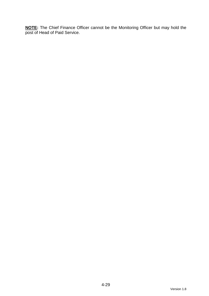**NOTE:** The Chief Finance Officer cannot be the Monitoring Officer but may hold the post of Head of Paid Service.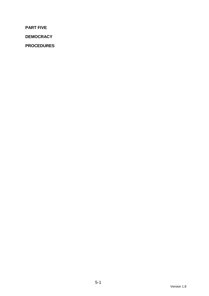**PART FIVE** 

**DEMOCRACY** 

**PROCEDURES**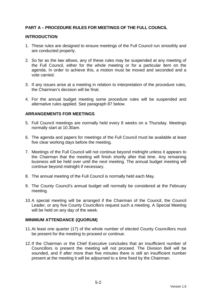# **PART A – PROCEDURE RULES FOR MEETINGS OF THE FULL COUNCIL**

#### **INTRODUCTION**

- 1. These rules are designed to ensure meetings of the Full Council run smoothly and are conducted properly.
- 2. So far as the law allows, any of these rules may be suspended at any meeting of the Full Council, either for the whole meeting or for a particular item on the agenda. In order to achieve this, a motion must be moved and seconded and a vote carried.
- 3. If any issues arise at a meeting in relation to interpretation of the procedure rules, the Chairman's decision will be final.
- 4. For the annual budget meeting some procedure rules will be suspended and alternative rules applied. See paragraph 87 below.

## **ARRANGEMENTS FOR MEETINGS**

- 5. Full Council meetings are normally held every 8 weeks on a Thursday. Meetings normally start at 10.30am.
- 6. The agenda and papers for meetings of the Full Council must be available at least five clear working days before the meeting.
- 7. Meetings of the Full Council will not continue beyond midnight unless it appears to the Chairman that the meeting will finish shortly after that time. Any remaining business will be held over until the next meeting. The annual budget meeting will continue beyond midnight if necessary.
- 8. The annual meeting of the Full Council is normally held each May.
- 9. The County Council's annual budget will normally be considered at the February meeting.
- 10. A special meeting will be arranged if the Chairman of the Council, the Council Leader, or any five County Councillors request such a meeting. A Special Meeting will be held on any day of the week.

#### **MINIMUM ATTENDANCE (QUORUM)**

- 11. At least one quarter (17) of the whole number of elected County Councillors must be present for the meeting to proceed or continue.
- 12. If the Chairman or the Chief Executive concludes that an insufficient number of Councillors is present the meeting will not proceed. The Division Bell will be sounded, and if after more than five minutes there is still an insufficient number present at the meeting it will be adjourned to a time fixed by the Chairman.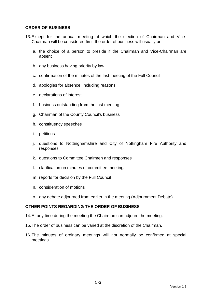## **ORDER OF BUSINESS**

- 13. Except for the annual meeting at which the election of Chairman and Vice-Chairman will be considered first, the order of business will usually be:
	- a. the choice of a person to preside if the Chairman and Vice-Chairman are absent
	- b. any business having priority by law
	- c. confirmation of the minutes of the last meeting of the Full Council
	- d. apologies for absence, including reasons
	- e. declarations of interest
	- f. business outstanding from the last meeting
	- g. Chairman of the County Council's business
	- h. constituency speeches
	- i. petitions
	- j. questions to Nottinghamshire and City of Nottingham Fire Authority and responses
	- k. questions to Committee Chairmen and responses
	- l. clarification on minutes of committee meetings
	- m. reports for decision by the Full Council
	- n. consideration of motions
	- o. any debate adjourned from earlier in the meeting (Adjournment Debate)

## **OTHER POINTS REGARDING THE ORDER OF BUSINESS**

- 14. At any time during the meeting the Chairman can adjourn the meeting.
- 15. The order of business can be varied at the discretion of the Chairman.
- 16. The minutes of ordinary meetings will not normally be confirmed at special meetings.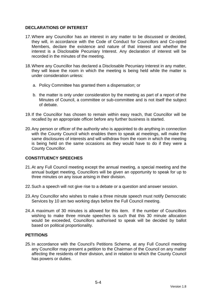## **DECLARATIONS OF INTEREST**

- 17. Where any Councillor has an interest in any matter to be discussed or decided, they will, in accordance with the Code of Conduct for Councillors and Co-opted Members, declare the existence and nature of that interest and whether the interest is a Disclosable Pecuniary Interest. Any declaration of interest will be recorded in the minutes of the meeting.
- 18. Where any Councillor has declared a Disclosable Pecuniary Interest in any matter, they will leave the room in which the meeting is being held while the matter is under consideration unless:
	- a. Policy Committee has granted them a dispensation; or
	- b. the matter is only under consideration by the meeting as part of a report of the Minutes of Council, a committee or sub-committee and is not itself the subject of debate.
- 19. If the Councillor has chosen to remain within easy reach, that Councillor will be recalled by an appropriate officer before any further business is started.
- 20. Any person or officer of the authority who is appointed to do anything in connection with the County Council which enables them to speak at meetings, will make the same disclosures of interests and will withdraw from the room in which the meeting is being held on the same occasions as they would have to do if they were a County Councillor.

# **CONSTITUENCY SPEECHES**

- 21. At any Full Council meeting except the annual meeting, a special meeting and the annual budget meeting, Councillors will be given an opportunity to speak for up to three minutes on any issue arising in their division.
- 22. Such a speech will not give rise to a debate or a question and answer session.
- 23. Any Councillor who wishes to make a three minute speech must notify Democratic Services by 10 am two working days before the Full Council meeting.
- 24. A maximum of 30 minutes is allowed for this item. If the number of Councillors wishing to make three minute speeches is such that this 30 minute allocation would be exceeded, Councillors authorised to speak will be decided by ballot based on political proportionality.

## **PETITIONS**

25. In accordance with the Council's Petitions Scheme, at any Full Council meeting any Councillor may present a petition to the Chairman of the Council on any matter affecting the residents of their division, and in relation to which the County Council has powers or duties.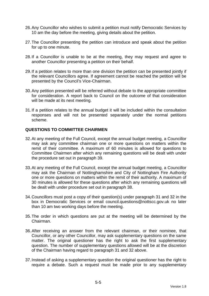- 26. Any Councillor who wishes to submit a petition must notify Democratic Services by 10 am the day before the meeting, giving details about the petition.
- 27. The Councillor presenting the petition can introduce and speak about the petition for up to one minute.
- 28. If a Councillor is unable to be at the meeting, they may request and agree to another Councillor presenting a petition on their behalf.
- 29. If a petition relates to more than one division the petition can be presented jointly if the relevant Councillors agree. If agreement cannot be reached the petition will be presented by the Council's Vice-Chairman.
- 30. Any petition presented will be referred without debate to the appropriate committee for consideration. A report back to Council on the outcome of that consideration will be made at its next meeting.
- 31. If a petition relates to the annual budget it will be included within the consultation responses and will not be presented separately under the normal petitions scheme.

## **QUESTIONS TO COMMITTEE CHAIRMEN**

- 32. At any meeting of the Full Council, except the annual budget meeting, a Councillor may ask any committee chairman one or more questions on matters within the remit of their committee. A maximum of 60 minutes is allowed for questions to Committee Chairmen after which any remaining questions will be dealt with under the procedure set out in paragraph 39.
- 33. At any meeting of the Full Council, except the annual budget meeting, a Councillor may ask the Chairman of Nottinghamshire and City of Nottingham Fire Authority one or more questions on matters within the remit of their authority. A maximum of 30 minutes is allowed for these questions after which any remaining questions will be dealt with under procedure set out in paragraph 38.
- 34. Councillors must post a copy of their question(s) under paragraph 31 and 32 in the box in Democratic Services or email council.questions@nottscc.gov.uk no later than 10 am two working days before the meeting.
- 35. The order in which questions are put at the meeting will be determined by the Chairman.
- 36. After receiving an answer from the relevant chairman, or their nominee, that Councillor, or any other Councillor, may ask supplementary questions on the same matter. The original questioner has the right to ask the first supplementary question. The number of supplementary questions allowed will be at the discretion of the Chairman having regard to paragraph 31 and 32 above.
- 37. Instead of asking a supplementary question the original questioner has the right to require a debate. Such a request must be made prior to any supplementary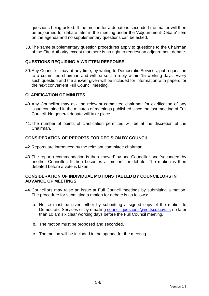questions being asked. If the motion for a debate is seconded the matter will then be adjourned for debate later in the meeting under the 'Adjournment Debate' item on the agenda and no supplementary questions can be asked.

38. The same supplementary question procedures apply to questions to the Chairman of the Fire Authority except that there is no right to request an adjournment debate.

## **QUESTIONS REQUIRING A WRITTEN RESPONSE**

39. Any Councillor may at any time, by writing to Democratic Services, put a question to a committee chairman and will be sent a reply within 15 working days. Every such question and the answer given will be included for information with papers for the next convenient Full Council meeting.

## **CLARIFICATION OF MINUTES**

- 40. Any Councillor may ask the relevant committee chairman for clarification of any issue contained in the minutes of meetings published since the last meeting of Full Council. No general debate will take place.
- 41. The number of points of clarification permitted will be at the discretion of the Chairman.

## **CONSIDERATION OF REPORTS FOR DECISION BY COUNCIL**

- 42. Reports are introduced by the relevant committee chairman.
- 43. The report recommendation is then 'moved' by one Councillor and 'seconded' by another Councillor. It then becomes a 'motion' for debate. The motion is then debated before a vote is taken.

## **CONSIDERATION OF INDIVIDUAL MOTIONS TABLED BY COUNCILLORS IN ADVANCE OF MEETINGS**

- 44. Councillors may raise an issue at Full Council meetings by submitting a motion. The procedure for submitting a motion for debate is as follows:
	- a. Notice must be given either by submitting a signed copy of the motion to Democratic Services or by emailing council.questions@nottscc.gov.uk no later than 10 am six clear working days before the Full Council meeting.
	- b. The motion must be proposed and seconded.
	- c. The motion will be included in the agenda for the meeting.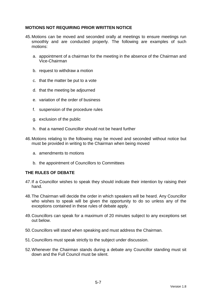## **MOTIONS NOT REQUIRING PRIOR WRITTEN NOTICE**

- 45. Motions can be moved and seconded orally at meetings to ensure meetings run smoothly and are conducted properly. The following are examples of such motions:
	- a. appointment of a chairman for the meeting in the absence of the Chairman and Vice-Chairman
	- b. request to withdraw a motion
	- c. that the matter be put to a vote
	- d. that the meeting be adjourned
	- e. variation of the order of business
	- f. suspension of the procedure rules
	- g. exclusion of the public
	- h. that a named Councillor should not be heard further
- 46. Motions relating to the following may be moved and seconded without notice but must be provided in writing to the Chairman when being moved
	- a. amendments to motions
	- b. the appointment of Councillors to Committees

## **THE RULES OF DEBATE**

- 47. If a Councillor wishes to speak they should indicate their intention by raising their hand.
- 48. The Chairman will decide the order in which speakers will be heard. Any Councillor who wishes to speak will be given the opportunity to do so unless any of the exceptions contained in these rules of debate apply.
- 49. Councillors can speak for a maximum of 20 minutes subject to any exceptions set out below.
- 50. Councillors will stand when speaking and must address the Chairman.
- 51. Councillors must speak strictly to the subject under discussion.
- 52. Whenever the Chairman stands during a debate any Councillor standing must sit down and the Full Council must be silent.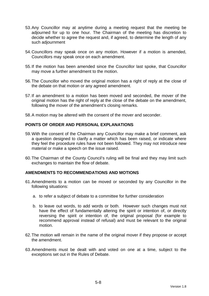- 53. Any Councillor may at anytime during a meeting request that the meeting be adjourned for up to one hour. The Chairman of the meeting has discretion to decide whether to agree the request and, if agreed, to determine the length of any such adjournment
- 54. Councillors may speak once on any motion. However if a motion is amended, Councillors may speak once on each amendment.
- 55. If the motion has been amended since the Councillor last spoke, that Councillor may move a further amendment to the motion.
- 56. The Councillor who moved the original motion has a right of reply at the close of the debate on that motion or any agreed amendment.
- 57. If an amendment to a motion has been moved and seconded, the mover of the original motion has the right of reply at the close of the debate on the amendment, following the mover of the amendment's closing remarks.
- 58. A motion may be altered with the consent of the mover and seconder.

## **POINTS OF ORDER AND PERSONAL EXPLANATIONS**

- 59. With the consent of the Chairman any Councillor may make a brief comment, ask a question designed to clarify a matter which has been raised, or indicate where they feel the procedure rules have not been followed. They may not introduce new material or make a speech on the issue raised.
- 60. The Chairman of the County Council's ruling will be final and they may limit such exchanges to maintain the flow of debate.

## **AMENDMENTS TO RECOMMENDATIONS AND MOTIONS**

- 61. Amendments to a motion can be moved or seconded by any Councillor in the following situations:
	- a. to refer a subject of debate to a committee for further consideration
	- b. to leave out words, to add words or both. However such changes must not have the effect of fundamentally altering the spirit or intention of, or directly reversing the spirit or intention of, the original proposal (for example to recommend approval instead of refusal) and must be relevant to the original motion.
- 62. The motion will remain in the name of the original mover if they propose or accept the amendment.
- 63. Amendments must be dealt with and voted on one at a time, subject to the exceptions set out in the Rules of Debate.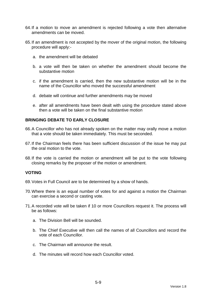- 64. If a motion to move an amendment is rejected following a vote then alternative amendments can be moved.
- 65. If an amendment is not accepted by the mover of the original motion, the following procedure will apply:
	- a. the amendment will be debated
	- b. a vote will then be taken on whether the amendment should become the substantive motion
	- c. if the amendment is carried, then the new substantive motion will be in the name of the Councillor who moved the successful amendment
	- d. debate will continue and further amendments may be moved
	- e. after all amendments have been dealt with using the procedure stated above then a vote will be taken on the final substantive motion

## **BRINGING DEBATE TO EARLY CLOSURE**

- 66. A Councillor who has not already spoken on the matter may orally move a motion that a vote should be taken immediately. This must be seconded.
- 67. If the Chairman feels there has been sufficient discussion of the issue he may put the oral motion to the vote.
- 68. If the vote is carried the motion or amendment will be put to the vote following closing remarks by the proposer of the motion or amendment.

## **VOTING**

- 69. Votes in Full Council are to be determined by a show of hands.
- 70. Where there is an equal number of votes for and against a motion the Chairman can exercise a second or casting vote.
- 71. A recorded vote will be taken if 10 or more Councillors request it. The process will be as follows:
	- a. The Division Bell will be sounded.
	- b. The Chief Executive will then call the names of all Councillors and record the vote of each Councillor.
	- c. The Chairman will announce the result.
	- d. The minutes will record how each Councillor voted.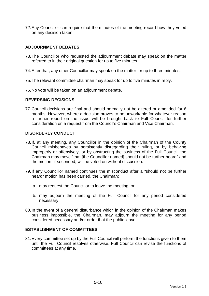72. Any Councillor can require that the minutes of the meeting record how they voted on any decision taken.

## **ADJOURNMENT DEBATES**

- 73. The Councillor who requested the adjournment debate may speak on the matter referred to in their original question for up to five minutes.
- 74. After that, any other Councillor may speak on the matter for up to three minutes.
- 75. The relevant committee chairman may speak for up to five minutes in reply.
- 76. No vote will be taken on an adjournment debate.

## **REVERSING DECISIONS**

77. Council decisions are final and should normally not be altered or amended for 6 months. However, where a decision proves to be unworkable for whatever reason a further report on the issue will be brought back to Full Council for further consideration on a request from the Council's Chairman and Vice Chairman.

## **DISORDERLY CONDUCT**

- 78. If, at any meeting, any Councillor in the opinion of the Chairman of the County Council misbehaves by persistently disregarding their ruling, or by behaving improperly or offensively, or by obstructing the business of the Full Council, the Chairman may move "that [the Councillor named] should not be further heard" and the motion, if seconded, will be voted on without discussion.
- 79. If any Councillor named continues the misconduct after a "should not be further heard" motion has been carried, the Chairman:
	- a. may request the Councillor to leave the meeting; or
	- b. may adjourn the meeting of the Full Council for any period considered necessary
- 80. In the event of a general disturbance which in the opinion of the Chairman makes business impossible, the Chairman, may adjourn the meeting for any period considered necessary and/or order that the public leave.

## **ESTABLISHMENT OF COMMITTEES**

81. Every committee set up by the Full Council will perform the functions given to them until the Full Council resolves otherwise. Full Council can revise the functions of committees at any time.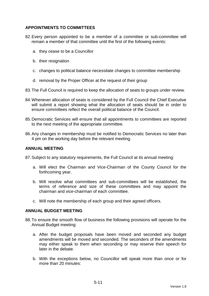# **APPOINTMENTS TO COMMITTEES**

- 82. Every person appointed to be a member of a committee or sub-committee will remain a member of that committee until the first of the following events:
	- a. they cease to be a Councillor
	- b. their resignation
	- c. changes to political balance necessitate changes to committee membership
	- d. removal by the Proper Officer at the request of their group
- 83. The Full Council is required to keep the allocation of seats to groups under review.
- 84. Whenever allocation of seats is considered by the Full Council the Chief Executive will submit a report showing what the allocation of seats should be in order to ensure committees reflect the overall political balance of the Council.
- 85. Democratic Services will ensure that all appointments to committees are reported to the next meeting of the appropriate committee.
- 86. Any changes in membership must be notified to Democratic Services no later than 4 pm on the working day before the relevant meeting.

#### **ANNUAL MEETING**

87. Subject to any statutory requirements, the Full Council at its annual meeting:

- a. Will elect the Chairman and Vice-Chairman of the County Council for the forthcoming year.
- b. Will resolve what committees and sub-committees will be established, the terms of reference and size of these committees and may appoint the chairman and vice-chairman of each committee.
- c. Will note the membership of each group and their agreed officers.

#### **ANNUAL BUDGET MEETING**

- 88. To ensure the smooth flow of business the following provisions will operate for the Annual Budget meeting:
	- a. After the budget proposals have been moved and seconded any budget amendments will be moved and seconded. The seconders of the amendments may either speak to them when seconding or may reserve their speech for later in the debate.
	- b. With the exceptions below, no Councillor will speak more than once or for more than 20 minutes: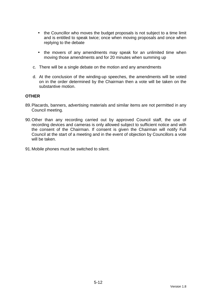- the Councillor who moves the budget proposals is not subject to a time limit and is entitled to speak twice; once when moving proposals and once when replying to the debate
- the movers of any amendments may speak for an unlimited time when moving those amendments and for 20 minutes when summing up
- c. There will be a single debate on the motion and any amendments
- d. At the conclusion of the winding-up speeches, the amendments will be voted on in the order determined by the Chairman then a vote will be taken on the substantive motion.

#### **OTHER**

- 89. Placards, banners, advertising materials and similar items are not permitted in any Council meeting.
- 90. Other than any recording carried out by approved Council staff, the use of recording devices and cameras is only allowed subject to sufficient notice and with the consent of the Chairman. If consent is given the Chairman will notify Full Council at the start of a meeting and in the event of objection by Councillors a vote will be taken.
- 91. Mobile phones must be switched to silent.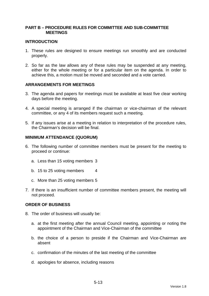## **PART B – PROCEDURE RULES FOR COMMITTEE AND SUB-COMMITTEE MEETINGS**

#### **INTRODUCTION**

- 1. These rules are designed to ensure meetings run smoothly and are conducted properly.
- 2. So far as the law allows any of these rules may be suspended at any meeting, either for the whole meeting or for a particular item on the agenda. In order to achieve this, a motion must be moved and seconded and a vote carried.

## **ARRANGEMENTS FOR MEETINGS**

- 3. The agenda and papers for meetings must be available at least five clear working days before the meeting.
- 4. A special meeting is arranged if the chairman or vice-chairman of the relevant committee, or any 4 of its members request such a meeting.
- 5. If any issues arise at a meeting in relation to interpretation of the procedure rules, the Chairman's decision will be final.

#### **MINIMUM ATTENDANCE (QUORUM)**

- 6. The following number of committee members must be present for the meeting to proceed or continue:
	- a. Less than 15 voting members 3
	- b. 15 to 25 voting members 4
	- c. More than 25 voting members 5
- 7. If there is an insufficient number of committee members present, the meeting will not proceed.

#### **ORDER OF BUSINESS**

- 8. The order of business will usually be:
	- a. at the first meeting after the annual Council meeting, appointing or noting the appointment of the Chairman and Vice-Chairman of the committee
	- b. the choice of a person to preside if the Chairman and Vice-Chairman are absent
	- c. confirmation of the minutes of the last meeting of the committee
	- d. apologies for absence, including reasons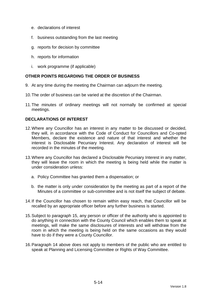- e. declarations of interest
- f. business outstanding from the last meeting
- g. reports for decision by committee
- h. reports for information
- i. work programme (if applicable)

# **OTHER POINTS REGARDING THE ORDER OF BUSINESS**

- 9. At any time during the meeting the Chairman can adjourn the meeting.
- 10. The order of business can be varied at the discretion of the Chairman.
- 11. The minutes of ordinary meetings will not normally be confirmed at special meetings.

## **DECLARATIONS OF INTEREST**

- 12. Where any Councillor has an interest in any matter to be discussed or decided, they will, in accordance with the Code of Conduct for Councillors and Co-opted Members, declare the existence and nature of that interest and whether the interest is Disclosable Pecuniary Interest. Any declaration of interest will be recorded in the minutes of the meeting.
- 13. Where any Councillor has declared a Disclosable Pecuniary Interest in any matter, they will leave the room in which the meeting is being held while the matter is under consideration unless:
	- a. Policy Committee has granted them a dispensation; or
	- b. the matter is only under consideration by the meeting as part of a report of the Minutes of a committee or sub-committee and is not itself the subject of debate.
- 14. If the Councillor has chosen to remain within easy reach, that Councillor will be recalled by an appropriate officer before any further business is started.
- 15. Subject to paragraph 15, any person or officer of the authority who is appointed to do anything in connection with the County Council which enables them to speak at meetings, will make the same disclosures of interests and will withdraw from the room in which the meeting is being held on the same occasions as they would have to do if they were a County Councillor.
- 16. Paragraph 14 above does not apply to members of the public who are entitled to speak at Planning and Licensing Committee or Rights of Way Committee.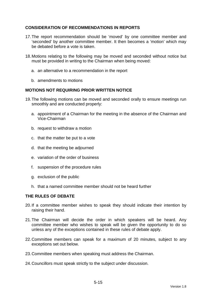# **CONSIDERATION OF RECOMMENDATIONS IN REPORTS**

- 17. The report recommendation should be 'moved' by one committee member and 'seconded' by another committee member. It then becomes a 'motion' which may be debated before a vote is taken.
- 18. Motions relating to the following may be moved and seconded without notice but must be provided in writing to the Chairman when being moved:
	- a. an alternative to a recommendation in the report
	- b. amendments to motions

## **MOTIONS NOT REQUIRING PRIOR WRITTEN NOTICE**

- 19. The following motions can be moved and seconded orally to ensure meetings run smoothly and are conducted properly:
	- a. appointment of a Chairman for the meeting in the absence of the Chairman and Vice-Chairman
	- b. request to withdraw a motion
	- c. that the matter be put to a vote
	- d. that the meeting be adjourned
	- e. variation of the order of business
	- f. suspension of the procedure rules
	- g. exclusion of the public
	- h. that a named committee member should not be heard further

## **THE RULES OF DEBATE**

- 20. If a committee member wishes to speak they should indicate their intention by raising their hand.
- 21. The Chairman will decide the order in which speakers will be heard. Any committee member who wishes to speak will be given the opportunity to do so unless any of the exceptions contained in these rules of debate apply.
- 22. Committee members can speak for a maximum of 20 minutes, subject to any exceptions set out below.
- 23. Committee members when speaking must address the Chairman.
- 24. Councillors must speak strictly to the subject under discussion.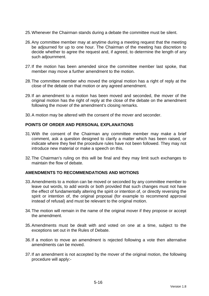- 25. Whenever the Chairman stands during a debate the committee must be silent.
- 26. Any committee member may at anytime during a meeting request that the meeting be adjourned for up to one hour. The Chairman of the meeting has discretion to decide whether to agree the request and, if agreed, to determine the length of any such adjournment.
- 27. If the motion has been amended since the committee member last spoke, that member may move a further amendment to the motion.
- 28. The committee member who moved the original motion has a right of reply at the close of the debate on that motion or any agreed amendment.
- 29. If an amendment to a motion has been moved and seconded, the mover of the original motion has the right of reply at the close of the debate on the amendment following the mover of the amendment's closing remarks.
- 30. A motion may be altered with the consent of the mover and seconder.

## **POINTS OF ORDER AND PERSONAL EXPLANATIONS**

- 31. With the consent of the Chairman any committee member may make a brief comment, ask a question designed to clarify a matter which has been raised, or indicate where they feel the procedure rules have not been followed. They may not introduce new material or make a speech on this.
- 32. The Chairman's ruling on this will be final and they may limit such exchanges to maintain the flow of debate.

#### **AMENDMENTS TO RECOMMENDATIONS AND MOTIONS**

- 33. Amendments to a motion can be moved or seconded by any committee member to leave out words, to add words or both provided that such changes must not have the effect of fundamentally altering the spirit or intention of, or directly reversing the spirit or intention of, the original proposal (for example to recommend approval instead of refusal) and must be relevant to the original motion.
- 34. The motion will remain in the name of the original mover if they propose or accept the amendment.
- 35. Amendments must be dealt with and voted on one at a time, subject to the exceptions set out in the Rules of Debate.
- 36. If a motion to move an amendment is rejected following a vote then alternative amendments can be moved.
- 37. If an amendment is not accepted by the mover of the original motion, the following procedure will apply:-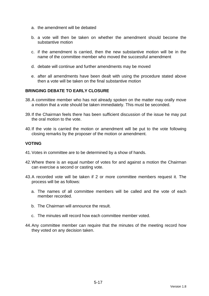- a. the amendment will be debated
- b. a vote will then be taken on whether the amendment should become the substantive motion
- c. if the amendment is carried, then the new substantive motion will be in the name of the committee member who moved the successful amendment
- d. debate will continue and further amendments may be moved
- e. after all amendments have been dealt with using the procedure stated above then a vote will be taken on the final substantive motion

## **BRINGING DEBATE TO EARLY CLOSURE**

- 38. A committee member who has not already spoken on the matter may orally move a motion that a vote should be taken immediately. This must be seconded.
- 39. If the Chairman feels there has been sufficient discussion of the issue he may put the oral motion to the vote.
- 40. If the vote is carried the motion or amendment will be put to the vote following closing remarks by the proposer of the motion or amendment.

## **VOTING**

- 41. Votes in committee are to be determined by a show of hands.
- 42. Where there is an equal number of votes for and against a motion the Chairman can exercise a second or casting vote.
- 43. A recorded vote will be taken if 2 or more committee members request it. The process will be as follows:
	- a. The names of all committee members will be called and the vote of each member recorded.
	- b. The Chairman will announce the result.
	- c. The minutes will record how each committee member voted.
- 44. Any committee member can require that the minutes of the meeting record how they voted on any decision taken.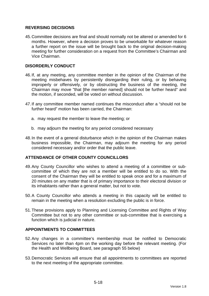## **REVERSING DECISIONS**

45. Committee decisions are final and should normally not be altered or amended for 6 months. However, where a decision proves to be unworkable for whatever reason a further report on the issue will be brought back to the original decision-making meeting for further consideration on a request from the Committee's Chairman and Vice Chairman.

## **DISORDERLY CONDUCT**

- 46. If, at any meeting, any committee member in the opinion of the Chairman of the meeting misbehaves by persistently disregarding their ruling, or by behaving improperly or offensively, or by obstructing the business of the meeting, the Chairman may move "that [the member named] should not be further heard" and the motion, if seconded, will be voted on without discussion.
- 47. If any committee member named continues the misconduct after a "should not be further heard" motion has been carried, the Chairman:
	- a. may request the member to leave the meeting; or
	- b. may adjourn the meeting for any period considered necessary
- 48. In the event of a general disturbance which in the opinion of the Chairman makes business impossible, the Chairman, may adjourn the meeting for any period considered necessary and/or order that the public leave.

## **ATTENDANCE OF OTHER COUNTY COUNCILLORS**

- 49. Any County Councillor who wishes to attend a meeting of a committee or subcommittee of which they are not a member will be entitled to do so. With the consent of the Chairman they will be entitled to speak once and for a maximum of 20 minutes on any matter that is of primary importance to their electoral division or its inhabitants rather than a general matter, but not to vote.
- 50. A County Councillor who attends a meeting in this capacity will be entitled to remain in the meeting when a resolution excluding the public is in force.
- 51. These provisions apply to Planning and Licensing Committee and Rights of Way Committee but not to any other committee or sub-committee that is exercising a function which is judicial in nature.

# **APPOINTMENTS TO COMMITTEES**

- 52. Any changes in a committee's membership must be notified to Democratic Services no later than 4pm on the working day before the relevant meeting. (For the Health and Wellbeing Board, see paragraph 55 below)
- 53. Democratic Services will ensure that all appointments to committees are reported to the next meeting of the appropriate committee.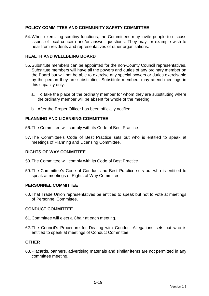# **POLICY COMMITTEE AND COMMUNITY SAFETY COMMITTEE**

54. When exercising scrutiny functions, the Committees may invite people to discuss issues of local concern and/or answer questions. They may for example wish to hear from residents and representatives of other organisations.

## **HEALTH AND WELLBEING BOARD**

- 55. Substitute members can be appointed for the non-County Council representatives. Substitute members will have all the powers and duties of any ordinary member on the Board but will not be able to exercise any special powers or duties exercisable by the person they are substituting. Substitute members may attend meetings in this capacity only:
	- a. To take the place of the ordinary member for whom they are substituting where the ordinary member will be absent for whole of the meeting
	- b. After the Proper Officer has been officially notified

## **PLANNING AND LICENSING COMMITTEE**

56. The Committee will comply with its Code of Best Practice

57. The Committee's Code of Best Practice sets out who is entitled to speak at meetings of Planning and Licensing Committee.

## **RIGHTS OF WAY COMMITTEE**

- 58. The Committee will comply with its Code of Best Practice
- 59. The Committee's Code of Conduct and Best Practice sets out who is entitled to speak at meetings of Rights of Way Committee.

## **PERSONNEL COMMITTEE**

60. That Trade Union representatives be entitled to speak but not to vote at meetings of Personnel Committee.

## **CONDUCT COMMITTEE**

- 61. Committee will elect a Chair at each meeting.
- 62. The Council's Procedure for Dealing with Conduct Allegations sets out who is entitled to speak at meetings of Conduct Committee.

#### **OTHER**

63. Placards, banners, advertising materials and similar items are not permitted in any committee meeting.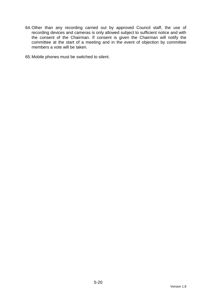64. Other than any recording carried out by approved Council staff, the use of recording devices and cameras is only allowed subject to sufficient notice and with the consent of the Chairman. If consent is given the Chairman will notify the committee at the start of a meeting and in the event of objection by committee members a vote will be taken.

65. Mobile phones must be switched to silent.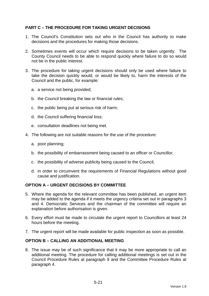# **PART C – THE PROCEDURE FOR TAKING URGENT DECISIONS**

- 1. The Council's Constitution sets out who in the Council has authority to make decisions and the procedures for making those decisions.
- 2. Sometimes events will occur which require decisions to be taken urgently. The County Council needs to be able to respond quickly where failure to do so would not be in the public interest.
- 3. The procedure for taking urgent decisions should only be used where failure to take the decision quickly would, or would be likely to, harm the interests of the Council and the public, for example:
	- a. a service not being provided;
	- b. the Council breaking the law or financial rules;
	- c. the public being put at serious risk of harm;
	- d. the Council suffering financial loss;
	- e. consultation deadlines not being met.
- 4. The following are not suitable reasons for the use of the procedure:
	- a. poor planning;
	- b. the possibility of embarrassment being caused to an officer or Councillor;
	- c. the possibility of adverse publicity being caused to the Council;
	- d. in order to circumvent the requirements of Financial Regulations without good cause and justification.

## **OPTION A – URGENT DECISIONS BY COMMITTEE**

- 5. Where the agenda for the relevant committee has been published, an urgent item may be added to the agenda if it meets the urgency criteria set out in paragraphs 3 and 4. Democratic Services and the chairman of the committee will require an explanation before authorisation is given.
- 6. Every effort must be made to circulate the urgent report to Councillors at least 24 hours before the meeting.
- 7. The urgent report will be made available for public inspection as soon as possible.

## **OPTION B – CALLING AN ADDITIONAL MEETING**

8. The issue may be of such significance that it may be more appropriate to call an additional meeting. The procedure for calling additional meetings is set out in the Council Procedure Rules at paragraph 9 and the Committee Procedure Rules at paragraph 4.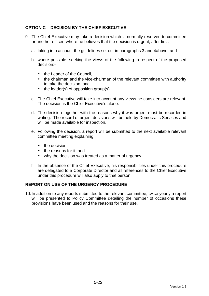# **OPTION C – DECISION BY THE CHIEF EXECUTIVE**

- 9. The Chief Executive may take a decision which is normally reserved to committee or another officer, where he believes that the decision is urgent, after first:
	- a. taking into account the guidelines set out in paragraphs 3 and 4above; and
	- b. where possible, seeking the views of the following in respect of the proposed decision:-
		- the Leader of the Council.
		- the chairman and the vice-chairman of the relevant committee with authority to take the decision, and
		- the leader(s) of opposition group(s).
	- c. The Chief Executive will take into account any views he considers are relevant. The decision is the Chief Executive's alone.
	- d. The decision together with the reasons why it was urgent must be recorded in writing. The record of urgent decisions will be held by Democratic Services and will be made available for inspection.
	- e. Following the decision, a report will be submitted to the next available relevant committee meeting explaining:
		- the decision:
		- the reasons for it: and
		- why the decision was treated as a matter of urgency.
	- f. In the absence of the Chief Executive, his responsibilities under this procedure are delegated to a Corporate Director and all references to the Chief Executive under this procedure will also apply to that person.

## **REPORT ON USE OF THE URGENCY PROCEDURE**

10. In addition to any reports submitted to the relevant committee, twice yearly a report will be presented to Policy Committee detailing the number of occasions these provisions have been used and the reasons for their use.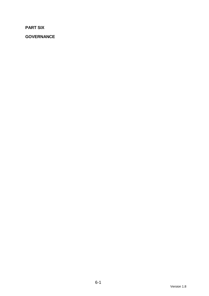**PART SIX** 

**GOVERNANCE**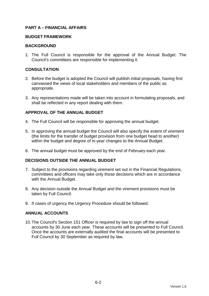## **PART A – FINANCIAL AFFAIRS**

#### **BUDGET FRAMEWORK**

#### **BACKGROUND**

1. The Full Council is responsible for the approval of the Annual Budget. The Council's committees are responsible for implementing it.

### **CONSULTATION**

- 2. Before the budget is adopted the Council will publish initial proposals, having first canvassed the views of local stakeholders and members of the public as appropriate.
- 3. Any representations made will be taken into account in formulating proposals, and shall be reflected in any report dealing with them.

## **APPROVAL OF THE ANNUAL BUDGET**

- 4. The Full Council will be responsible for approving the annual budget.
- 5. In approving the annual budget the Council will also specify the extent of virement (the limits for the transfer of budget provision from one budget head to another) within the budget and degree of in-year changes to the Annual Budget.
- 6. The annual budget must be approved by the end of February each year.

### **DECISIONS OUTSIDE THE ANNUAL BUDGET**

- 7. Subject to the provisions regarding virement set out in the Financial Regulations, committees and officers may take only those decisions which are in accordance with the Annual Budget.
- 8. Any decision outside the Annual Budget and the virement provisions must be taken by Full Council.
- 9. If cases of urgency the Urgency Procedure should be followed.

### **ANNUAL ACCOUNTS**

10. The Council's Section 151 Officer is required by law to sign off the annual accounts by 30 June each year. These accounts will be presented to Full Council. Once the accounts are externally audited the final accounts will be presented to Full Council by 30 September as required by law.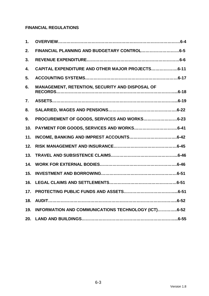# **FINANCIAL REGULATIONS**

| 1.  |                                                     |
|-----|-----------------------------------------------------|
| 2.  |                                                     |
| 3.  |                                                     |
| 4.  | CAPITAL EXPENDITURE AND OTHER MAJOR PROJECTS6-11    |
| 5.  |                                                     |
| 6.  | MANAGEMENT, RETENTION, SECURITY AND DISPOSAL OF     |
| 7.  |                                                     |
| 8.  |                                                     |
| 9.  | PROCUREMENT OF GOODS, SERVICES AND WORKS6-23        |
| 10. |                                                     |
| 11. |                                                     |
| 12. |                                                     |
| 13. |                                                     |
| 14. |                                                     |
| 15. |                                                     |
| 16. |                                                     |
| 17. |                                                     |
| 18. |                                                     |
| 19. | INFORMATION AND COMMUNICATIONS TECHNOLOGY (ICT)6-52 |
| 20. |                                                     |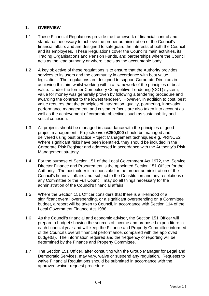# **1. OVERVIEW**

- 1.1 These Financial Regulations provide the framework of financial control and standards necessary to achieve the proper administration of the Council's financial affairs and are designed to safeguard the interests of both the Council and its employees. These Regulations cover the Council's main activities, its Trading Organisations and Pension Funds, and partnerships where the Council acts as the lead authority or where it acts as the accountable body.
- 1.2 A key objective of these regulations is to ensure that the Authority provides services to its users and the community in accordance with best value legislation. The regulations are designed to support Corporate Directors in achieving this aim whilst working within a framework of the principles of best value. Under the former Compulsory Competitive Tendering (CCT) system, value for money was generally proven by following a tendering procedure and awarding the contract to the lowest tenderer. However, in addition to cost, best value requires that the principles of integration, quality, partnering, innovation, performance management, and customer focus are also taken into account as well as the achievement of corporate objectives such as sustainability and social cohesion.
- 1.3 All projects should be managed in accordance with the principles of good project management. Projects **over £250,000** should be managed and delivered using best practice Project Management techniques e.g. PRINCE2. Where significant risks have been identified, they should be included in the Corporate Risk Register and addressed in accordance with the Authority's Risk Management strategy.
- 1.4 For the purpose of Section 151 of the Local Government Act 1972, the Service Director Finance and Procurement is the appointed Section 151 Officer for the Authority. The postholder is responsible for the proper administration of the Council's financial affairs and, subject to the Constitution and any resolutions of any Committee or the Full Council, may do all things necessary for the administration of the Council's financial affairs.
- 1.5 Where the Section 151 Officer considers that there is a likelihood of a significant overall overspending, or a significant overspending on a Committee budget, a report will be taken to Council, in accordance with Section 114 of the Local Government Finance Act 1988.
- 1.6 As the Council's financial and economic advisor, the Section 151 Officer will prepare a budget showing the sources of income and proposed expenditure in each financial year and will keep the Finance and Property Committee informed of the Council's overall financial performance, compared with the approved budget(s). The information required and the frequency of reporting will be determined by the Finance and Property Committee.
- 1.7 The Section 151 Officer, after consulting with the Group Manager for Legal and Democratic Services, may vary, waive or suspend any regulation. Requests to waive Financial Regulations should be submitted in accordance with the approved waiver request procedure.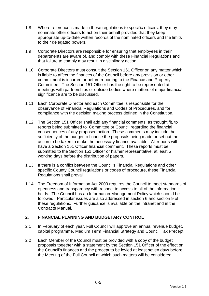- 1.8 Where reference is made in these regulations to specific officers, they may nominate other officers to act on their behalf provided that they keep appropriate up-to-date written records of the nominated officers and the limits to their delegated powers.
- 1.9 Corporate Directors are responsible for ensuring that employees in their departments are aware of, and comply with these Financial Regulations and that failure to comply may result in disciplinary action.
- 1.10 Corporate Directors must consult the Section 151 Officer on any matter which is liable to affect the finances of the Council before any provision or other commitment is incurred or before reporting to the Finance and Property Committee. The Section 151 Officer has the right to be represented at meetings with partnerships or outside bodies where matters of major financial significance are to be discussed.
- 1.11 Each Corporate Director and each Committee is responsible for the observance of Financial Regulations and Codes of Procedures, and for compliance with the decision making process defined in the Constitution.
- 1.12 The Section 151 Officer shall add any financial comments, as thought fit, to reports being submitted to Committee or Council regarding the financial consequences of any proposed action. These comments may include the sufficiency of the budget to finance the proposals being made or set out the action to be taken to make the necessary finance available. All reports will have a Section 151 Officer financial comment. These reports must be submitted to the Section 151 Officer or his/her representative, at least 5 working days before the distribution of papers.
- 1.13 If there is a conflict between the Council's Financial Regulations and other specific County Council regulations or codes of procedure, these Financial Regulations shall prevail.
- 1.14 The Freedom of Information Act 2000 requires the Council to meet standards of openness and transparency with respect to access to all of the information it holds. The Council has an Information Management Policy which should be followed. Particular issues are also addressed in section 6 and section 9 of these regulations. Further guidance is available on the intranet and in the Contracts Manual.

# **2. FINANCIAL PLANNING AND BUDGETARY CONTROL**

- 2.1 In February of each year, Full Council will approve an annual revenue budget, capital programme, Medium Term Financial Strategy and Council Tax Precept.
- 2.2 Each Member of the Council must be provided with a copy of the budget proposals together with a statement by the Section 151 Officer of the effect on the Council's finances and the precept to be levied at least seven days before the Meeting of the Full Council at which such matters will be considered.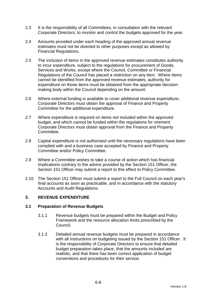- 2.3 It is the responsibility of all Committees, in consultation with the relevant Corporate Directors, to monitor and control the budgets approved for the year.
- 2.4 Amounts provided under each heading of the approved annual revenue estimates must not be diverted to other purposes except as allowed by Financial Regulations.
- 2.5 The inclusion of items in the approved revenue estimates constitutes authority to incur expenditure, subject to the regulations for procurement of Goods, Services and Works, except where the Council, Committee or Financial Regulations of the Council has placed a restriction on any item. Where items cannot be identified from the approved revenue estimates, authority for expenditure on those items must be obtained from the appropriate decision making body within the Council depending on the amount.
- 2.6 Where external funding is available to cover additional revenue expenditure, Corporate Directors must obtain the approval of Finance and Property Committee for the additional expenditure.
- 2.7 Where expenditure is required on items not included within the approved budget, and which cannot be funded within the regulations for virement Corporate Directors must obtain approval from the Finance and Property Committee.
- 2.8 Capital expenditure is not authorised until the necessary regulations have been complied with and a business case accepted by Finance and Property Committee and/or Policy Committee.
- 2.9 Where a Committee wishes to take a course of action which has financial implications contrary to the advice provided by the Section 151 Officer, the Section 151 Officer may submit a report to this effect to Policy Committee.
- 2.10 The Section 151 Officer must submit a report to the Full Council on each year's final accounts as soon as practicable, and in accordance with the statutory Accounts and Audit Regulations.

# **3. REVENUE EXPENDITURE**

### **3.1 Preparation of Revenue Budgets**

- 3.1.1 Revenue budgets must be prepared within the Budget and Policy Framework and the resource allocation limits prescribed by the Council.
- 3.1.2 Detailed annual revenue budgets must be prepared in accordance with all instructions on budgeting issued by the Section 151 Officer. It is the responsibility of Corporate Directors to ensure that detailed budget preparation takes place, that the amounts included are realistic, and that there has been correct application of budget conventions and procedures for their service.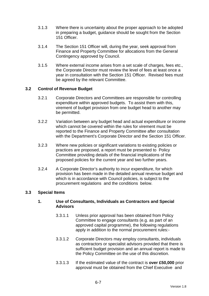- 3.1.3 Where there is uncertainty about the proper approach to be adopted in preparing a budget, guidance should be sought from the Section 151 Officer.
- 3.1.4 The Section 151 Officer will, during the year, seek approval from Finance and Property Committee for allocations from the General Contingency approved by Council.
- 3.1.5 Where external income arises from a set scale of charges, fees etc., the Corporate Director must review the level of fees at least once a year in consultation with the Section 151 Officer. Revised fees must be agreed by the relevant Committee.

### **3.2 Control of Revenue Budget**

- 3.2.1 Corporate Directors and Committees are responsible for controlling expenditure within approved budgets. To assist them with this, virement of budget provision from one budget head to another may be permitted.
- 3.2.2 Variation between any budget head and actual expenditure or income which cannot be covered within the rules for virement must be reported to the Finance and Property Committee after consultation with the Department's Corporate Director and the Section 151 Officer.
- 3.2.3 Where new policies or significant variations to existing policies or practices are proposed, a report must be presented to Policy Committee providing details of the financial implications of the proposed policies for the current year and two further years.
- 3.2.4 A Corporate Director's authority to incur expenditure, for which provision has been made in the detailed annual revenue budget and which is in accordance with Council policies, is subject to the procurement regulations and the conditions below.

### **3.3 Special Items**

### **1. Use of Consultants, Individuals as Contractors and Special Advisors**

- 3.3.1.1 Unless prior approval has been obtained from Policy Committee to engage consultants (e.g. as part of an approved capital programme), the following regulations apply in addition to the normal procurement rules:-
- 3.3.1.2 Corporate Directors may employ consultants, individuals as contractors or specialist advisors provided that there is sufficient budget provision and an annual report is made to the Policy Committee on the use of this discretion.
- 3.3.1.3 If the estimated value of the contract is **over £50,000** prior approval must be obtained from the Chief Executive and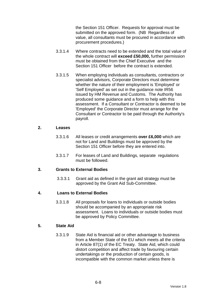the Section 151 Officer. Requests for approval must be submitted on the approved form. (NB Regardless of value, all consultants must be procured in accordance with procurement procedures.)

- 3.3.1.4 Where contracts need to be extended and the total value of the whole contract will **exceed £50,000,** further permission must be obtained from the Chief Executive and the Section 151 Officer before the contract is extended.
- 3.3.1.5 When employing individuals as consultants, contractors or specialist advisors, Corporate Directors must determine whether the nature of their employment is 'Employed' or 'Self Employed' as set out in the guidance note IR56 issued by HM Revenue and Customs. The Authority has produced some guidance and a form to help with this assessment. If a Consultant or Contractor is deemed to be 'Employed' the Corporate Director must arrange for the Consultant or Contractor to be paid through the Authority's payroll.

#### **2. Leases**

- 3.3.1.6 All leases or credit arrangements **over £6,000** which are not for Land and Buildings must be approved by the Section 151 Officer before they are entered into.
- 3.3.1.7 For leases of Land and Buildings, separate regulations must be followed.

### **3. Grants to External Bodies**

3.3.3.1 Grant aid as defined in the grant aid strategy must be approved by the Grant Aid Sub-Committee.

### **4. Loans to External Bodies**

3.3.1.8 All proposals for loans to individuals or outside bodies should be accompanied by an appropriate risk assessment. Loans to individuals or outside bodies must be approved by Policy Committee.

## **5. State Aid**

3.3.1.9 State Aid is financial aid or other advantage to business from a Member State of the EU which meets all the criteria in Article 87(1) of the EC Treaty. State Aid, which could distort competition and affect trade by favouring certain undertakings or the production of certain goods, is incompatible with the common market unless there is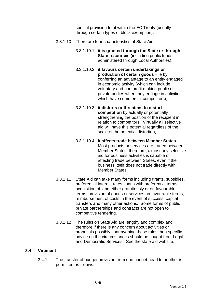special provision for it within the EC Treaty (usually through certain types of block exemption).

- 3.3.1.10 There are four characteristics of State Aid:
	- 3.3.1.10.1 **it is granted through the State or through State resources** (including public funds administered through Local Authorities);
	- 3.3.1.10.2 **it favours certain undertakings or production of certain goods** – ie by conferring an advantage to an entity engaged in economic activity (which can include voluntary and non profit making public or private bodies when they engage in activities which have commercial competitors);
	- 3.3.1.10.3 **it distorts or threatens to distort competition** by actually or potentially strengthening the position of the recipient in relation to competitors. Virtually all selective aid will have this potential regardless of the scale of the potential distortion;
	- 3.3.1.10.4 **it affects trade between Member States.** Most products or services are traded between Member States, therefore, almost any selective aid for business activities is capable of affecting trade between States, even if the business itself does not trade directly with Member States.
- 3.3.1.11 State Aid can take many forms including grants, subsidies, preferential interest rates, loans with preferential terms, acquisition of land either gratuitously or on favourable terms, provision of goods or services on favourable terms, reimbursement of costs in the event of success, capital transfers and many other actions. Some forms of public private partnerships and contracts are not open to competitive tendering.
- 3.3.1.12 The rules on State Aid are lengthy and complex and therefore if there is any concern about activities or proposals possibly contravening these rules then specific advice on the circumstances should be sought from Legal and Democratic Services. See the state aid website.

### **3.4 Virement**

3.4.1 The transfer of budget provision from one budget head to another is permitted as follows: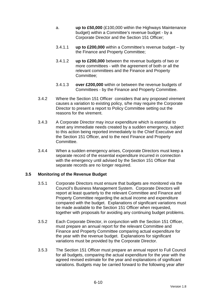- a. **up to £50,000** (£100,000 within the Highways Maintenance budget) within a Committee's revenue budget - by a Corporate Director and the Section 151 Officer;
- 3.4.1.1 **up to £200,000** within a Committee's revenue budget by the Finance and Property Committee;
- 3.4.1.2 **up to £200,000** between the revenue budgets of two or more committees - with the agreement of both or all the relevant committees and the Finance and Property Committee;
- 3.4.1.3 **over £200,000** within or between the revenue budgets of Committees - by the Finance and Property Committee.
- 3.4.2 Where the Section 151 Officer considers that any proposed virement causes a variation to existing policy, s/he may require the Corporate Director to present a report to Policy Committee setting out the reasons for the virement.
- 3.4.3 A Corporate Director may incur expenditure which is essential to meet any immediate needs created by a sudden emergency, subject to this action being reported immediately to the Chief Executive and the Section 151 Officer, and to the next Finance and Property Committee.
- 3.4.4 When a sudden emergency arises, Corporate Directors must keep a separate record of the essential expenditure incurred in connection with the emergency until advised by the Section 151 Officer that separate records are no longer required.

### **3.5 Monitoring of the Revenue Budget**

- 3.5.1 Corporate Directors must ensure that budgets are monitored via the Council's Business Management System. Corporate Directors will report at least quarterly to the relevant Committee and Finance and Property Committee regarding the actual income and expenditure compared with the budget. Explanations of significant variations must be made available to the Section 151 Officer when requested, together with proposals for avoiding any continuing budget problems.
- 3.5.2 Each Corporate Director, in conjunction with the Section 151 Officer, must prepare an annual report for the relevant Committee and Finance and Property Committee comparing actual expenditure for the year with the revenue budget. Explanations for significant variations must be provided by the Corporate Director.
- 3.5.3 The Section 151 Officer must prepare an annual report to Full Council for all budgets, comparing the actual expenditure for the year with the agreed revised estimate for the year and explanations of significant variations. Budgets may be carried forward to the following year after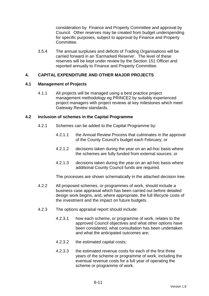consideration by Finance and Property Committee and approval by Council. Other reserves may be created from budget underspending for specific purposes, subject to approval by Finance and Property Committee.

3.5.4 The annual surpluses and deficits of Trading Organisations will be carried forward in an 'Earmarked Reserve'. The level of these reserves will be kept under review by the Section 151 Officer and reported annually to Finance and Property Committee.

### **4. CAPITAL EXPENDITURE AND OTHER MAJOR PROJECTS**

#### **4.1 Management of Projects**

4.1.1 All projects will be managed using a best practice project management methodology eg PRINCE2 by suitably experienced project managers with project reviews at key milestones which meet Gateway Review standards.

#### **4.2 Inclusion of schemes in the Capital Programme**

- 4.2.1 Schemes can be added to the Capital Programme by:
	- 4.2.1.1 the Annual Review Process that culminates in the approval of the County Council's budget each February; or
	- 4.2.1.2 decisions taken during the year on an ad-hoc basis where the schemes are fully funded from external sources; or
	- 4.2.1.3 decisions taken during the year on an ad-hoc basis where additional County Council funds are required.

The processes are shown schematically in the attached decision tree.

- 4.2.2 All proposed schemes, or programmes of work, should include a business case appraisal which has been carried out before detailed design work begins, and, where appropriate, the full lifecycle costs of the investment and the impact on future budgets.
- 4.2.3 The options appraisal report should include:
	- 4.2.3.1 how each scheme, or programme of work, relates to the approved Council objectives and what other options have been considered, what consultation has been undertaken and what the anticipated outcomes are;
	- 4.2.3.2 the estimated capital costs;
	- 4.2.3.3 the estimated revenue costs for each of the first three years of the scheme or programme of work, including the eventual revenue costs for a full year of operating the scheme or programme of work.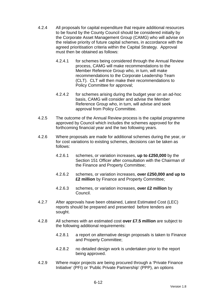- 4.2.4 All proposals for capital expenditure that require additional resources to be found by the County Council should be considered initially by the Corporate Asset Management Group (CAMG) who will advise on the relative priority of future capital schemes, in accordance with the agreed prioritisation criteria within the Capital Strategy. Approval must then be obtained as follows:
	- 4.2.4.1 for schemes being considered through the Annual Review process, CAMG will make recommendations to the Member Reference Group who, in turn, will make recommendations to the Corporate Leadership Team (CLT). CLT will then make their recommendations to Policy Committee for approval;
	- 4.2.4.2 for schemes arising during the budget year on an ad-hoc basis, CAMG will consider and advise the Member Reference Group who, in turn, will advise and seek approval from Policy Committee.
- 4.2.5 The outcome of the Annual Review process is the capital programme approved by Council which includes the schemes approved for the forthcoming financial year and the two following years.
- 4.2.6 Where proposals are made for additional schemes during the year, or for cost variations to existing schemes, decisions can be taken as follows:
	- 4.2.6.1 schemes, or variation increases, **up to £250,000** by the Section 151 Officer after consultation with the Chairman of the Finance and Property Committee;
	- 4.2.6.2 schemes, or variation increases, **over £250,000 and up to £2 million** by Finance and Property Committee;
	- 4.2.6.3 schemes, or variation increases, **over £2 million** by Council.
- 4.2.7 After approvals have been obtained, Latest Estimated Cost (LEC) reports should be prepared and presented before tenders are sought.
- 4.2.8 All schemes with an estimated cost **over £7.5 million** are subject to the following additional requirements:
	- 4.2.8.1 a report on alternative design proposals is taken to Finance and Property Committee;
	- 4.2.8.2 no detailed design work is undertaken prior to the report being approved.
- 4.2.9 Where major projects are being procured through a 'Private Finance Initiative' (PFI) or 'Public Private Partnership' (PPP), an options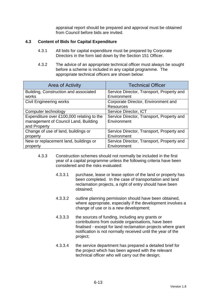appraisal report should be prepared and approval must be obtained from Council before bids are invited.

## **4.3 Content of Bids for Capital Expenditure**

- 4.3.1 All bids for capital expenditure must be prepared by Corporate Directors in the form laid down by the Section 151 Officer.
- 4.3.2 The advice of an appropriate technical officer must always be sought before a scheme is included in any capital programme. The appropriate technical officers are shown below:

| <b>Area of Activity</b>                   | <b>Technical Officer</b>                  |  |
|-------------------------------------------|-------------------------------------------|--|
| Building, Construction and associated     | Service Director, Transport, Property and |  |
| works                                     | Environment                               |  |
| <b>Civil Engineering works</b>            | Corporate Director, Environment and       |  |
|                                           | <b>Resources</b>                          |  |
| Computer technology                       | Service Director, ICT                     |  |
| Expenditure over £100,000 relating to the | Service Director, Transport, Property and |  |
| management of Council Land, Building      | Environment                               |  |
| and Property                              |                                           |  |
| Change of use of land, buildings or       | Service Director, Transport, Property and |  |
| property                                  | Environment                               |  |
| New or replacement land, buildings or     | Service Director, Transport, Property and |  |
| property                                  | Environment                               |  |

- 4.3.3 Construction schemes should not normally be included in the first year of a capital programme unless the following criteria have been considered and the risks evaluated:
	- 4.3.3.1 purchase, lease or lease option of the land or property has been completed. In the case of transportation and land reclamation projects, a right of entry should have been obtained;
	- 4.3.3.2 outline planning permission should have been obtained, where appropriate, especially if the development involves a change of use or is a new development;
	- 4.3.3.3 the sources of funding, including any grants or contributions from outside organisations, have been finalised - except for land reclamation projects where grant notification is not normally received until the year of the project;
	- 4.3.3.4 the service department has prepared a detailed brief for the project which has been agreed with the relevant technical officer who will carry out the design;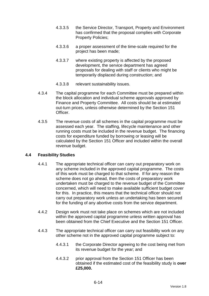- 4.3.3.5 the Service Director, Transport, Property and Environment has confirmed that the proposal complies with Corporate Property Policies;
- 4.3.3.6 a proper assessment of the time-scale required for the project has been made;
- 4.3.3.7 where existing property is affected by the proposed development, the service department has agreed proposals for dealing with staff or clients who might be temporarily displaced during construction; and
- 4.3.3.8 relevant sustainability issues.
- 4.3.4 The capital programme for each Committee must be prepared within the block allocation and individual scheme approvals approved by Finance and Property Committee. All costs should be at estimated out-turn prices, unless otherwise determined by the Section 151 Officer.
- 4.3.5 The revenue costs of all schemes in the capital programme must be assessed each year. The staffing, lifecycle maintenance and other running costs must be included in the revenue budget. The financing costs for expenditure funded by borrowing or leasing will be calculated by the Section 151 Officer and included within the overall revenue budget.

### **4.4 Feasibility Studies**

- 4.4.1 The appropriate technical officer can carry out preparatory work on any scheme included in the approved capital programme. The costs of this work must be charged to that scheme. If for any reason the scheme does not go ahead, then the costs of preparatory work undertaken must be charged to the revenue budget of the Committee concerned, which will need to make available sufficient budget cover for this. In practice, this means that the technical officer should not carry out preparatory work unless an undertaking has been secured for the funding of any abortive costs from the service department.
- 4.4.2 Design work must not take place on schemes which are not included within the approved capital programme unless written approval has been obtained from the Chief Executive and the Section 151 Officer.
- 4.4.3 The appropriate technical officer can carry out feasibility work on any other scheme not in the approved capital programme subject to:
	- 4.4.3.1 the Corporate Director agreeing to the cost being met from its revenue budget for the year; and
	- 4.4.3.2 prior approval from the Section 151 Officer has been obtained if the estimated cost of the feasibility study is **over £25,000.**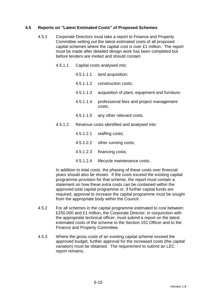## **4.5 Reports on "Latest Estimated Costs" of Proposed Schemes**

- 4.5.1 Corporate Directors must take a report to Finance and Property Committee setting out the latest estimated costs of all proposed capital schemes where the capital cost is over £1 million. The report must be made after detailed design work has been completed but before tenders are invited and should contain:
	- 4.5.1.1 Capital costs analysed into:
		- 4.5.1.1.1 land acquisition;
		- 4.5.1.1.2 construction costs;
		- 4.5.1.1.3 acquisition of plant, equipment and furniture;
		- 4.5.1.1.4 professional fees and project management costs;
		- 4.5.1.1.5 any other relevant costs.
	- 4.5.1.2 Revenue costs identified and analysed into:
		- 4.5.1.2.1 staffing costs;
		- 4.5.1.2.2 other running costs;
		- 4.5.1.2.3 financing costs;
		- 4.5.1.2.4 lifecycle maintenance costs.

In addition to total costs, the phasing of these costs over financial years should also be shown. If the costs exceed the existing capital programme provision for that scheme, the report must contain a statement on how these extra costs can be contained within the approved total capital programme or, if further capital funds are required, approval to increase the capital programme must be sought from the appropriate body within the Council.

- 4.5.2 For all schemes in the capital programme estimated to cost between £250,000 and £1 million**,** the Corporate Director, in conjunction with the appropriate technical officer, must submit a report on the latest estimated costs of the scheme to the Section 151 Officer and to the Finance and Property Committee.
- 4.5.3 Where the gross costs of an existing capital scheme exceed the approved budget, further approval for the increased costs (the capital variation) must be obtained. The requirement to submit an LEC report remains.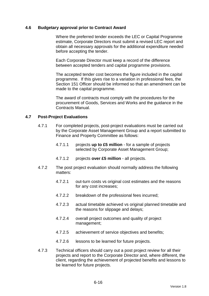#### **4.6 Budgetary approval prior to Contract Award**

 Where the preferred tender exceeds the LEC or Capital Programme estimate, Corporate Directors must submit a revised LEC report and obtain all necessary approvals for the additional expenditure needed before accepting the tender.

 Each Corporate Director must keep a record of the difference between accepted tenders and capital programme provisions.

 The accepted tender cost becomes the figure included in the capital programme. If this gives rise to a variation in professional fees, the Section 151 Officer should be informed so that an amendment can be made to the capital programme.

 The award of contracts must comply with the procedures for the procurement of Goods, Services and Works and the guidance in the Contracts Manual.

#### **4.7 Post-Project Evaluations**

- 4.7.1 For completed projects, post-project evaluations must be carried out by the Corporate Asset Management Group and a report submitted to Finance and Property Committee as follows:
	- 4.7.1.1 projects **up to £5 million** for a sample of projects selected by Corporate Asset Management Group;
	- 4.7.1.2 projects **over £5 million** all projects.
- 4.7.2 The post project evaluation should normally address the following matters:
	- 4.7.2.1 out-turn costs vs original cost estimates and the reasons for any cost increases;
	- 4.7.2.2 breakdown of the professional fees incurred;
	- 4.7.2.3 actual timetable achieved vs original planned timetable and the reasons for slippage and delays;
	- 4.7.2.4 overall project outcomes and quality of project management;
	- 4.7.2.5 achievement of service objectives and benefits;
	- 4.7.2.6 lessons to be learned for future projects.
- 4.7.3 Technical officers should carry out a post project review for all their projects and report to the Corporate Director and, where different, the client, regarding the achievement of projected benefits and lessons to be learned for future projects.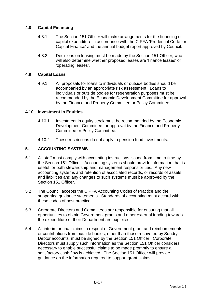## **4.8 Capital Financing**

- 4.8.1 The Section 151 Officer will make arrangements for the financing of capital expenditure in accordance with the CIPFA 'Prudential Code for Capital Finance' and the annual budget report approved by Council.
- 4.8.2 Decisions on leasing must be made by the Section 151 Officer, who will also determine whether proposed leases are 'finance leases' or 'operating leases'.

### **4.9 Capital Loans**

4.9.1 All proposals for loans to individuals or outside bodies should be accompanied by an appropriate risk assessment. Loans to individuals or outside bodies for regeneration purposes must be recommended by the Economic Development Committee for approval by the Finance and Property Committee or Policy Committee.

### **4.10 Investment in Equities**

- 4.10.1 Investment in equity stock must be recommended by the Economic Development Committee for approval by the Finance and Property Committee or Policy Committee.
- 4.10.2 These restrictions do not apply to pension fund investments.

# **5. ACCOUNTING SYSTEMS**

- 5.1 All staff must comply with accounting instructions issued from time to time by the Section 151 Officer. Accounting systems should provide information that is useful for both stewardship and management responsibilities. Any new accounting systems and retention of associated records, or records of assets and liabilities and any changes to such systems must be approved by the Section 151 Officer.
- 5.2 The Council accepts the CIPFA Accounting Codes of Practice and the supporting guidance statements. Standards of accounting must accord with these codes of best practice.
- 5.3 Corporate Directors and Committees are responsible for ensuring that all opportunities to obtain Government grants and other external funding towards the expenditure of their Department are exploited.
- 5.4 All interim or final claims in respect of Government grant and reimbursements or contributions from outside bodies, other than those recovered by Sundry Debtor accounts, must be signed by the Section 151 Officer. Corporate Directors must supply such information as the Section 151 Officer considers necessary to enable successful claims to be made promptly to ensure a satisfactory cash flow is achieved. The Section 151 Officer will provide guidance on the information required to support grant claims.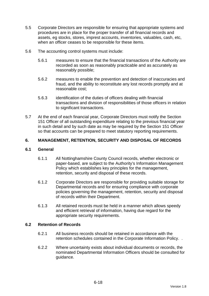- 5.5 Corporate Directors are responsible for ensuring that appropriate systems and procedures are in place for the proper transfer of all financial records and assets, eg stocks, stores, imprest accounts, inventories, valuables, cash, etc, when an officer ceases to be responsible for these items.
- 5.6 The accounting control systems must include:
	- 5.6.1 measures to ensure that the financial transactions of the Authority are recorded as soon as reasonably practicable and as accurately as reasonably possible;
	- 5.6.2 measures to enable the prevention and detection of inaccuracies and fraud, and the ability to reconstitute any lost records promptly and at reasonable cost;
	- 5.6.3 identification of the duties of officers dealing with financial transactions and division of responsibilities of those officers in relation to significant transactions.
- 5.7 At the end of each financial year, Corporate Directors must notify the Section 151 Officer of all outstanding expenditure relating to the previous financial year in such detail and by such date as may be required by the Section 151 Officer so that accounts can be prepared to meet statutory reporting requirements.

# **6. MANAGEMENT, RETENTION, SECURITY AND DISPOSAL OF RECORDS**

### **6.1 General**

- 6.1.1 All Nottinghamshire County Council records, whether electronic or paper-based, are subject to the Authority's Information Management Policy which establishes key principles for the management, retention, security and disposal of these records.
- 6.1.2 Corporate Directors are responsible for providing suitable storage for Departmental records and for ensuring compliance with corporate policies governing the management, retention, security and disposal of records within their Department.
- 6.1.3 All retained records must be held in a manner which allows speedy and efficient retrieval of information, having due regard for the appropriate security requirements.

### **6.2 Retention of Records**

- 6.2.1 All business records should be retained in accordance with the retention schedules contained in the Corporate Information Policy. .
- 6.2.2 Where uncertainty exists about individual documents or records, the nominated Departmental Information Officers should be consulted for guidance.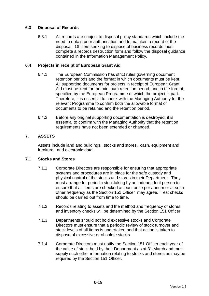# **6.3 Disposal of Records**

6.3.1 All records are subject to disposal policy standards which include the need to obtain prior authorisation and to maintain a record of the disposal. Officers seeking to dispose of business records must complete a records destruction form and follow the disposal guidance contained in the Information Management Policy.

### **6.4 Projects in receipt of European Grant Aid**

- 6.4.1 The European Commission has strict rules governing document retention periods and the format in which documents must be kept. All supporting documents for projects in receipt of European Grant Aid must be kept for the minimum retention period, and in the format, specified by the European Programme of which the project is part. Therefore, it is essential to check with the Managing Authority for the relevant Programme to confirm both the allowable format of documents to be retained and the retention period.
- 6.4.2 Before any original supporting documentation is destroyed, it is essential to confirm with the Managing Authority that the retention requirements have not been extended or changed.

## **7. ASSETS**

Assets include land and buildings, stocks and stores, cash, equipment and furniture, and electronic data.

### **7.1 Stocks and Stores**

- 7.1.1 Corporate Directors are responsible for ensuring that appropriate systems and procedures are in place for the safe custody and physical control of the stocks and stores in their Department. They must arrange for periodic stocktaking by an independent person to ensure that all items are checked at least once per annum or at such other frequency as the Section 151 Officer may agree. Test checks should be carried out from time to time.
- 7.1.2 Records relating to assets and the method and frequency of stores and inventory checks will be determined by the Section 151 Officer.
- 7.1.3 Departments should not hold excessive stocks and Corporate Directors must ensure that a periodic review of stock turnover and stock levels of all items is undertaken and that action is taken to dispose of excessive or obsolete stocks.
- 7.1.4 Corporate Directors must notify the Section 151 Officer each year of the value of stock held by their Department as at 31 March and must supply such other information relating to stocks and stores as may be required by the Section 151 Officer.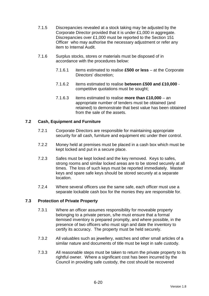- 7.1.5 Discrepancies revealed at a stock taking may be adjusted by the Corporate Director provided that it is under £1,000 in aggregate. Discrepancies over £1,000 must be reported to the Section 151 Officer who may authorise the necessary adjustment or refer any item to Internal Audit.
- 7.1.6 Surplus stocks, stores or materials must be disposed of in accordance with the procedures below:
	- 7.1.6.1 items estimated to realise **£500 or less** at the Corporate Directors' discretion;
	- 7.1.6.2 items estimated to realise **between £500 and £10,000** competitive quotations must be sought;
	- 7.1.6.3 items estimated to realise **more than £10,000** an appropriate number of tenders must be obtained (and retained) to demonstrate that best value has been obtained from the sale of the assets.

## **7.2 Cash, Equipment and Furniture**

- 7.2.1 Corporate Directors are responsible for maintaining appropriate security for all cash, furniture and equipment etc under their control.
- 7.2.2 Money held at premises must be placed in a cash box which must be kept locked and put in a secure place.
- 7.2.3 Safes must be kept locked and the key removed. Keys to safes, strong rooms and similar locked areas are to be stored securely at all times. The loss of such keys must be reported immediately. Master keys and spare safe keys should be stored securely at a separate location.
- 7.2.4 Where several officers use the same safe, each officer must use a separate lockable cash box for the monies they are responsible for.

### **7.3 Protection of Private Property**

- 7.3.1 Where an officer assumes responsibility for moveable property belonging to a private person, s/he must ensure that a formal itemised inventory is prepared promptly, and where possible, in the presence of two officers who must sign and date the inventory to certify its accuracy. The property must be held securely.
- 7.3.2 All valuables such as jewellery, watches and other small articles of a similar nature and documents of title must be kept in safe custody.
- 7.3.3 All reasonable steps must be taken to return the private property to its rightful owner. Where a significant cost has been incurred by the Council in providing safe custody, the cost should be recovered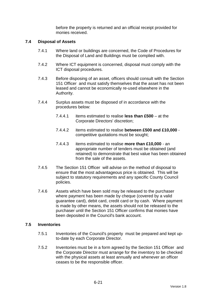before the property is returned and an official receipt provided for monies received.

### **7.4 Disposal of Assets**

- 7.4.1 Where land or buildings are concerned, the Code of Procedures for the Disposal of Land and Buildings must be complied with.
- 7.4.2 Where ICT equipment is concerned, disposal must comply with the ICT disposal procedures.
- 7.4.3 Before disposing of an asset, officers should consult with the Section 151 Officer and must satisfy themselves that the asset has not been leased and cannot be economically re-used elsewhere in the Authority.
- 7.4.4 Surplus assets must be disposed of in accordance with the procedures below:
	- 7.4.4.1 items estimated to realise **less than £500** at the Corporate Directors' discretion;
	- 7.4.4.2 items estimated to realise **between £500 and £10,000** competitive quotations must be sought;
	- 7.4.4.3 items estimated to realise **more than £10,000** an appropriate number of tenders must be obtained (and retained) to demonstrate that best value has been obtained from the sale of the assets.
- 7.4.5 The Section 151 Officer will advise on the method of disposal to ensure that the most advantageous price is obtained. This will be subject to statutory requirements and any specific County Council policies.
- 7.4.6 Assets which have been sold may be released to the purchaser where payment has been made by cheque (covered by a valid guarantee card), debit card, credit card or by cash. Where payment is made by other means, the assets should not be released to the purchaser until the Section 151 Officer confirms that monies have been deposited in the Council's bank account.

#### **7.5 Inventories**

- 7.5.1 Inventories of the Council's property must be prepared and kept upto-date by each Corporate Director.
- 7.5.2 Inventories must be in a form agreed by the Section 151 Officer and the Corporate Director must arrange for the inventory to be checked with the physical assets at least annually and whenever an officer ceases to be the responsible officer.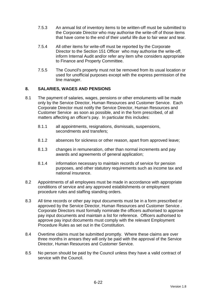- 7.5.3 An annual list of inventory items to be written-off must be submitted to the Corporate Director who may authorise the write-off of those items that have come to the end of their useful life due to fair wear and tear.
- 7.5.4 All other items for write-off must be reported by the Corporate Director to the Section 151 Officer who may authorise the write-off, inform Internal Audit and/or refer any item s/he considers appropriate to Finance and Property Committee.
- 7.5.5 The Council's property must not be removed from its usual location or used for unofficial purposes except with the express permission of the line manager.

## **8. SALARIES, WAGES AND PENSIONS**

- 8.1 The payment of salaries, wages, pensions or other emoluments will be made only by the Service Director, Human Resources and Customer Service. Each Corporate Director must notify the Service Director, Human Resources and Customer Service as soon as possible, and in the form prescribed, of all matters affecting an officer's pay. In particular this includes:
	- 8.1.1 all appointments, resignations, dismissals, suspensions, secondments and transfers;
	- 8.1.2 absences for sickness or other reason, apart from approved leave;
	- 8.1.3 changes in remuneration, other than normal increments and pay awards and agreements of general application;
	- 8.1.4 information necessary to maintain records of service for pension purposes, and other statutory requirements such as income tax and national insurance.
- 8.2 Appointments of all employees must be made in accordance with appropriate conditions of service and any approved establishments or employment procedure rules and staffing standing orders.
- 8.3 All time records or other pay input documents must be in a form prescribed or approved by the Service Director, Human Resources and Customer Service . Corporate Directors must formally nominate the officers authorised to approve pay input documents and maintain a list for reference. Officers authorised to approve pay input documents must comply with the relevant Employment Procedure Rules as set out in the Constitution.
- 8.4 Overtime claims must be submitted promptly. Where these claims are over three months in arrears they will only be paid with the approval of the Service Director, Human Resources and Customer Service.
- 8.5 No person should be paid by the Council unless they have a valid contract of service with the Council.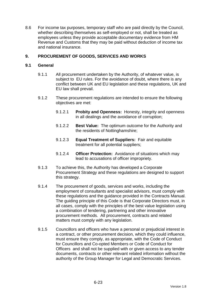8.6 For income tax purposes, temporary staff who are paid directly by the Council, whether describing themselves as self-employed or not, shall be treated as employees unless they provide acceptable documentary evidence from HM Revenue and Customs that they may be paid without deduction of income tax and national insurance.

## **9. PROCUREMENT OF GOODS, SERVICES AND WORKS**

#### **9.1 General**

- 9.1.1 All procurement undertaken by the Authority, of whatever value, is subject to EU rules. For the avoidance of doubt, where there is any conflict between UK and EU legislation and these regulations, UK and EU law shall prevail.
- 9.1.2 These procurement regulations are intended to ensure the following objectives are met:
	- 9.1.2.1 **Probity and Openness:** Honesty, integrity and openness in all dealings and the avoidance of corruption;
	- 9.1.2.2 **Best Value:** The optimum outcome for the Authority and the residents of Nottinghamshire;
	- 9.1.2.3 **Equal Treatment of Suppliers:** Fair and equitable treatment for all potential suppliers;
	- 9.1.2.4 **Officer Protection:** Avoidance of situations which may lead to accusations of officer impropriety.
- 9.1.3 To achieve this, the Authority has developed a Corporate Procurement Strategy and these regulations are designed to support this strategy.
- 9.1.4 The procurement of goods, services and works, including the employment of consultants and specialist advisors, must comply with these regulations and the guidance provided in the Contracts Manual. The guiding principle of this Code is that Corporate Directors must, in all cases, comply with the principles of the best value legislation using a combination of tendering, partnering and other innovative procurement methods. All procurement, contracts and related matters must comply with any legislation.
- 9.1.5 Councillors and officers who have a personal or prejudicial interest in a contract, or other procurement decision, which they could influence, must ensure they comply, as appropriate, with the Code of Conduct for Councillors and Co-opted Members or Code of Conduct for Officers and shall not be supplied with or given access to any tender documents, contracts or other relevant related information without the authority of the Group Manager for Legal and Democratic Services.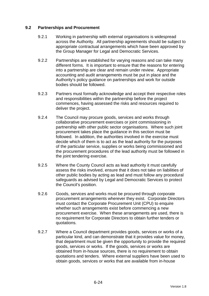### **9.2 Partnerships and Procurement**

- 9.2.1 Working in partnership with external organisations is widespread across the Authority. All partnership agreements should be subject to appropriate contractual arrangements which have been approved by the Group Manager for Legal and Democratic Services.
- 9.2.2 Partnerships are established for varying reasons and can take many different forms. It is important to ensure that the reasons for entering into a partnership are clear and remain under review. Appropriate accounting and audit arrangements must be put in place and the Authority's policy guidance on partnerships and work for outside bodies should be followed.
- 9.2.3 Partners must formally acknowledge and accept their respective roles and responsibilities within the partnership before the project commences, having assessed the risks and resources required to deliver the project.
- 9.2.4 The Council may procure goods, services and works through collaborative procurement exercises or joint commissioning in partnership with other public sector organisations. Where such joint procurement takes place the guidance in this section must be followed. In addition, the authorities involved in the exercise must decide which of them is to act as the lead authority for the purposes of the particular service, supplies or works being commissioned and the procurement procedures of the lead authority must be followed in the joint tendering exercise.
- 9.2.5 Where the County Council acts as lead authority it must carefully assess the risks involved, ensure that it does not take on liabilities of other public bodies by acting as lead and must follow any procedural safeguards as advised by Legal and Democratic Services to protect the Council's position.
- 9.2.6 Goods, services and works must be procured through corporate procurement arrangements wherever they exist. Corporate Directors must contact the Corporate Procurement Unit (CPU) to enquire whether such arrangements exist before commencing a new procurement exercise. When these arrangements are used, there is no requirement for Corporate Directors to obtain further tenders or quotations.
- 9.2.7 Where a Council department provides goods, services or works of a particular kind, and can demonstrate that it provides value for money, that department must be given the opportunity to provide the required goods, services or works. If the goods, services or works are obtained from in-house sources, there is no requirement to obtain quotations and tenders. Where external suppliers have been used to obtain goods, services or works that are available from in-house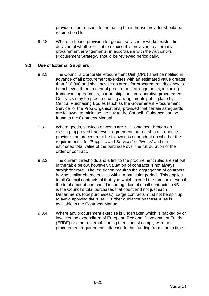providers, the reasons for not using the in-house provider should be retained on file.

9.2.8 Where in-house provision for goods, services or works exists, the decision of whether or not to expose this provision to alternative procurement arrangements, in accordance with the Authority's Procurement Strategy, should be reviewed periodically.

## **9.3 Use of External Suppliers**

- 9.3.1 The Council's Corporate Procurement Unit (CPU) shall be notified in advance of all procurement exercises with an estimated value greater than £10,000 and shall advise on areas for procurement efficiency to be achieved through central procurement arrangements, including framework agreements, partnerships and collaborative procurement. Contracts may be procured using arrangements put in place by Central Purchasing Bodies (such as the Government Procurement Service or the Pro5 Organisations) provided that certain safeguards are followed to minimise the risk to the Council. Guidance can be found in the Contracts Manual.
- 9.3.2 Where goods, services or works are NOT obtained through an existing, approved framework agreement, partnership or in-house provider, the procedure to be followed is dependent on whether the requirement is for 'Supplies and Services' or 'Works' and the estimated total value of the purchase over the full duration of the order or contract.
- 9.3.3 The current thresholds and a link to the procurement rules are set out in the table below, however, valuation of contracts is not always straightforward. The legislation requires the aggregation of contracts having similar characteristics within a particular period. This applies to all Council contracts of that type which exceed the threshold even if the total amount purchased is through lots of small contracts. (NB It is the Council's total purchases that count and not just each Department's total purchases.) Large contracts must not be split up to avoid applying the rules. Further guidance on these rules is available in the Contracts Manual.
- 9.3.4 Where any procurement exercise is undertaken which is backed by or involves the expenditure of European Regional Development Funds (ERDF) or other external funding then it must comply with the procurement requirements attached to that funding from time to time.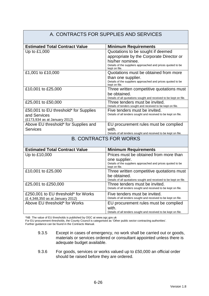#### A. CONTRACTS FOR SUPPLIES AND SERVICES **Estimated Total Contract Value Minimum Requirements** Up to £1,000  $\vert$  Quotations to be sought if deemed appropriate by the Corporate Director or his/her nominee. Details of the suppliers approached and prices quoted to be kept on file. £1,001 to £10,000 Quotations must be obtained from more than one supplier. Details of the suppliers approached and prices quoted to be kept on file. £10,001 to £25,000 Three written competitive quotations must be obtained. Details of all quotations sought and received to be kept on file. £25,001 to £50,000 Three tenders must be invited. Details of tenders sought and received to be kept on file. £50,001 to EU threshold\* for Supplies and Services (£173,934 as at January 2012) Five tenders must be invited. Details of all tenders sought and received to be kept on file. Above EU threshold\* for Supplies and **Services** EU procurement rules must be complied with. Details of all tenders sought and received to be kept on file. B. CONTRACTS FOR WORKS **Estimated Total Contract Value | Minimum Requirements** Up to £10,000 Prices must be obtained from more than one supplier. Details of the suppliers approached and prices quoted to be kept on file. £10,001 to £25,000 Three written competitive quotations must be obtained. Details of all quotations sought and received to be kept on file. £25,001 to £250,000 Three tenders must be invited. Details of all tenders sought and received to be kept on file. £250,001 to EU threshold\* for Works (£ 4,348,350 as at January 2012) Five tenders must be invited. Details of all tenders sought and received to be kept on file. Above EU threshold\* for Works **EU** procurement rules must be complied with. Details of all tenders sought and received to be kept on file.

\*NB The value of EU thresholds is published by OGC at www.ogc.gov.uk

For EU procurement thresholds, the County Council is categorised as 'Other public sector contracting authorities'.

Further guidance can be found in the Contracts Manual.

- 9.3.5 Except in cases of emergency, no work shall be carried out or goods, materials or services ordered or consultant appointed unless there is adequate budget available.
- 9.3.6 For goods, services or works valued up to £50,000 an official order should be raised before they are ordered.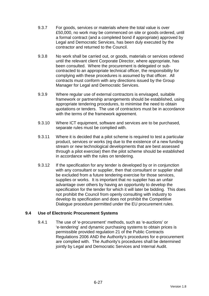- 9.3.7 For goods, services or materials where the total value is over £50,000, no work may be commenced on site or goods ordered, until a formal contract (and a completed bond if appropriate) approved by Legal and Democratic Services, has been duly executed by the contractor and returned to the Council.
- 9.3.8 No work shall be carried out, or goods, materials or services ordered until the relevant client Corporate Director, where appropriate, has been consulted. Where the procurement is delegated or subcontracted to an appropriate technical officer, the responsibility for complying with these procedures is assumed by that officer. All contracts must conform with any directions issued by the Group Manager for Legal and Democratic Services.
- 9.3.9 Where regular use of external contractors is envisaged, suitable framework or partnership arrangements should be established, using appropriate tendering procedures, to minimise the need to obtain quotations or tenders. The use of contractors must be in accordance with the terms of the framework agreement.
- 9.3.10 Where ICT equipment, software and services are to be purchased, separate rules must be complied with.
- 9.3.11 Where it is decided that a pilot scheme is required to test a particular product, services or works (eg due to the existence of a new funding stream or new technological developments that are best assessed through a pilot exercise) then the pilot scheme should be established in accordance with the rules on tendering.
- 9.3.12 If the specification for any tender is developed by or in conjunction with any consultant or supplier, then that consultant or supplier shall be excluded from a future tendering exercise for those services, supplies or works. It is important that no supplier has an unfair advantage over others by having an opportunity to develop the specification for the tender for which it will later be bidding. This does not prohibit the Council from openly consulting with industry to develop its specification and does not prohibit the Competitive Dialogue procedure permitted under the EU procurement rules.

### **9.4 Use of Electronic Procurement Systems**

9.4.1 The use of 'e-procurement' methods, such as 'e-auctions' or 'e-tendering' and dynamic purchasing systems to obtain prices is permissible provided regulation 21 of the Public Contracts Regulations 2006 AND the Authority's procedures for e-procurement are complied with. The Authority's procedures shall be determined jointly by Legal and Democratic Services and Internal Audit.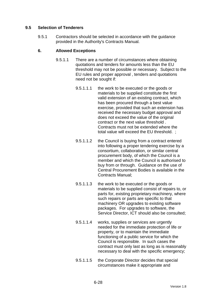## **9.5 Selection of Tenderers**

9.5.1 Contractors should be selected in accordance with the guidance provided in the Authority's Contracts Manual.

### **6. Allowed Exceptions**

- 9.5.1.1 There are a number of circumstances where obtaining quotations and tenders for amounts less than the EU threshold may not be possible or necessary. Subject to the EU rules and proper approval , tenders and quotations need not be sought if:
	- 9.5.1.1.1 the work to be executed or the goods or materials to be supplied constitute the first valid extension of an existing contract, which has been procured through a best value exercise, provided that such an extension has received the necessary budget approval and does not exceed the value of the original contract or the next value threshold . Contracts must not be extended where the total value will exceed the EU threshold. ;
	- 9.5.1.1.2 the Council is buying from a contract entered into following a proper tendering exercise by a consortium, collaboration, or similar central procurement body, of which the Council is a member and which the Council is authorised to buy from or through. Guidance on the use of Central Procurement Bodies is available in the Contracts Manual;
	- 9.5.1.1.3 the work to be executed or the goods or materials to be supplied consist of repairs to, or parts for, existing proprietary machinery, where such repairs or parts are specific to that machinery OR upgrades to existing software packages. For upgrades to software, the Service Director, ICT should also be consulted;
	- 9.5.1.1.4 works, supplies or services are urgently needed for the immediate protection of life or property, or to maintain the immediate functioning of a public service for which the Council is responsible. In such cases the contract must only last as long as is reasonably necessary to deal with the specific emergency;
	- 9.5.1.1.5 the Corporate Director decides that special circumstances make it appropriate and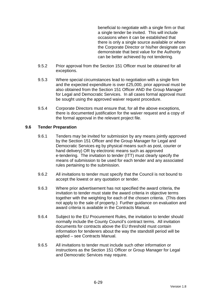beneficial to negotiate with a single firm or that a single tender be invited. This will include occasions when it can be established that there is only a single source available or where the Corporate Director or his/her designate can demonstrate that best value for the Authority can be better achieved by not tendering.

- 9.5.2 Prior approval from the Section 151 Officer must be obtained for all exceptions.
- 9.5.3 Where special circumstances lead to negotiation with a single firm and the expected expenditure is over £25,000, prior approval must be also obtained from the Section 151 Officer AND the Group Manager for Legal and Democratic Services. In all cases formal approval must be sought using the approved waiver request procedure.
- 9.5.4 Corporate Directors must ensure that, for all the above exceptions, there is documented justification for the waiver request and a copy of the formal approval in the relevant project file.

### **9.6 Tender Preparation**

- 9.6.1 Tenders may be invited for submission by any means jointly approved by the Section 151 Officer and the Group Manager for Legal and Democratic Services eg by physical means such as post, courier or hand delivery) OR by electronic means such as approved e-tendering. The invitation to tender (ITT) must clearly specify the means of submission to be used for each tender and any associated rules pertaining to the submission.
- 9.6.2 All invitations to tender must specify that the Council is not bound to accept the lowest or any quotation or tender.
- 9.6.3 Where prior advertisement has not specified the award criteria, the invitation to tender must state the award criteria in objective terms together with the weighting for each of the chosen criteria. (This does not apply to the sale of property.) Further guidance on evaluation and award criteria is available in the Contracts Manual.
- 9.6.4 Subject to the EU Procurement Rules, the invitation to tender should normally include the County Council's contract terms. All invitation documents for contracts above the EU threshold must contain information for tenderers about the way the standstill period will be applied – see Contracts Manual.
- 9.6.5 All invitations to tender must include such other information or instructions as the Section 151 Officer or Group Manager for Legal and Democratic Services may require.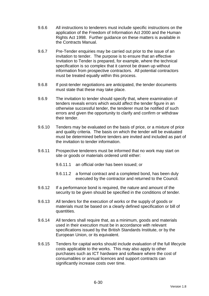- 9.6.6 All instructions to tenderers must include specific instructions on the application of the Freedom of Information Act 2000 and the Human Rights Act 1998. Further guidance on these matters is available in the Contracts Manual.
- 9.6.7 Pre-Tender enquiries may be carried out prior to the issue of an invitation to tender. The purpose is to ensure that an effective Invitation to Tender is prepared, for example, where the technical specification is so complex that it cannot be drawn up without information from prospective contractors. All potential contractors must be treated equally within this process.
- 9.6.8 If post-tender negotiations are anticipated, the tender documents must state that these may take place.
- 9.6.9 The invitation to tender should specify that, where examination of tenders reveals errors which would affect the tender figure in an otherwise successful tender, the tenderer must be notified of such errors and given the opportunity to clarify and confirm or withdraw their tender.
- 9.6.10 Tenders may be evaluated on the basis of price, or a mixture of price and quality criteria. The basis on which the tender will be evaluated must be determined before tenders are invited and included as part of the invitation to tender information.
- 9.6.11 Prospective tenderers must be informed that no work may start on site or goods or materials ordered until either:
	- 9.6.11.1 an official order has been issued; or
	- 9.6.11.2 a formal contract and a completed bond, has been duly executed by the contractor and returned to the Council.
- 9.6.12 If a performance bond is required, the nature and amount of the security to be given should be specified in the conditions of tender.
- 9.6.13 All tenders for the execution of works or the supply of goods or materials must be based on a clearly defined specification or bill of quantities.
- 9.6.14 All tenders shall require that, as a minimum, goods and materials used in their execution must be in accordance with relevant specifications issued by the British Standards Institute, or by the European Union, or its equivalent.
- 9.6.15 Tenders for capital works should include evaluation of the full lifecycle costs applicable to the works. This may also apply to other purchases such as ICT hardware and software where the cost of consumables or annual licences and support contracts can significantly increase costs over time.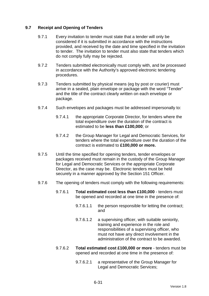## **9.7 Receipt and Opening of Tenders**

- 9.7.1 Every invitation to tender must state that a tender will only be considered if it is submitted in accordance with the instructions provided, and received by the date and time specified in the invitation to tender. The invitation to tender must also state that tenders which do not comply fully may be rejected.
- 9.7.2 Tenders submitted electronically must comply with, and be processed in accordance with the Authority's approved electronic tendering procedures.
- 9.7.3 Tenders submitted by physical means (eg by post or courier) must arrive in a sealed, plain envelope or package with the word "Tender" and the title of the contract clearly written on each envelope or package.
- 9.7.4 Such envelopes and packages must be addressed impersonally to:
	- 9.7.4.1 the appropriate Corporate Director, for tenders where the total expenditure over the duration of the contract is estimated to be **less than £100,000**; or
	- 9.7.4.2 the Group Manager for Legal and Democratic Services, for tenders where the total expenditure over the duration of the contract is estimated to **£100,000 or more.**
- 9.7.5 Until the time specified for opening tenders, tender envelopes or packages received must remain in the custody of the Group Manager for Legal and Democratic Services or the appropriate Corporate Director, as the case may be. Electronic tenders must be held securely in a manner approved by the Section 151 Officer.
- 9.7.6 The opening of tenders must comply with the following requirements:
	- 9.7.6.1 **Total estimated cost less than £100,000** tenders must be opened and recorded at one time in the presence of:
		- 9.7.6.1.1 the person responsible for letting the contract; and
		- 9.7.6.1.2 a supervising officer, with suitable seniority, training and experience in the role and responsibilities of a supervising officer, who must not have any direct involvement in the administration of the contract to be awarded.
	- 9.7.6.2 **Total estimated cost £100,000 or more** tenders must be opened and recorded at one time in the presence of:
		- 9.7.6.2.1 a representative of the Group Manager for Legal and Democratic Services;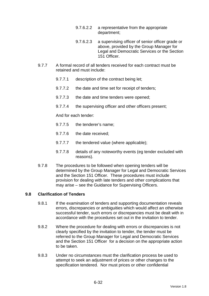- 9.7.6.2.2 a representative from the appropriate department;
- 9.7.6.2.3 a supervising officer of senior officer grade or above, provided by the Group Manager for Legal and Democratic Services or the Section 151 Officer.
- 9.7.7 A formal record of all tenders received for each contract must be retained and must include:
	- 9.7.7.1 description of the contract being let;
	- 9.7.7.2 the date and time set for receipt of tenders;
	- 9.7.7.3 the date and time tenders were opened;
	- 9.7.7.4 the supervising officer and other officers present;

And for each tender:

- 9.7.7.5 the tenderer's name;
- 9.7.7.6 the date received;
- 9.7.7.7 the tendered value (where applicable);
- 9.7.7.8 details of any noteworthy events (eg tender excluded with reasons).
- 9.7.8 The procedures to be followed when opening tenders will be determined by the Group Manager for Legal and Democratic Services and the Section 151 Officer. These procedures must include provision for dealing with late tenders and other complications that may arise – see the Guidance for Supervising Officers.

### **9.8 Clarification of Tenders**

- 9.8.1 If the examination of tenders and supporting documentation reveals errors, discrepancies or ambiguities which would affect an otherwise successful tender, such errors or discrepancies must be dealt with in accordance with the procedures set out in the invitation to tender.
- 9.8.2 Where the procedure for dealing with errors or discrepancies is not clearly specified by the invitation to tender, the tender must be referred to the Group Manager for Legal and Democratic Services and the Section 151 Officer for a decision on the appropriate action to be taken.
- 9.8.3 Under no circumstances must the clarification process be used to attempt to seek an adjustment of prices or other changes to the specification tendered. Nor must prices or other confidential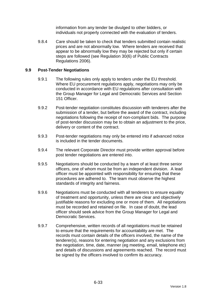information from any tender be divulged to other bidders, or individuals not properly connected with the evaluation of tenders.

9.8.4 Care should be taken to check that tenders submitted contain realistic prices and are not abnormally low. Where tenders are received that appear to be abnormally low they may be rejected but only if certain steps are followed (see Regulation 30(6) of Public Contracts Regulations 2006).

### **9.9 Post-Tender Negotiations**

- 9.9.1 The following rules only apply to tenders under the EU threshold. Where EU procurement regulations apply, negotiations may only be conducted in accordance with EU regulations after consultation with the Group Manager for Legal and Democratic Services and Section 151 Officer.
- 9.9.2 Post-tender negotiation constitutes discussion with tenderers after the submission of a tender, but before the award of the contract, including negotiations following the receipt of non-compliant bids. The purpose of post-tender discussion may be to obtain an adjustment to the price, delivery or content of the contract.
- 9.9.3 Post-tender negotiations may only be entered into if advanced notice is included in the tender documents.
- 9.9.4 The relevant Corporate Director must provide written approval before post tender negotiations are entered into.
- 9.9.5 Negotiations should be conducted by a team of at least three senior officers, one of whom must be from an independent division. A lead officer must be appointed with responsibility for ensuring that these procedures are adhered to. The team must observe the highest standards of integrity and fairness.
- 9.9.6 Negotiations must be conducted with all tenderers to ensure equality of treatment and opportunity, unless there are clear and objectively justifiable reasons for excluding one or more of them. All negotiations must be recorded and retained on file. In case of doubt, the lead officer should seek advice from the Group Manager for Legal and Democratic Services.
- 9.9.7 Comprehensive, written records of all negotiations must be retained to ensure that the requirements for accountability are met. The records must contain details of the officers involved, the name of the tenderer(s), reasons for entering negotiation and any exclusions from the negotiation, time, date, manner (eg meeting, email, telephone etc) and details of discussions and agreements reached. The record must be signed by the officers involved to confirm its accuracy.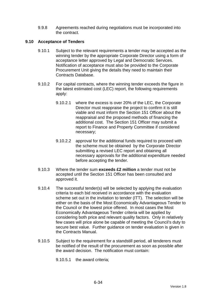9.9.8 Agreements reached during negotiations must be incorporated into the contract.

## **9.10 Acceptance of Tenders**

- 9.10.1 Subject to the relevant requirements a tender may be accepted as the winning tender by the appropriate Corporate Director using a form of acceptance letter approved by Legal and Democratic Services. Notification of acceptance must also be provided to the Corporate Procurement Unit giving the details they need to maintain their Contracts Database.
- 9.10.2 For capital contracts, where the winning tender exceeds the figure in the latest estimated cost (LEC) report, the following requirements apply:
	- 9.10.2.1 where the excess is over 20% of the LEC, the Corporate Director must reappraise the project to confirm it is still viable and must inform the Section 151 Officer about the reappraisal and the proposed methods of financing the additional cost. The Section 151 Officer may submit a report to Finance and Property Committee if considered necessary;
	- 9.10.2.2 approval for the additional funds required to proceed with the scheme must be obtained by the Corporate Director submitting a revised LEC report and obtaining all necessary approvals for the additional expenditure needed before accepting the tender.
- 9.10.3 Where the tender sum **exceeds £2 million** a tender must not be accepted until the Section 151 Officer has been consulted and approved it.
- 9.10.4 The successful tender(s) will be selected by applying the evaluation criteria to each bid received in accordance with the evaluation scheme set out in the invitation to tender (ITT). The selection will be either on the basis of the Most Economically Advantageous Tender to the Council or the lowest price offered. In most cases the Most Economically Advantageous Tender criteria will be applied by considering both price and relevant quality factors. Only in relatively few cases will price alone be capable of meeting the Council's duty to secure best value. Further guidance on tender evaluation is given in the Contracts Manual.
- 9.10.5 Subject to the requirement for a standstill period, all tenderers must be notified of the result of the procurement as soon as possible after the award decision. The notification must contain:

9.10.5.1 the award criteria;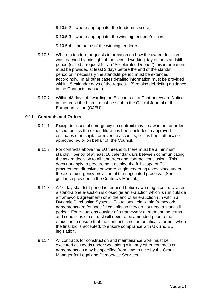- 9.10.5.2 where appropriate, the tenderer's score;
- 9.10.5.3 where appropriate, the winning tenderer's score;
- 9.10.5.4 the name of the winning tenderer.
- 9.10.6 Where a tenderer requests information on how the award decision was reached by midnight of the second working day of the standstill period (called a request for an "Accelerated Debrief") this information must be provided at least 3 days before the end of the standstill period or if necessary the standstill period must be extended accordingly. In all other cases detailed information must be provided within 15 calendar days of the request. (See also debriefing guidance in the Contracts manual.)
- 9.10.7 Within 48 days of awarding an EU contract, a Contract Award Notice, in the prescribed form, must be sent to the Official Journal of the European Union (OJEU).

#### **9.11 Contracts and Orders**

- 9.11.1 Except in cases of emergency no contract may be awarded, or order raised, unless the expenditure has been included in approved estimates or in capital or revenue accounts, or has been otherwise approved by, or on behalf of, the Council.
- 9.11.2 For contracts above the EU threshold, there must be a minimum standstill period of at least 10 calendar days between communicating the award decision to all tenderers and contract conclusion. This does not apply to procurement outside the full scope of EU procurement directives or where single tendering takes place under the extreme urgency provision of the negotiated process. (See guidance provided in the Contracts Manual.)
- 9.11.3 A 10 day standstill period is required before awarding a contract after a stand-alone e-auction is closed (ie an e-auction which is run outside a framework agreement) or at the end of an e-auction run within a Dynamic Purchasing System. E-auctions held within framework agreements are for specific call-offs so they do not need a standstill period. For e-auctions outside of a framework agreement the terms and conditions of contract will need to be amended prior to the e-auction to ensure that the contract is not automatically formed when the final bid is accepted, to ensure compliance with UK and EU legislation.
- 9.11.4 All contracts for construction and maintenance work must be executed as Deeds under Seal along with any other contracts or agreements as may be specified from time to time by the Group Manager for Legal and Democratic Services.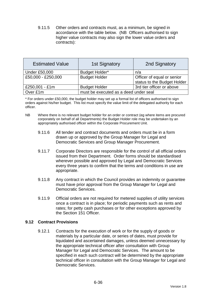9.11.5 Other orders and contracts must, as a minimum, be signed in accordance with the table below. (NB Officers authorised to sign higher value contracts may also sign the lower value orders and contracts):

| <b>Estimated Value</b> | <b>1st Signatory</b>                  | 2nd Signatory               |  |
|------------------------|---------------------------------------|-----------------------------|--|
| <b>Under £50,000</b>   | Budget Holder*                        | n/a                         |  |
| £50,000 - £250,000     | <b>Budget Holder</b>                  | Officer of equal or senior  |  |
|                        |                                       | status to the Budget Holder |  |
| £250,001 - £1m         | <b>Budget Holder</b>                  | 3rd tier officer or above   |  |
| Over £1m               | must be executed as a deed under seal |                             |  |

\* For orders under £50,000, the budget holder may set up a formal list of officers authorised to sign orders against his/her budget. This list must specify the value limit of the delegated authority for each officer.

- NB Where there is no relevant budget holder for an order or contract (eg where items are procured corporately on behalf of all Departments) the Budget Holder role may be undertaken by an appropriately authorised officer within the Corporate Procurement Unit.
	- 9.11.6 All tender and contract documents and orders must be in a form drawn up or approved by the Group Manager for Legal and Democratic Services and Group Manager Procurement.
	- 9.11.7 Corporate Directors are responsible for the control of all official orders issued from their Department. Order forms should be standardised wherever possible and approved by Legal and Democratic Services every three years to confirm that the terms and conditions in use are appropriate.
	- 9.11.8 Any contract in which the Council provides an indemnity or guarantee must have prior approval from the Group Manager for Legal and Democratic Services.
	- 9.11.9 Official orders are not required for metered supplies of utility services once a contract is in place; for periodic payments such as rents and rates; for petty cash purchases or for other exceptions approved by the Section 151 Officer.

### **9.12 Contract Provisions**

9.12.1 Contracts for the execution of work or for the supply of goods or materials by a particular date, or series of dates, must provide for liquidated and ascertained damages, unless deemed unnecessary by the appropriate technical officer after consultation with Group Manager for Legal and Democratic Services. The amount to be specified in each such contract will be determined by the appropriate technical officer in consultation with the Group Manager for Legal and Democratic Services.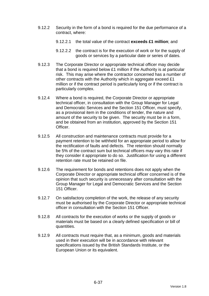- 9.12.2 Security in the form of a bond is required for the due performance of a contract, where:
	- 9.12.2.1 the total value of the contract **exceeds £1 million**; and
	- 9.12.2.2 the contract is for the execution of work or for the supply of goods or services by a particular date or series of dates.
- 9.12.3 The Corporate Director or appropriate technical officer may decide that a bond is required below £1 million if the Authority is at particular risk. This may arise where the contractor concerned has a number of other contracts with the Authority which in aggregate exceed £1 million or if the contract period is particularly long or if the contract is particularly complex.
- 9.12.4 Where a bond is required, the Corporate Director or appropriate technical officer, in consultation with the Group Manager for Legal and Democratic Services and the Section 151 Officer, must specify, as a provisional item in the conditions of tender, the nature and amount of the security to be given. The security must be in a form, and be obtained from an institution, approved by the Section 151 Officer.
- 9.12.5 All construction and maintenance contracts must provide for a payment retention to be withheld for an appropriate period to allow for the rectification of faults and defects. The retention should normally be 5% of the contract sum but technical officers may vary this rate if they consider it appropriate to do so. Justification for using a different retention rate must be retained on file.
- 9.12.6 The requirement for bonds and retentions does not apply when the Corporate Director or appropriate technical officer concerned is of the opinion that such security is unnecessary after consultation with the Group Manager for Legal and Democratic Services and the Section 151 Officer.
- 9.12.7 On satisfactory completion of the work, the release of any security must be authorised by the Corporate Director or appropriate technical officer in consultation with the Section 151 Officer.
- 9.12.8 All contracts for the execution of works or the supply of goods or materials must be based on a clearly defined specification or bill of quantities.
- 9.12.9 All contracts must require that, as a minimum, goods and materials used in their execution will be in accordance with relevant specifications issued by the British Standards Institute, or the European Union or its equivalent.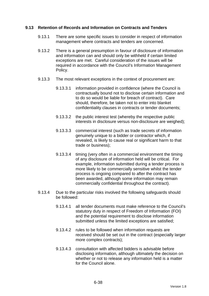### **9.13 Retention of Records and Information on Contracts and Tenders**

- 9.13.1 There are some specific issues to consider in respect of information management where contracts and tenders are concerned.
- 9.13.2 There is a general presumption in favour of disclosure of information and information can and should only be withheld if certain limited exceptions are met. Careful consideration of the issues will be required in accordance with the Council's Information Management Policy.
- 9.13.3 The most relevant exceptions in the context of procurement are:
	- 9.13.3.1 information provided in confidence (where the Council is contractually bound not to disclose certain information and to do so would be liable for breach of contract). Care should, therefore, be taken not to enter into blanket confidentiality clauses in contracts or tender documents;
	- 9.13.3.2 the public interest test (whereby the respective public interests in disclosure versus non-disclosure are weighed);
	- 9.13.3.3 commercial interest (such as trade secrets of information genuinely unique to a bidder or contractor which, if revealed, is likely to cause real or significant harm to that trade or business);
	- 9.13.3.4 timing (very often in a commercial environment the timing of any disclosure of information held will be critical. For example, information submitted during a tender process is more likely to be commercially sensitive whilst the tender process is ongoing compared to after the contract has been awarded, although some information may remain commercially confidential throughout the contract).
- 9.13.4 Due to the particular risks involved the following safeguards should be followed:
	- 9.13.4.1 all tender documents must make reference to the Council's statutory duty in respect of Freedom of Information (FOI) and the potential requirement to disclose information submitted unless the limited exceptions are satisfied;
	- 9.13.4.2 rules to be followed when information requests are received should be set out in the contract (especially larger more complex contracts);
	- 9.13.4.3 consultation with affected bidders is advisable before disclosing information, although ultimately the decision on whether or not to release any information held is a matter for the Council alone.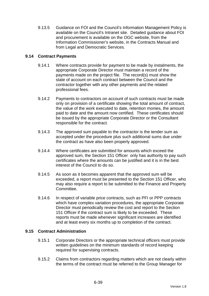9.13.5 Guidance on FOI and the Council's Information Management Policy is available on the Council's Intranet site. Detailed guidance about FOI and procurement is available on the OGC website, from the Information Commissioner's website, in the Contracts Manual and from Legal and Democratic Services.

# **9.14 Contract Payments**

- 9.14.1 Where contracts provide for payment to be made by instalments, the appropriate Corporate Director must maintain a record of the payments made on the project file. The record(s) must show the state of account on each contract between the Council and the contractor together with any other payments and the related professional fees.
- 9.14.2 Payments to contractors on account of such contracts must be made only on provision of a certificate showing the total amount of contract, the value of the work executed to date, retention monies, the amount paid to date and the amount now certified. These certificates should be issued by the appropriate Corporate Director or the Consultant responsible for the contract.
- 9.14.3 The approved sum payable to the contractor is the tender sum as accepted under the procedure plus such additional sums due under the contract as have also been properly approved.
- 9.14.4 Where certificates are submitted for amounts which exceed the approved sum, the Section 151 Officer only has authority to pay such certificates where the amounts can be justified and it is in the best interest of the Council to do so.
- 9.14.5 As soon as it becomes apparent that the approved sum will be exceeded, a report must be presented to the Section 151 Officer, who may also require a report to be submitted to the Finance and Property Committee.
- 9.14.6 In respect of variable price contracts, such as PFI or PPP contracts which have complex variation procedures, the appropriate Corporate Director must periodically review the cost and report to the Section 151 Officer if the contract sum is likely to be exceeded. These reports must be made whenever significant increases are identified and at least every six months up to completion of the contract.

### **9.15 Contract Administration**

- 9.15.1 Corporate Directors or the appropriate technical officers must provide written guidelines on the minimum standards of record keeping required for supervising contracts.
- 9.15.2 Claims from contractors regarding matters which are not clearly within the terms of the contract must be referred to the Group Manager for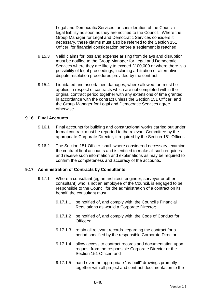Legal and Democratic Services for consideration of the Council's legal liability as soon as they are notified to the Council. Where the Group Manager for Legal and Democratic Services considers it necessary, these claims must also be referred to the Section 151 Officer for financial consideration before a settlement is reached.

- 9.15.3 Valid claims for loss and expense arising from delays and disruption must be notified to the Group Manager for Legal and Democratic Services where they are likely to exceed £100,000 or where there is a possibility of legal proceedings, including arbitration or alternative dispute resolution procedures provided by the contract.
- 9.15.4 Liquidated and ascertained damages, where allowed for, must be applied in respect of contracts which are not completed within the original contract period together with any extensions of time granted in accordance with the contract unless the Section 151 Officer and the Group Manager for Legal and Democratic Services agree otherwise.

#### **9.16 Final Accounts**

- 9.16.1 Final accounts for building and constructional works carried out under formal contract must be reported to the relevant Committee by the appropriate Corporate Director, if required by the Section 151 Officer.
- 9.16.2 The Section 151 Officer shall, where considered necessary, examine the contract final accounts and is entitled to make all such enquiries and receive such information and explanations as may be required to confirm the completeness and accuracy of the accounts.

### **9.17 Administration of Contracts by Consultants**

- 9.17.1 Where a consultant (eg an architect, engineer, surveyor or other consultant) who is not an employee of the Council, is engaged to be responsible to the Council for the administration of a contract on its behalf, the consultant must:
	- 9.17.1.1 be notified of, and comply with, the Council's Financial Regulations as would a Corporate Director;
	- 9.17.1.2 be notified of, and comply with, the Code of Conduct for Officers;
	- 9.17.1.3 retain all relevant records regarding the contract for a period specified by the responsible Corporate Director;
	- 9.17.1.4 allow access to contract records and documentation upon request from the responsible Corporate Director or the Section 151 Officer: and
	- 9.17.1.5 hand over the appropriate "as-built" drawings promptly together with all project and contract documentation to the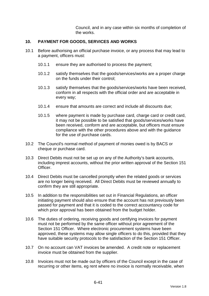Council, and in any case within six months of completion of the works.

### **10. PAYMENT FOR GOODS, SERVICES AND WORKS**

- 10.1 Before authorising an official purchase invoice, or any process that may lead to a payment, officers must:
	- 10.1.1 ensure they are authorised to process the payment;
	- 10.1.2 satisfy themselves that the goods/services/works are a proper charge on the funds under their control;
	- 10.1.3 satisfy themselves that the goods/services/works have been received, conform in all respects with the official order and are acceptable in every way;
	- 10.1.4 ensure that amounts are correct and include all discounts due;
	- 10.1.5 where payment is made by purchase card, charge card or credit card, it may not be possible to be satisfied that goods/services/works have been received, conform and are acceptable, but officers must ensure compliance with the other procedures above and with the guidance for the use of purchase cards.
- 10.2 The Council's normal method of payment of monies owed is by BACS or cheque or purchase card.
- 10.3 Direct Debits must not be set up on any of the Authority's bank accounts, including imprest accounts, without the prior written approval of the Section 151 Officer.
- 10.4 Direct Debits must be cancelled promptly when the related goods or services are no longer being received. All Direct Debits must be reviewed annually to confirm they are still appropriate.
- 10.5 In addition to the responsibilities set out in Financial Regulations, an officer initiating payment should also ensure that the account has not previously been passed for payment and that it is coded to the correct accountancy code for which prior approval has been obtained from the budget holder.
- 10.6 The duties of ordering, receiving goods and certifying invoices for payment must not be performed by the same officer without prior agreement of the Section 151 Officer. Where electronic procurement systems have been approved, these systems may allow single officers to do this, provided that they have suitable security protocols to the satisfaction of the Section 151 Officer.
- 10.7 On no account can VAT invoices be amended. A credit note or replacement invoice must be obtained from the supplier.
- 10.8 Invoices must not be made out by officers of the Council except in the case of recurring or other items, eg rent where no invoice is normally receivable, when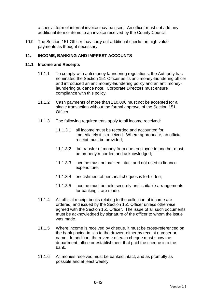a special form of internal invoice may be used. An officer must not add any additional item or items to an invoice received by the County Council.

10.9 The Section 151 Officer may carry out additional checks on high value payments as thought necessary.

# **11. INCOME, BANKING AND IMPREST ACCOUNTS**

#### **11.1 Income and Receipts**

- 11.1.1 To comply with anti money-laundering regulations, the Authority has nominated the Section 151 Officer as its anti money-laundering officer and introduced an anti money-laundering policy and an anti moneylaundering guidance note. Corporate Directors must ensure compliance with this policy.
- 11.1.2 Cash payments of more than £10,000 must not be accepted for a single transaction without the formal approval of the Section 151 Officer.
- 11.1.3 The following requirements apply to all income received:
	- 11.1.3.1 all income must be recorded and accounted for immediately it is received. Where appropriate, an official receipt must be provided;
	- 11.1.3.2 the transfer of money from one employee to another must be properly recorded and acknowledged;
	- 11.1.3.3 income must be banked intact and not used to finance expenditure;
	- 11.1.3.4 encashment of personal cheques is forbidden;
	- 11.1.3.5 income must be held securely until suitable arrangements for banking it are made.
- 11.1.4 All official receipt books relating to the collection of income are ordered, and issued by the Section 151 Officer unless otherwise agreed with the Section 151 Officer. The issue of all such documents must be acknowledged by signature of the officer to whom the issue was made.
- 11.1.5 Where income is received by cheque, it must be cross-referenced on the bank paying-in slip to the drawer, either by receipt number or name. In addition, the reverse of each cheque must show the department, office or establishment that paid the cheque into the bank.
- 11.1.6 All monies received must be banked intact, and as promptly as possible and at least weekly.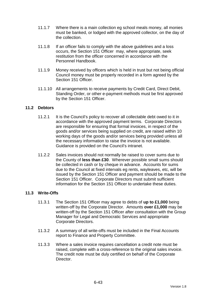- 11.1.7 Where there is a main collection eg school meals money, all monies must be banked, or lodged with the approved collector, on the day of the collection.
- 11.1.8 If an officer fails to comply with the above guidelines and a loss occurs, the Section 151 Officer may, where appropriate, seek restitution from the officer concerned in accordance with the Personnel Handbook.
- 11.1.9 Money received by officers which is held in trust but not being official Council money must be properly recorded in a form agreed by the Section 151 Officer
- 11.1.10 All arrangements to receive payments by Credit Card, Direct Debit, Standing Order, or other e-payment methods must be first approved by the Section 151 Officer.

# **11.2 Debtors**

- 11.2.1 It is the Council's policy to recover all collectable debt owed to it in accordance with the approved payment terms. Corporate Directors are responsible for ensuring that formal invoices, in respect of the goods and/or services being supplied on credit, are raised within 10 working days of the goods and/or services being provided unless all the necessary information to raise the invoice is not available. Guidance is provided on the Council's intranet.
- 11.2.2 Sales invoices should not normally be raised to cover sums due to the County of **less than £30**. Wherever possible small sums should be collected in cash or by cheque in advance. Accounts for sums due to the Council at fixed intervals eg rents, wayleaves, etc, will be issued by the Section 151 Officer and payment should be made to the Section 151 Officer. Corporate Directors must submit sufficient information for the Section 151 Officer to undertake these duties.

### **11.3 Write-Offs**

- 11.3.1 The Section 151 Officer may agree to debts of **up to £1,000** being written-off by the Corporate Director. Amounts **over £1,000** may be written-off by the Section 151 Officer after consultation with the Group Manager for Legal and Democratic Services and appropriate Corporate Directors.
- 11.3.2 A summary of all write-offs must be included in the Final Accounts report to Finance and Property Committee.
- 11.3.3 Where a sales invoice requires cancellation a credit note must be raised, complete with a cross-reference to the original sales invoice. The credit note must be duly certified on behalf of the Corporate Director.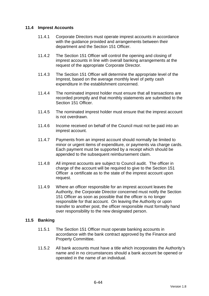### **11.4 Imprest Accounts**

- 11.4.1 Corporate Directors must operate imprest accounts in accordance with the guidance provided and arrangements between their department and the Section 151 Officer.
- 11.4.2 The Section 151 Officer will control the opening and closing of imprest accounts in line with overall banking arrangements at the request of the appropriate Corporate Director.
- 11.4.3 The Section 151 Officer will determine the appropriate level of the Imprest, based on the average monthly level of petty cash expenditure in the establishment concerned.
- 11.4.4 The nominated imprest holder must ensure that all transactions are recorded promptly and that monthly statements are submitted to the Section 151 Officer.
- 11.4.5 The nominated imprest holder must ensure that the imprest account is not overdrawn.
- 11.4.6 Income received on behalf of the Council must not be paid into an imprest account.
- 11.4.7 Payments from an imprest account should normally be limited to minor or urgent items of expenditure, or payments via charge cards. Each payment must be supported by a receipt which should be appended to the subsequent reimbursement claim.
- 11.4.8 All imprest accounts are subject to Council audit. The officer in charge of the account will be required to give to the Section 151 Officer a certificate as to the state of the imprest account upon request.
- 11.4.9 Where an officer responsible for an imprest account leaves the Authority, the Corporate Director concerned must notify the Section 151 Officer as soon as possible that the officer is no longer responsible for that account. On leaving the Authority or upon transfer to another post, the officer responsible must formally hand over responsibility to the new designated person.

### **11.5 Banking**

- 11.5.1 The Section 151 Officer must operate banking accounts in accordance with the bank contract approved by the Finance and Property Committee.
- 11.5.2 All bank accounts must have a title which incorporates the Authority's name and in no circumstances should a bank account be opened or operated in the name of an individual.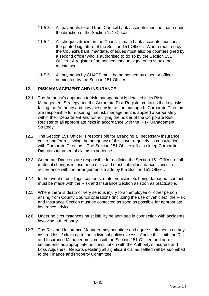- 11.5.3 All payments to and from Council bank accounts must be made under the direction of the Section 151 Officer.
- 11.5.4 All cheques drawn on the Council's main bank accounts must bear the printed signature of the Section 151 Officer. Where required by the Council's bank mandate, cheques must also be countersigned by a second officer who is authorised to do so by the Section 151 Officer. A register of authorised cheque signatories should be maintained.
- 11.5.5 All payments by CHAPS must be authorised by a senior officer nominated by the Section 151 Officer.

# **12. RISK MANAGEMENT AND INSURANCE**

- 12.1 The Authority's approach to risk management is detailed in its Risk Management Strategy and the Corporate Risk Register contains the key risks facing the Authority and how these risks will be managed. Corporate Directors are responsible for ensuring that risk management is applied appropriately within their Department and for notifying the holder of the Corporate Risk Register of all appropriate risks in accordance with the Risk Management Strategy.
- 12.2 The Section 151 Officer is responsible for arranging all necessary insurance cover and for reviewing the adequacy of this cover regularly, in consultation with Corporate Directors. The Section 151 Officer will also keep Corporate Directors informed of claims experience.
- 12.3 Corporate Directors are responsible for notifying the Section 151 Officer of all material changes in insurance risks and must submit insurance claims in accordance with the arrangements made by the Section 151 Officer.
- 12.4 In the event of buildings, contents, motor vehicles etc being damaged, contact must be made with the Risk and Insurance Section as soon as practicable.
- 12.5 Where there is death or very serious injury to an employee or other person arising from County Council operations (including the use of vehicles), the Risk and Insurance Section must be contacted as soon as possible for appropriate insurance advice.
- 12.6 Under no circumstances must liability be admitted in connection with accidents involving a third party.
- 12.7 The Risk and Insurance Manager may negotiate and agree settlements on any insured loss / claim up to the individual policy excess. Above this limit, the Risk and Insurance Manager must consult the Section 151 Officer and agree settlements as appropriate, in consultation with the Authority's Insurers and Loss Adjusters. Reports detailing all significant claims settled will be submitted to the Finance and Property Committee.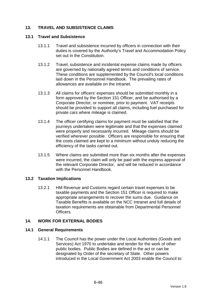# **13. TRAVEL AND SUBSISTENCE CLAIMS**

#### **13.1 Travel and Subsistence**

- 13.1.1 Travel and subsistence incurred by officers in connection with their duties is covered by the Authority's Travel and Accommodation Policy set out in the Constitution.
- 13.1.2 Travel, subsistence and incidental expense claims made by officers are governed by nationally agreed terms and conditions of service. These conditions are supplemented by the Council's local conditions laid down in the Personnel Handbook. The prevailing rates of allowances are available on the intranet.
- 13.1.3 All claims for officers' expenses should be submitted monthly in a form approved by the Section 151 Officer, and be authorised by a Corporate Director, or nominee, prior to payment. VAT receipts should be provided to support all claims, including fuel purchased for private cars where mileage is claimed.
- 13.1.4 The officer certifying claims for payment must be satisfied that the journeys undertaken were legitimate and that the expenses claimed were properly and necessarily incurred. Mileage claims should be verified wherever possible. Officers are responsible for ensuring that the costs claimed are kept to a minimum without unduly reducing the efficiency of the tasks carried out.
- 13.1.5 Where claims are submitted more than six months after the expenses were incurred, the claim will only be paid with the express approval of the relevant Corporate Director, and will be reduced in accordance with the Personnel Handbook.

### **13.2 Taxation Implications**

13.2.1 HM Revenue and Customs regard certain travel expenses to be taxable payments and the Section 151 Officer is required to make appropriate arrangements to recover the sums due. Guidance on Taxable Benefits is available on the NCC Intranet and full details of taxation requirements are obtainable from Departmental Personnel **Officers** 

### **14. WORK FOR EXTERNAL BODIES**

### **14.1 General Requirements**

14.1.1 The Council has the power under the Local Authorities (Goods and Services) Act 1970 to undertake and tender for the work of other public bodies. Public Bodies are defined in the act or can be designated by Order of the secretary of State. Other powers introduced in the Local Government Act 2003 enable the Council to: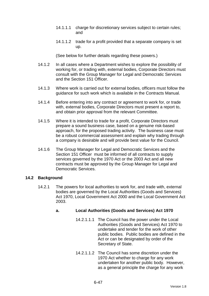- 14.1.1.1 charge for discretionary services subject to certain rules; and
- 14.1.1.2 trade for a profit provided that a separate company is set up.

(See below for further details regarding these powers.)

- 14.1.2 In all cases where a Department wishes to explore the possibility of working for, or trading with, external bodies, Corporate Directors must consult with the Group Manager for Legal and Democratic Services and the Section 151 Officer.
- 14.1.3 Where work is carried out for external bodies, officers must follow the guidance for such work which is available in the Contracts Manual.
- 14.1.4 Before entering into any contract or agreement to work for, or trade with, external bodies, Corporate Directors must present a report to, and obtain prior approval from the relevant Committee.
- 14.1.5 Where it is intended to trade for a profit, Corporate Directors must prepare a sound business case, based on a genuine risk-based approach, for the proposed trading activity. The business case must be a robust commercial assessment and explain why trading through a company is desirable and will provide best value for the Council.
- 14.1.6 The Group Manager for Legal and Democratic Services and the Section 151 Officer must be informed of all contracts to supply services governed by the 1970 Act or the 2003 Act and all new contracts must be approved by the Group Manager for Legal and Democratic Services.

### **14.2 Background**

14.2.1 The powers for local authorities to work for, and trade with, external bodies are governed by the Local Authorities (Goods and Services) Act 1970, Local Government Act 2000 and the Local Government Act 2003.

# **a. Local Authorities (Goods and Services) Act 1970**

- 14.2.1.1.1 The Council has the power under the Local Authorities (Goods and Services) Act 1970 to undertake and tender for the work of other public bodies. Public bodies are defined in the Act or can be designated by order of the Secretary of State.
- 14.2.1.1.2 The Council has some discretion under the 1970 Act whether to charge for any work undertaken for another public body. However, as a general principle the charge for any work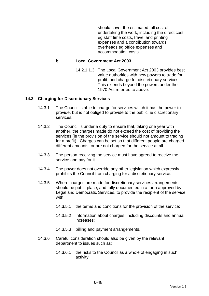should cover the estimated full cost of undertaking the work, including the direct cost eg staff time costs, travel and printing expenses and a contribution towards overheads eg office expenses and accommodation costs.

#### **b. Local Government Act 2003**

14.2.1.1.3 The Local Government Act 2003 provides best value authorities with new powers to trade for profit, and charge for discretionary services. This extends beyond the powers under the 1970 Act referred to above.

#### **14.3 Charging for Discretionary Services**

- 14.3.1 The Council is able to charge for services which it has the power to provide, but is not obliged to provide to the public, ie discretionary services.
- 14.3.2 The Council is under a duty to ensure that, taking one year with another, the charges made do not exceed the cost of providing the services (ie the provision of the service should not amount to trading for a profit). Charges can be set so that different people are charged different amounts, or are not charged for the service at all.
- 14.3.3 The person receiving the service must have agreed to receive the service and pay for it.
- 14.3.4 The power does not override any other legislation which expressly prohibits the Council from charging for a discretionary service.
- 14.3.5 Where charges are made for discretionary services arrangements should be put in place, and fully documented in a form approved by Legal and Democratic Services, to provide the recipient of the service with:
	- 14.3.5.1 the terms and conditions for the provision of the service;
	- 14.3.5.2 information about charges, including discounts and annual increases;
	- 14.3.5.3 billing and payment arrangements.
- 14.3.6 Careful consideration should also be given by the relevant department to issues such as:
	- 14.3.6.1 the risks to the Council as a whole of engaging in such activity;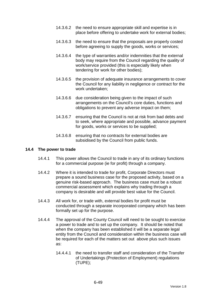- 14.3.6.2 the need to ensure appropriate skill and expertise is in place before offering to undertake work for external bodies;
- 14.3.6.3 the need to ensure that the proposals are properly costed before agreeing to supply the goods, works or services;
- 14.3.6.4 the type of warranties and/or indemnities that the external body may require from the Council regarding the quality of work/service provided (this is especially likely when tendering for work for other bodies);
- 14.3.6.5 the provision of adequate insurance arrangements to cover the Council for any liability in negligence or contract for the work undertaken;
- 14.3.6.6 due consideration being given to the impact of such arrangements on the Council's core duties, functions and obligations to prevent any adverse impact on them;
- 14.3.6.7 ensuring that the Council is not at risk from bad debts and to seek, where appropriate and possible, advance payment for goods, works or services to be supplied;
- 14.3.6.8 ensuring that no contracts for external bodies are subsidised by the Council from public funds.

#### **14.4 The power to trade**

- 14.4.1 This power allows the Council to trade in any of its ordinary functions for a commercial purpose (ie for profit) through a company.
- 14.4.2 Where it is intended to trade for profit, Corporate Directors must prepare a sound business case for the proposed activity, based on a genuine risk-based approach. The business case must be a robust commercial assessment which explains why trading through a company is desirable and will provide best value for the Council.
- 14.4.3 All work for, or trade with, external bodies for profit must be conducted through a separate incorporated company which has been formally set up for the purpose.
- 14.4.4 The approval of the County Council will need to be sought to exercise a power to trade and to set up the company. It should be noted that when the company has been established it will be a separate legal entity from the Council and consideration within the business case will be required for each of the matters set out above plus such issues as:
	- 14.4.4.1 the need to transfer staff and consideration of the Transfer of Undertakings (Protection of Employment) regulations (TUPE);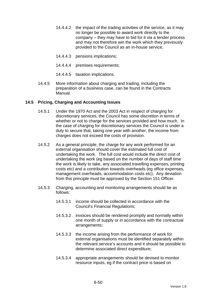- 14.4.4.2 the impact of the trading activities of the service, as it may no longer be possible to award work directly to the company – they may have to bid for it via a tender process and may not therefore win the work which they previously provided to the Council as an in-house service;
- 14.4.4.3 pensions implications;
- 14.4.4.4 premises requirements;
- 14.4.4.5 taxation implications.
- 14.4.5 More information about charging and trading, including the preparation of a business case, can be found in the Contracts Manual.

# **14.5 Pricing, Charging and Accounting Issues**

- 14.5.1 Under the 1970 Act and the 2003 Act in respect of charging for discretionary services, the Council has some discretion in terms of whether or not to charge for the services provided and how much. In the case of charging for discretionary services the Council is under a duty to secure that, taking one year with another, the income from charges does not exceed the costs of provision.
- 14.5.2 As a general principle, the charge for any work performed for an external organisation should cover the estimated full cost of undertaking the work. The full cost would include the direct cost of undertaking the work (eg based on the number of days of staff time the work is likely to take, any associated travelling expenses, printing costs etc) and a contribution towards overheads (eg office expenses, management overheads, accommodation costs etc). Any deviation from this principle must be approved by the Section 151 Officer.
- 14.5.3 Charging, accounting and monitoring arrangements should be as follows:
	- 14.5.3.1 income should be collected in accordance with the Council's Financial Regulations;
	- 14.5.3.2 invoices should be rendered promptly and normally within one month of supply or in accordance with the contractual arrangements;
	- 14.5.3.3 the income arising from the performance of work for external organisations must be identified separately within the relevant service's accounts and it should be possible to determine associated direct expenditure;
	- 14.5.3.4 appropriate arrangements should be devised to monitor resource inputs, eg if the contract price is based on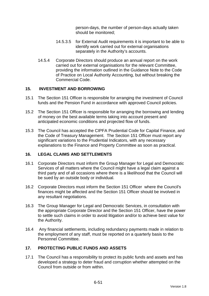person-days, the number of person-days actually taken should be monitored;

- 14.5.3.5 for External Audit requirements it is important to be able to identify work carried out for external organisations separately in the Authority's accounts.
- 14.5.4 Corporate Directors should produce an annual report on the work carried out for external organisations for the relevant Committee, providing the information outlined in the Guidance Note to the Code of Practice on Local Authority Accounting, but without breaking the Commercial Code.

# **15. INVESTMENT AND BORROWING**

- 15.1 The Section 151 Officer is responsible for arranging the investment of Council funds and the Pension Fund in accordance with approved Council policies.
- 15.2 The Section 151 Officer is responsible for arranging the borrowing and lending of money on the best available terms taking into account present and anticipated economic conditions and projected flow of funds.
- 15.3 The Council has accepted the CIPFA Prudential Code for Capital Finance, and the Code of Treasury Management. The Section 151 Officer must report any significant variations to the Prudential Indicators, with any necessary explanations to the Finance and Property Committee as soon as practical.

### **16. LEGAL CLAIMS AND SETTLEMENTS**

- 16.1 Corporate Directors must inform the Group Manager for Legal and Democratic Services of all matters where the Council might have a legal claim against a third party and of all occasions where there is a likelihood that the Council will be sued by an outside body or individual.
- 16.2 Corporate Directors must inform the Section 151 Officer where the Council's finances might be affected and the Section 151 Officer should be involved in any resultant negotiations.
- 16.3 The Group Manager for Legal and Democratic Services, in consultation with the appropriate Corporate Director and the Section 151 Officer, have the power to settle such claims in order to avoid litigation and/or to achieve best value for the Authority.
- 16.4 Any financial settlements, including redundancy payments made in relation to the employment of any staff, must be reported on a quarterly basis to the Personnel Committee.

# **17. PROTECTING PUBLIC FUNDS AND ASSETS**

17.1 The Council has a responsibility to protect its public funds and assets and has developed a strategy to deter fraud and corruption whether attempted on the Council from outside or from within.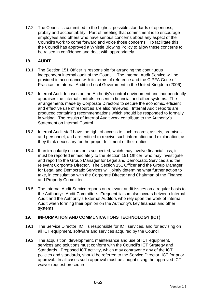17.2 The Council is committed to the highest possible standards of openness, probity and accountability. Part of meeting that commitment is to encourage employees and others who have serious concerns about any aspect of the Council's work to come forward and voice those concerns. To facilitate this, the Council has approved a Whistle Blowing Policy to allow these concerns to be raised in confidence and dealt with appropriately.

# **18. AUDIT**

- 18.1 The Section 151 Officer is responsible for arranging the continuous independent internal audit of the Council. The Internal Audit Service will be provided in accordance with its terms of reference and the CIPFA Code of Practice for Internal Audit in Local Government in the United Kingdom (2006).
- 18.2 Internal Audit focuses on the Authority's control environment and independently appraises the internal controls present in financial and other systems. The arrangements made by Corporate Directors to secure the economic, efficient and effective use of resources are also reviewed. Internal Audit reports are produced containing recommendations which should be responded to formally in writing. The results of Internal Audit work contribute to the Authority's Statement on Internal Control.
- 18.3 Internal Audit staff have the right of access to such records, assets, premises and personnel, and are entitled to receive such information and explanation, as they think necessary for the proper fulfilment of their duties.
- 18.4 If an irregularity occurs or is suspected, which may involve financial loss, it must be reported immediately to the Section 151 Officer who may investigate and report to the Group Manager for Legal and Democratic Services and the relevant Corporate Director. The Section 151 Officer and the Group Manager for Legal and Democratic Services will jointly determine what further action to take, in consultation with the Corporate Director and Chairman of the Finance and Property Committee.
- 18.5 The Internal Audit Service reports on relevant audit issues on a regular basis to the Authority's Audit Committee. Frequent liaison also occurs between Internal Audit and the Authority's External Auditors who rely upon the work of Internal Audit when forming their opinion on the Authority's key financial and other systems.

# **19. INFORMATION AND COMMUNICATIONS TECHNOLOGY (ICT)**

- 19.1 The Service Director, ICT is responsible for ICT services, and for advising on all ICT equipment, software and services acquired by the Council.
- 19.2 The acquisition, development, maintenance and use of ICT equipment, services and solutions must conform with the Council's ICT Strategy and Standards. Proposed ICT activity, which may contravene any of the ICT policies and standards, should be referred to the Service Director, ICT for prior approval. In all cases such approval must be sought using the approved ICT waiver request procedure.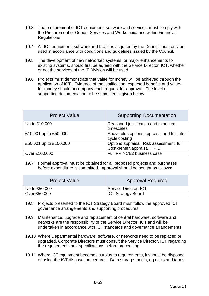- 19.3 The procurement of ICT equipment, software and services, must comply with the Procurement of Goods, Services and Works guidance within Financial Regulations.
- 19.4 All ICT equipment, software and facilities acquired by the Council must only be used in accordance with conditions and guidelines issued by the Council.
- 19.5 The development of new networked systems, or major enhancements to existing systems, should first be agreed with the Service Director, ICT, whether or not the services of the IT Division will be used.
- 19.6 Projects must demonstrate that value for money will be achieved through the application of ICT. Evidence of the justification, expected benefits and valuefor-money should accompany each request for approval. The level of supporting documentation to be submitted is given below:

| <b>Project Value</b>   | <b>Supporting Documentation</b>                                          |
|------------------------|--------------------------------------------------------------------------|
| Up to £10,000          | Reasoned justification and expected<br>timescales                        |
| £10,001 up to £50,000  | Above plus options appraisal and full Life-<br>cycle costing             |
| £50,001 up to £100,000 | Options appraisal, Risk assessment, full<br>Cost-benefit appraisal + PID |
| Over £100,000          | Full PRINCE2 business case                                               |

19.7 Formal approval must be obtained for all proposed projects and purchases before expenditure is committed. Approval should be sought as follows:

| <b>Project Value</b> | <b>Approval Required</b>  |
|----------------------|---------------------------|
| Up to $£50,000$      | Service Director, ICT     |
| Over £50,000         | <b>ICT Strategy Board</b> |

- 19.8 Projects presented to the ICT Strategy Board must follow the approved ICT governance arrangements and supporting procedures.
- 19.9 Maintenance, upgrade and replacement of central hardware, software and networks are the responsibility of the Service Director, ICT and will be undertaken in accordance with ICT standards and governance arrangements.
- 19.10 Where Departmental hardware, software, or networks need to be replaced or upgraded, Corporate Directors must consult the Service Director, ICT regarding the requirements and specifications before proceeding.
- 19.11 Where ICT equipment becomes surplus to requirements, it should be disposed of using the ICT disposal procedures. Data storage media, eg disks and tapes,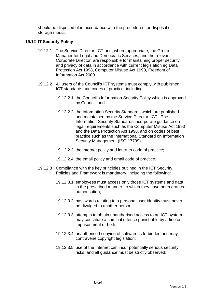should be disposed of in accordance with the procedures for disposal of storage media.

### **19.12 IT Security Policy**

- 19.12.1 The Service Director, ICT and, where appropriate, the Group Manager for Legal and Democratic Services, and the relevant Corporate Director, are responsible for maintaining proper security and privacy of data in accordance with current legislation eg Data Protection Act 1998, Computer Misuse Act 1990, Freedom of Information Act 2000.
- 19.12.2 All users of the Council's ICT systems must comply with published ICT standards and codes of practice, including:
	- 19.12.2.1 the Council's Information Security Policy which is approved by Council; and
	- 19.12.2.2 the Information Security Standards which are published and maintained by the Service Director, ICT. The Information Security Standards incorporate guidance on legal requirements such as the Computer Misuse Act 1990 and the Data Protection Act 1998, and on codes of best practice such as the International Standard on Information Security Management (ISO 17799).
	- 19.12.2.3 the internet policy and internet code of practice;
	- 19.12.2.4 the email policy and email code of practice.
- 19.12.3 Compliance with the key principles outlined in the ICT Security Policies and Framework is mandatory, including the following:
	- 19.12.3.1 employees must access only those ICT systems and data in the prescribed manner, to which they have been granted authorisation;
	- 19.12.3.2 passwords relating to a personal user identity must never be divulged to another person;
	- 19.12.3.3 attempts to obtain unauthorised access to an ICT system may constitute a criminal offence punishable by a fine or imprisonment or both;
	- 19.12.3.4 unauthorised copying of software is forbidden and may contravene copyright legislation;
	- 19.12.3.5 use of the Internet can incur potentially serious security risks, and all guidance must be strictly observed;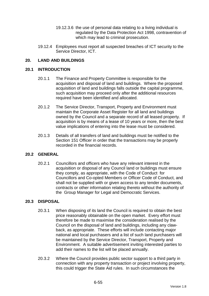- 19.12.3.6 the use of personal data relating to a living individual is regulated by the Data Protection Act 1998, contravention of which may lead to criminal prosecution.
- 19.12.4 Employees must report all suspected breaches of ICT security to the Service Director, ICT.

# **20. LAND AND BUILDINGS**

#### **20.1 INTRODUCTION**

- 20.1.1 The Finance and Property Committee is responsible for the acquisition and disposal of land and buildings. Where the proposed acquisition of land and buildings falls outside the capital programme, such acquisition may proceed only after the additional resources required have been identified and allocated.
- 20.1.2 The Service Director, Transport, Property and Environment must maintain the Corporate Asset Register for all land and buildings owned by the Council and a separate record of all leased property. If acquisition is by means of a lease of 10 years or more, then the best value implications of entering into the lease must be considered.
- 20.1.3 Details of all transfers of land and buildings must be notified to the Section 151 Officer in order that the transactions may be properly recorded in the financial records.

### **20.2 GENERAL**

20.2.1 Councillors and officers who have any relevant interest in the acquisition or disposal of any Council land or buildings must ensure they comply, as appropriate, with the Code of Conduct for Councillors and Co-opted Members or Officer Code of Conduct, and shall not be supplied with or given access to any tender documents, contracts or other information relating thereto without the authority of the Group Manager for Legal and Democratic Services.

### **20.3 DISPOSAL**

- 20.3.1 When disposing of its land the Council is required to obtain the best price reasonably obtainable on the open market. Every effort must therefore be made to maximise the consideration realised by the Council on the disposal of land and buildings, including any clawback, as appropriate. These efforts will include contacting major national and local purchasers and a list of such land purchasers will be maintained by the Service Director, Transport, Property and Environment. A suitable advertisement inviting interested parties to add their names to the list will be placed annually.
- 20.3.2 Where the Council provides public sector support to a third party in connection with any property transaction or project involving property, this could trigger the State Aid rules. In such circumstances the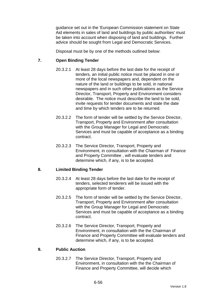guidance set out in the 'European Commission statement on State Aid elements in sales of land and buildings by public authorities' must be taken into account when disposing of land and buildings. Further advice should be sought from Legal and Democratic Services.

Disposal must be by one of the methods outlined below:

# **7. Open Binding Tender**

- 20.3.2.1 At least 28 days before the last date for the receipt of tenders, an initial public notice must be placed in one or more of the local newspapers and, dependent on the nature of the land or buildings to be sold, in national newspapers and in such other publications as the Service Director, Transport, Property and Environment considers desirable. The notice must describe the land to be sold, invite requests for tender documents and state the date and time by which tenders are to be returned.
- 20.3.2.2 The form of tender will be settled by the Service Director, Transport, Property and Environment after consultation with the Group Manager for Legal and Democratic Services and must be capable of acceptance as a binding contract.
- 20.3.2.3 The Service Director, Transport, Property and Environment, in consultation with the Chairman of Finance and Property Committee , will evaluate tenders and determine which, if any, is to be accepted.

### **8. Limited Binding Tender**

- 20.3.2.4 At least 28 days before the last date for the receipt of tenders, selected tenderers will be issued with the appropriate form of tender.
- 20.3.2.5 The form of tender will be settled by the Service Director, Transport, Property and Environment after consultation with the Group Manager for Legal and Democratic Services and must be capable of acceptance as a binding contract.
- 20.3.2.6 The Service Director, Transport, Property and Environment, in consultation with the the Chairman of Finance and Property Committee will evaluate tenders and determine which, if any, is to be accepted.

### **9. Public Auction**

20.3.2.7 The Service Director, Transport, Property and Environment, in consultation with the the Chairman of Finance and Property Committee, will decide which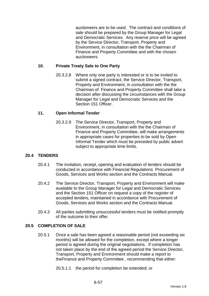auctioneers are to be used. The contract and conditions of sale should be prepared by the Group Manager for Legal and Democratic Services. Any reserve price will be agreed by the Service Director, Transport, Property and Environment, in consultation with the the Chairman of Finance and Property Committee and with the chosen auctioneers.

# **10. Private Treaty Sale to One Party**

20.3.2.8 Where only one party is interested or is to be invited to submit a signed contract, the Service Director, Transport, Property and Environment, in consultation with the the Chairman of Finance and Property Committee shall take a decision after discussing the circumstances with the Group Manager for Legal and Democratic Services and the Section 151 Officer

# **11. Open Informal Tender**

20.3.2.9 The Service Director, Transport, Property and Environment, in consultation with the the Chairman of Finance and Property Committee, will make arrangements in appropriate cases for properties to be sold by Open Informal Tender which must be preceded by public advert subject to appropriate time limits.

# **20.4 TENDERS**

- 20.4.1 The invitation, receipt, opening and evaluation of tenders should be conducted in accordance with Financial Regulations Procurement of Goods, Services and Works section and the Contracts Manual.
- 20.4.2 The Service Director, Transport, Property and Environment will make available to the Group Manager for Legal and Democratic Services and the Section 151 Officer on request a copy of the register of accepted tenders, maintained in accordance with Procurement of Goods, Services and Works section and the Contracts Manual.
- 20.4.3 All parties submitting unsuccessful tenders must be notified promptly of the outcome to their offer.

### **20.5 COMPLETION OF SALE**

20.5.1 Once a sale has been agreed a reasonable period (not exceeding six months) will be allowed for the completion, except where a longer period is agreed during the original negotiations. If completion has not taken place by the end of the agreed period the Service Director, Transport, Property and Environment should make a report to theFinance and Property Committee , recommending that either:

20.5.1.1 the period for completion be extended; or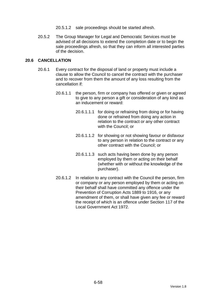- 20.5.1.2 sale proceedings should be started afresh.
- 20.5.2 The Group Manager for Legal and Democratic Services must be advised of all decisions to extend the completion date or to begin the sale proceedings afresh, so that they can inform all interested parties of the decision.

# **20.6 CANCELLATION**

- 20.6.1 Every contract for the disposal of land or property must include a clause to allow the Council to cancel the contract with the purchaser and to recover from them the amount of any loss resulting from the cancellation if:
	- 20.6.1.1 the person, firm or company has offered or given or agreed to give to any person a gift or consideration of any kind as an inducement or reward:
		- 20.6.1.1.1 for doing or refraining from doing or for having done or refrained from doing any action in relation to the contract or any other contract with the Council; or
		- 20.6.1.1.2 for showing or not showing favour or disfavour to any person in relation to the contract or any other contract with the Council; or
		- 20.6.1.1.3 such acts having been done by any person employed by them or acting on their behalf (whether with or without the knowledge of the purchaser).
	- 20.6.1.2 In relation to any contract with the Council the person, firm or company or any person employed by them or acting on their behalf shall have committed any offence under the Prevention of Corruption Acts 1889 to 1916, or any amendment of them, or shall have given any fee or reward the receipt of which is an offence under Section 117 of the Local Government Act 1972.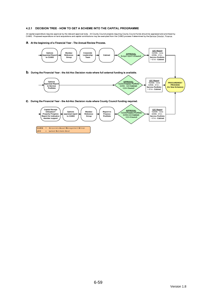#### 4.2.1 DECISION TREE - HOW TO GET A SCHEME INTO THE CAPITAL PROGRAMME

All capital expenditure requires approval by the relevant approval body. All County Council projects requiring County Council funds should be appraised and prioritised by<br>CAMG. Proposed expenditure on land acquisitions a

a. At the beginning of a Financial Year - The Annual Review Process.



LEC = Latest Estimate Cost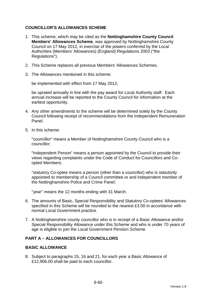# **COUNCILLOR'S ALLOWANCES SCHEME**

- 1. This scheme, which may be cited as the **Nottinghamshire County Council Members' Allowances Scheme**, was approved by Nottinghamshire County Council on 17 May 2012, in exercise of the powers conferred by the Local Authorities (Members' Allowances) (England) Regulations 2003 ("the Regulations").
- 2. This Scheme replaces all previous Members' Allowances Schemes.
- 3. The Allowances mentioned in this scheme:

be implemented with effect from 17 May 2012;

be uprated annually in line with the pay award for Local Authority staff. Each annual increase will be reported to the County Council for information at the earliest opportunity.

- 4. Any other amendments to the scheme will be determined solely by the County Council following receipt of recommendations from the Independent Remuneration Panel.
- 5. In this scheme:

"councillor" means a Member of Nottinghamshire County Council who is a councillor;

"Independent Person" means a person appointed by the Council to provide their views regarding complaints under the Code of Conduct for Councillors and Coopted Members;

"statutory Co-optee means a person (other than a councillor) who is statutorily appointed to membership of a Council committee or and independent member of the Nottinghamshire Police and Crime Panel;

"year" means the 12 months ending with 31 March.

- 6. The amounts of Basic, Special Responsibility and Statutory Co-optees' Allowances specified in this Scheme will be rounded to the nearest £3.00 in accordance with normal Local Government practice.
- 7. A Nottinghamshire county councillor who is in receipt of a Basic Allowance and/or Special Responsibility Allowance under this Scheme and who is under 70 years of age is eligible to join the Local Government Pension Scheme.

# **PART A – ALLOWANCES FOR COUNCILLORS**

### **BASIC ALLOWANCE**

8. Subject to paragraphs 15, 16 and 21, for each year a Basic Allowance of £12,906.00 shall be paid to each councillor.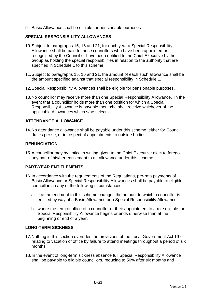9. Basic Allowance shall be eligible for pensionable purposes

### **SPECIAL RESPONSIBILITY ALLOWANCES**

- 10. Subject to paragraphs 15, 16 and 21, for each year a Special Responsibility Allowance shall be paid to those councillors who have been appointed or recognised by the Council or have been notified to the Chief Executive by their Group as holding the special responsibilities in relation to the authority that are specified in Schedule 1 to this scheme.
- 11. Subject to paragraphs 15, 16 and 21, the amount of each such allowance shall be the amount specified against that special responsibility in Schedule 1.
- 12. Special Responsibility Allowances shall be eligible for pensionable purposes.
- 13. No councillor may receive more than one Special Responsibility Allowance. In the event that a councillor holds more than one position for which a Special Responsibility Allowance is payable then s/he shall receive whichever of the applicable Allowances which s/he selects.

# **ATTENDANCE ALLOWANCE**

14. No attendance allowance shall be payable under this scheme, either for Council duties per se, or in respect of appointments to outside bodies.

# **RENUNCIATION**

15. A councillor may by notice in writing given to the Chief Executive elect to forego any part of his/her entitlement to an allowance under this scheme.

### **PART-YEAR ENTITLEMENTS**

- 16. In accordance with the requirements of the Regulations, pro-rata payments of Basic Allowance or Special Responsibility Allowances shall be payable to eligible councillors in any of the following circumstances:
	- a. if an amendment to this scheme changes the amount to which a councillor is entitled by way of a Basic Allowance or a Special Responsibility Allowance;
	- b. where the term of office of a councillor or their appointment to a role eligible for Special Responsibility Allowance begins or ends otherwise than at the beginning or end of a year.

### **LONG-TERM SICKNESS**

- 17. Nothing in this section overrides the provisions of the Local Government Act 1972 relating to vacation of office by failure to attend meetings throughout a period of six months.
- 18. In the event of long-term sickness absence full Special Responsibility Allowance shall be payable to eligible councillors, reducing to 50% after six months and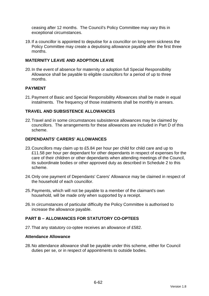ceasing after 12 months. The Council's Policy Committee may vary this in exceptional circumstances.

19. If a councillor is appointed to deputise for a councillor on long-term sickness the Policy Committee may create a deputising allowance payable after the first three months.

# **MATERNITY LEAVE AND ADOPTION LEAVE**

20. In the event of absence for maternity or adoption full Special Responsibility Allowance shall be payable to eligible councillors for a period of up to three months.

# **PAYMENT**

21. Payment of Basic and Special Responsibility Allowances shall be made in equal instalments. The frequency of those instalments shall be monthly in arrears.

### **TRAVEL AND SUBSISTENCE ALLOWANCES**

22. Travel and in some circumstances subsistence allowances may be claimed by councillors. The arrangements for these allowances are included in Part D of this scheme.

#### **DEPENDANTS' CARERS' ALLOWANCES**

- 23. Councillors may claim up to £5.84 per hour per child for child care and up to £11.58 per hour per dependant for other dependants in respect of expenses for the care of their children or other dependants when attending meetings of the Council, its subordinate bodies or other approved duty as described in Schedule 2 to this scheme.
- 24. Only one payment of Dependants' Carers' Allowance may be claimed in respect of the household of each councillor.
- 25. Payments, which will not be payable to a member of the claimant's own household, will be made only when supported by a receipt.
- 26. In circumstances of particular difficulty the Policy Committee is authorised to increase the allowance payable.

# **PART B – ALLOWANCES FOR STATUTORY CO-OPTEES**

27. That any statutory co-optee receives an allowance of £582.

#### **Attendance Allowance**

28. No attendance allowance shall be payable under this scheme, either for Council duties per se, or in respect of appointments to outside bodies.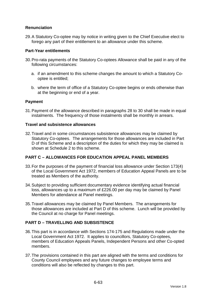# **Renunciation**

29. A Statutory Co-optee may by notice in writing given to the Chief Executive elect to forego any part of their entitlement to an allowance under this scheme.

### **Part-Year entitlements**

- 30. Pro-rata payments of the Statutory Co-optees Allowance shall be paid in any of the following circumstances:
	- a. if an amendment to this scheme changes the amount to which a Statutory Cooptee is entitled;
	- b. where the term of office of a Statutory Co-optee begins or ends otherwise than at the beginning or end of a year.

# **Payment**

31. Payment of the allowance described in paragraphs 28 to 30 shall be made in equal instalments. The frequency of those instalments shall be monthly in arrears.

### **Travel and subsistence allowances**

32. Travel and in some circumstances subsistence allowances may be claimed by Statutory Co-optees. The arrangements for those allowances are included in Part D of this Scheme and a description of the duties for which they may be claimed is shown at Schedule 2 to this scheme.

# **PART C – ALLOWANCES FOR EDUCATION APPEAL PANEL MEMBERS**

- 33. For the purposes of the payment of financial loss allowance under Section 173(4) of the Local Government Act 1972, members of Education Appeal Panels are to be treated as Members of the authority.
- 34. Subject to providing sufficient documentary evidence identifying actual financial loss, allowances up to a maximum of £226.00 per day may be claimed by Panel Members for attendance at Panel meetings.
- 35. Travel allowances may be claimed by Panel Members. The arrangements for those allowances are included at Part D of this scheme. Lunch will be provided by the Council at no charge for Panel meetings.

# **PART D – TRAVELLING AND SUBSISTENCE**

- 36. This part is in accordance with Sections 174-175 and Regulations made under the Local Government Act 1972. It applies to councillors, Statutory Co-optees, members of Education Appeals Panels, Independent Persons and other Co-opted members.
- 37. The provisions contained in this part are aligned with the terms and conditions for County Council employees and any future changes to employee terms and conditions will also be reflected by changes to this part.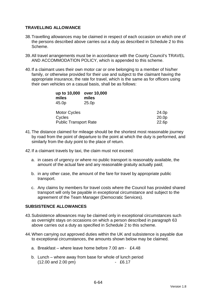# **TRAVELLING ALLOWANCE**

- 38. Travelling allowances may be claimed in respect of each occasion on which one of the persons described above carries out a duty as described in Schedule 2 to this Scheme.
- 39. All travel arrangements must be in accordance with the County Council's TRAVEL AND ACCOMMODATION POLICY, which is appended to this scheme.
- 40. If a claimant uses their own motor car or one belonging to a member of his/her family, or otherwise provided for their use and subject to the claimant having the appropriate insurance, the rate for travel, which is the same as for officers using their own vehicles on a casual basis, shall be as follows:

| up to 10,000<br>miles<br>45.0p | over 10,000<br>miles<br>25.0 <sub>p</sub> |       |
|--------------------------------|-------------------------------------------|-------|
| <b>Motor Cycles</b>            |                                           | 24.0p |
| Cycles                         |                                           | 20.0p |
| <b>Public Transport Rate</b>   |                                           | 22.6p |

- 41. The distance claimed for mileage should be the shortest most reasonable journey by road from the point of departure to the point at which the duty is performed, and similarly from the duty point to the place of return.
- 42. If a claimant travels by taxi, the claim must not exceed:
	- a. in cases of urgency or where no public transport is reasonably available, the amount of the actual fare and any reasonable gratuity actually paid;
	- b. in any other case, the amount of the fare for travel by appropriate public transport.
	- c. Any claims by members for travel costs where the Council has provided shared transport will only be payable in exceptional circumstance and subject to the agreement of the Team Manager (Democratic Services).

### **SUBSISTENCE ALLOWANCES**

- 43. Subsistence allowances may be claimed only in exceptional circumstances such as overnight stays on occasions on which a person described in paragraph 63 above carries out a duty as specified in Schedule 2 to this scheme.
- 44. When carrying out approved duties within the UK and subsistence is payable due to exceptional circumstances, the amounts shown below may be claimed.
	- a. Breakfast where leave home before 7.00 am £4.48
	- b. Lunch where away from base for whole of lunch period (12.00 and 2.00 pm) - £6.17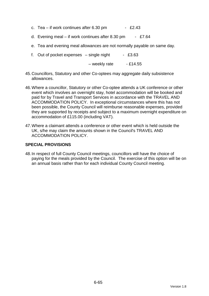- c. Tea if work continues after  $6.30 \text{ pm}$  £2.43
- d. Evening meal if work continues after 8.30 pm £7.64
- e. Tea and evening meal allowances are not normally payable on same day.
- f. Out of pocket expenses  $-$  single night  $-$  £3.63

 $-$  weekly rate  $-$  £14.55

- 45. Councillors, Statutory and other Co-optees may aggregate daily subsistence allowances.
- 46. Where a councillor, Statutory or other Co-optee attends a UK conference or other event which involves an overnight stay, hotel accommodation will be booked and paid for by Travel and Transport Services in accordance with the TRAVEL AND ACCOMMODATION POLICY. In exceptional circumstances where this has not been possible, the County Council will reimburse reasonable expenses, provided they are supported by receipts and subject to a maximum overnight expenditure on accommodation of £115.00 (including VAT).
- 47. Where a claimant attends a conference or other event which is held outside the UK, s/he may claim the amounts shown in the Council's TRAVEL AND ACCOMMODATION POLICY.

### **SPECIAL PROVISIONS**

48. In respect of full County Council meetings, councillors will have the choice of paying for the meals provided by the Council. The exercise of this option will be on an annual basis rather than for each individual County Council meeting.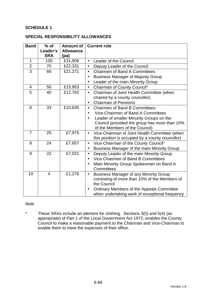# **SCHEDULE 1**

#### **SPECIAL RESPONSIBILITY ALLOWANCES**

| <b>Band</b>    | $%$ of         | <b>Amount of</b> | <b>Current role</b>                                        |  |
|----------------|----------------|------------------|------------------------------------------------------------|--|
|                | Leader's       | <b>Allowance</b> |                                                            |  |
|                | <b>SRA</b>     | (pa)             |                                                            |  |
| $\mathbf 1$    | 100            | £31,906          | Leader of the Council<br>$\bullet$                         |  |
| $\overline{2}$ | 70             | £22,331          | Deputy Leader of the Council<br>$\bullet$                  |  |
| $\overline{3}$ | 66             | £21,271          | <b>Chairmen of Band A Committees</b><br>$\bullet$          |  |
|                |                |                  | <b>Business Manager of Majority Group</b><br>$\bullet$     |  |
|                |                |                  | Leader of the main Minority Group                          |  |
| $\overline{4}$ | 50             | £15,953          | Chairman of County Council*<br>$\bullet$                   |  |
| 5              | 40             | £12,762          | Chairman of Joint Health Committee (when<br>$\bullet$      |  |
|                |                |                  | chaired by a county councillor)                            |  |
|                |                |                  | <b>Chairman of Pensions</b><br>$\bullet$                   |  |
| 6              | 33             | £10,635          | <b>Chairmen of Band B Committees:</b><br>$\bullet$         |  |
|                |                |                  | Vice-Chairmen of Band A Committees                         |  |
|                |                |                  | Leader of smaller Minority Groups on the<br>$\bullet$      |  |
|                |                |                  | Council (provided the group has more than 10%              |  |
|                |                |                  | of the Members of the Council)                             |  |
| $\overline{7}$ | 25             | £7,975           | Vice-Chairman of Joint Health Committee (when<br>$\bullet$ |  |
|                |                |                  | this position is occupied by a county councillor)          |  |
| 8              | 24             | £7,657           | Vice-Chairman of the County Council*<br>$\bullet$          |  |
|                |                |                  | Business Manager of the main Minority Group<br>$\bullet$   |  |
| 9              | 22             | £7,021           | Deputy Leader of the main Minority Group<br>$\bullet$      |  |
|                |                |                  | Vice-Chairmen of Band B Committees<br>$\bullet$            |  |
|                |                |                  | Main Minority Group Spokesmen on Band A                    |  |
|                |                |                  | Committees                                                 |  |
| 10             | $\overline{4}$ | £1,276           | <b>Business Manager of any Minority Group</b><br>$\bullet$ |  |
|                |                |                  | consisting of more than 10% of the Members of              |  |
|                |                |                  | the Council                                                |  |
|                |                |                  | Ordinary Members of the Appeals Committee<br>$\bullet$     |  |
|                |                |                  | when undertaking work of exceptional frequency             |  |

### Note

\* These SRAs include an element for clothing. Sections 3(5) and 5(4) (as appropriate) of Part 1 of the Local Government Act 1972, enables the County Council to make a reasonable payment to the Chairman and Vice-Chairman to enable them to meet the expenses of their office.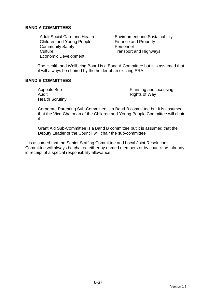# **BAND A COMMITTEES**

Children and Young People Finance and Property Community Safety **Personnel** Culture Culture **Transport and Highways** Economic Development

Adult Social Care and Health Environment and Sustainability

The Health and Wellbeing Board is a Band A Committee but it is assumed that it will always be chaired by the holder of an existing SRA

# **BAND B COMMITTEES**

Audit **Audit Rights of Way** Health Scrutiny

Appeals Sub **Planning and Licensing** 

Corporate Parenting Sub-Committee is a Band B committee but it is assumed that the Vice-Chairman of the Children and Young People Committee will chair it

Grant Aid Sub-Committee is a Band B committee but it is assumed that the Deputy Leader of the Council will chair the sub-committee

It is assumed that the Senior Staffing Committee and Local Joint Resolutions Committee will always be chaired either by named members or by councillors already in receipt of a special responsibility allowance.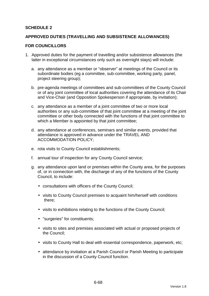# **SCHEDULE 2**

### **APPROVED DUTIES (TRAVELLING AND SUBSISTENCE ALLOWANCES)**

#### **FOR COUNCILLORS**

- 1. Approved duties for the payment of travelling and/or subsistence allowances (the latter in exceptional circumstances only such as overnight stays) will include:
	- a. any attendance as a member or "observer" at meetings of the Council or its subordinate bodies (eg a committee, sub-committee, working party, panel, project steering group);
	- b. pre-agenda meetings of committees and sub-committees of the County Council or of any joint committee of local authorities covering the attendance of its Chair and Vice-Chair (and Opposition Spokesperson if appropriate, by invitation);
	- c. any attendance as a member of a joint committee of two or more local authorities or any sub-committee of that joint committee at a meeting of the joint committee or other body connected with the functions of that joint committee to which a Member is appointed by that joint committee;
	- d. any attendance at conferences, seminars and similar events, provided that attendance is approved in advance under the TRAVEL AND ACCOMMODATION POLICY;
	- e. rota visits to County Council establishments;
	- f. annual tour of inspection for any County Council service;
	- g. any attendance upon land or premises within the County area, for the purposes of, or in connection with, the discharge of any of the functions of the County Council, to include:
		- consultations with officers of the County Council;
		- visits to County Council premises to acquaint him/herself with conditions there;
		- visits to exhibitions relating to the functions of the County Council;
		- "surgeries" for constituents;
		- visits to sites and premises associated with actual or proposed projects of the Council;
		- visits to County Hall to deal with essential correspondence, paperwork, etc;
		- attendance by invitation at a Parish Council or Parish Meeting to participate in the discussion of a County Council function.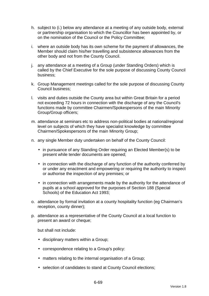- h. subject to (i.) below any attendance at a meeting of any outside body, external or partnership organisation to which the Councillor has been appointed by, or on the nomination of the Council or the Policy Committee;
- i. where an outside body has its own scheme for the payment of allowances, the Member should claim his/her travelling and subsistence allowances from the other body and not from the County Council.
- j. any attendance at a meeting of a Group (under Standing Orders) which is called by the Chief Executive for the sole purpose of discussing County Council business;
- k. Group Management meetings called for the sole purpose of discussing County Council business;
- l. visits and duties outside the County area but within Great Britain for a period not exceeding 72 hours in connection with the discharge of any the Council's functions made by committee Chairmen/Spokespersons of the main Minority Group/Group officers;
- m. attendance at seminars etc to address non-political bodies at national/regional level on subjects of which they have specialist knowledge by committee Chairmen/Spokespersons of the main Minority Group;
- n. any single Member duty undertaken on behalf of the County Council:
	- in pursuance of any Standing Order requiring an Elected Member(s) to be present while tender documents are opened;
	- in connection with the discharge of any function of the authority conferred by or under any enactment and empowering or requiring the authority to inspect or authorise the inspection of any premises; or
	- in connection with arrangements made by the authority for the attendance of pupils at a school approved for the purposes of Section 188 (Special Schools) of the Education Act 1993;
- o. attendance by formal invitation at a county hospitality function (eg Chairman's reception, county dinner);
- p. attendance as a representative of the County Council at a local function to present an award or cheque;

but shall not include:

- disciplinary matters within a Group;
- correspondence relating to a Group's policy:
- matters relating to the internal organisation of a Group;
- selection of candidates to stand at County Council elections;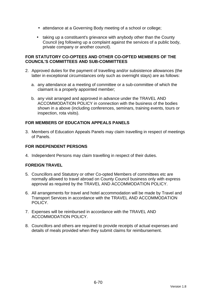- attendance at a Governing Body meeting of a school or college;
- taking up a constituent's grievance with anybody other than the County Council (eg following up a complaint against the services of a public body, private company or another council).

### **FOR STATUTORY CO-OPTEES AND OTHER CO-OPTED MEMBERS OF THE COUNCIL'S COMMITTEES AND SUB-COMMITTEES**

- 2. Approved duties for the payment of travelling and/or subsistence allowances (the latter in exceptional circumstances only such as overnight stays) are as follows:
	- a. any attendance at a meeting of committee or a sub-committee of which the claimant is a properly appointed member;
	- b. any visit arranged and approved in advance under the TRAVEL AND ACCOMMODATION POLICY in connection with the business of the bodies shown in a above (including conferences, seminars, training events, tours or inspection, rota visits).

# **FOR MEMBERS OF EDUCATION APPEALS PANELS**

3. Members of Education Appeals Panels may claim travelling in respect of meetings of Panels.

# **FOR INDEPENDENT PERSONS**

4. Independent Persons may claim travelling in respect of their duties.

### **FOREIGN TRAVEL**

- 5. Councillors and Statutory or other Co-opted Members of committees etc are normally allowed to travel abroad on County Council business only with express approval as required by the TRAVEL AND ACCOMMODATION POLICY.
- 6. All arrangements for travel and hotel accommodation will be made by Travel and Transport Services in accordance with the TRAVEL AND ACCOMMODATION POLICY.
- 7. Expenses will be reimbursed in accordance with the TRAVEL AND ACCOMMODATION POLICY.
- 8. Councillors and others are required to provide receipts of actual expenses and details of meals provided when they submit claims for reimbursement.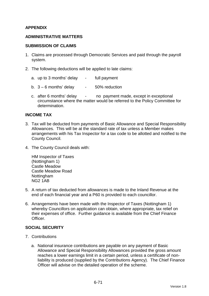# **APPENDIX**

### **ADMINISTRATIVE MATTERS**

#### **SUBMISSION OF CLAIMS**

- 1. Claims are processed through Democratic Services and paid through the payroll system.
- 2. The following deductions will be applied to late claims:
	- a. up to 3 months' delay full payment
	- b.  $3 6$  months' delay  $-50\%$  reduction
	- c. after 6 months' delay no payment made, except in exceptional circumstance where the matter would be referred to the Policy Committee for determination.

#### **INCOME TAX**

- 3. Tax will be deducted from payments of Basic Allowance and Special Responsibility Allowances. This will be at the standard rate of tax unless a Member makes arrangements with his Tax Inspector for a tax code to be allotted and notified to the County Council.
- 4. The County Council deals with:

HM Inspector of Taxes (Nottingham 1) Castle Meadow Castle Meadow Road Nottingham NG2 1AB

- 5. A return of tax deducted from allowances is made to the Inland Revenue at the end of each financial year and a P60 is provided to each councillor.
- 6. Arrangements have been made with the Inspector of Taxes (Nottingham 1) whereby Councillors on application can obtain, where appropriate, tax relief on their expenses of office. Further guidance is available from the Chief Finance **Officer**

### **SOCIAL SECURITY**

- 7. Contributions
	- a. National insurance contributions are payable on any payment of Basic Allowance and Special Responsibility Allowances provided the gross amount reaches a lower earnings limit in a certain period, unless a certificate of nonliability is produced (supplied by the Contributions Agency). The Chief Finance Officer will advise on the detailed operation of the scheme.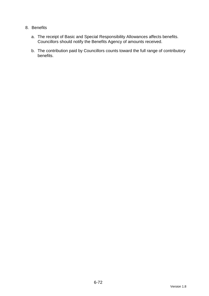# 8. Benefits

- a. The receipt of Basic and Special Responsibility Allowances affects benefits. Councillors should notify the Benefits Agency of amounts received.
- b. The contribution paid by Councillors counts toward the full range of contributory benefits.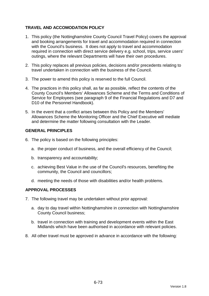# **TRAVEL AND ACCOMODATION POLICY**

- 1. This policy (the Nottinghamshire County Council Travel Policy) covers the approval and booking arrangements for travel and accommodation required in connection with the Council's business. It does not apply to travel and accommodation required in connection with direct service delivery e.g. school, trips, service users' outings, where the relevant Departments will have their own procedures.
- 2. This policy replaces all previous policies, decisions and/or precedents relating to travel undertaken in connection with the business of the Council.
- 3. The power to amend this policy is reserved to the full Council.
- 4. The practices in this policy shall, as far as possible, reflect the contents of the County Council's Members' Allowances Scheme and the Terms and Conditions of Service for Employees (see paragraph 9 of the Financial Regulations and D7 and D10 of the Personnel Handbook).
- 5. In the event that a conflict arises between this Policy and the Members' Allowances Scheme the Monitoring Officer and the Chief Executive will mediate and determine the matter following consultation with the Leader.

### **GENERAL PRINCIPLES**

- 6. The policy is based on the following principles:
	- a. the proper conduct of business, and the overall efficiency of the Council;
	- b. transparency and accountability;
	- c. achieving Best Value in the use of the Council's resources, benefiting the community, the Council and councillors;
	- d. meeting the needs of those with disabilities and/or health problems.

### **APPROVAL PROCESSES**

- 7. The following travel may be undertaken without prior approval:
	- a. day to day travel within Nottinghamshire in connection with Nottinghamshire County Council business;
	- b. travel in connection with training and development events within the East Midlands which have been authorised in accordance with relevant policies.
- 8. All other travel must be approved in advance in accordance with the following: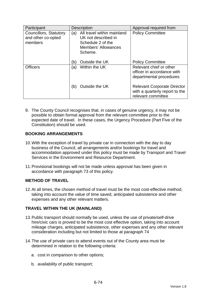| Participant                                             | <b>Description</b>                                                                                              | Approval required from                                                                     |
|---------------------------------------------------------|-----------------------------------------------------------------------------------------------------------------|--------------------------------------------------------------------------------------------|
| Councillors, Statutory<br>and other co-opted<br>members | All travel within mainland<br>(a)<br>UK not described in<br>Schedule 2 of the<br>Members' Allowances<br>Scheme. | <b>Policy Committee</b>                                                                    |
|                                                         | Outside the UK<br>(b)                                                                                           | <b>Policy Committee</b>                                                                    |
| <b>Officers</b>                                         | Within the UK<br>(a)                                                                                            | Relevant chief or other<br>officer in accordance with<br>departmental procedures           |
|                                                         | Outside the UK<br>(b)                                                                                           | <b>Relevant Corporate Director</b><br>with a quarterly report to the<br>relevant committee |

9. The County Council recognises that, in cases of genuine urgency, it may not be possible to obtain formal approval from the relevant committee prior to the expected date of travel. In these cases, the Urgency Procedure (Part Five of the Constitution) should be used.

# **BOOKING ARRANGEMENTS**

- 10. With the exception of travel by private car in connection with the day to day business of the Council, all arrangements and/or bookings for travel and accommodation approved under this policy must be made by Transport and Travel Services in the Environment and Resource Department.
- 11. Provisional bookings will not be made unless approval has been given in accordance with paragraph 73 of this policy.

# **METHOD OF TRAVEL**

12. At all times, the chosen method of travel must be the most cost-effective method, taking into account the value of time saved, anticipated subsistence and other expenses and any other relevant matters.

# **TRAVEL WITHIN THE UK (MAINLAND)**

- 13. Public transport should normally be used, unless the use of private/self-drive hire/civic cars is proved to be the most cost effective option, taking into account mileage charges, anticipated subsistence, other expenses and any other relevant consideration including but not limited to those at paragraph 74
- 14. The use of private cars to attend events out of the County area must be determined in relation to the following criteria:
	- a. cost in comparison to other options;
	- b. availability of public transport;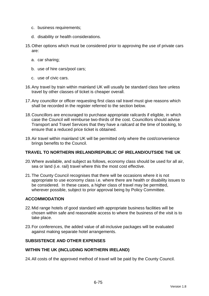- c. business requirements;
- d. disability or health considerations.
- 15. Other options which must be considered prior to approving the use of private cars are:
	- a. car sharing;
	- b. use of hire cars/pool cars;
	- c. use of civic cars.
- 16. Any travel by train within mainland UK will usually be standard class fare unless travel by other classes of ticket is cheaper overall.
- 17. Any councillor or officer requesting first class rail travel must give reasons which shall be recorded in the register referred to the section below.
- 18. Councillors are encouraged to purchase appropriate railcards if eligible, in which case the Council will reimburse two-thirds of the cost. Councillors should advise Transport and Travel Services that they have a railcard at the time of booking, to ensure that a reduced price ticket is obtained.
- 19. Air travel within mainland UK will be permitted only where the cost/convenience brings benefits to the Council.

#### **TRAVEL TO NORTHERN IRELAND/REPUBLIC OF IRELAND/OUTSIDE THE UK**

- 20. Where available, and subject as follows, economy class should be used for all air, sea or land (i.e. rail) travel where this the most cost effective.
- 21. The County Council recognises that there will be occasions where it is not appropriate to use economy class i.e. where there are health or disability issues to be considered. In these cases, a higher class of travel may be permitted, wherever possible, subject to prior approval being by Policy Committee.

### **ACCOMMODATION**

- 22. Mid range hotels of good standard with appropriate business facilities will be chosen within safe and reasonable access to where the business of the visit is to take place.
- 23. For conferences, the added value of all-inclusive packages will be evaluated against making separate hotel arrangements.

### **SUBSISTENCE AND OTHER EXPENSES**

#### **WITHIN THE UK (INCLUDING NORTHERN IRELAND)**

24. All costs of the approved method of travel will be paid by the County Council.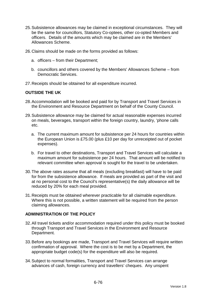- 25. Subsistence allowances may be claimed in exceptional circumstances. They will be the same for councillors, Statutory Co-optees, other co-opted Members and officers. Details of the amounts which may be claimed are in the Members' Allowances Scheme.
- 26. Claims should be made on the forms provided as follows:
	- a. officers from their Department;
	- b. councillors and others covered by the Members' Allowances Scheme from Democratic Services.
- 27. Receipts should be obtained for all expenditure incurred.

#### **OUTSIDE THE UK**

- 28. Accommodation will be booked and paid for by Transport and Travel Services in the Environment and Resource Department on behalf of the County Council.
- 29. Subsistence allowance may be claimed for actual reasonable expenses incurred on meals, beverages, transport within the foreign country, laundry, 'phone calls etc.
	- a. The current maximum amount for subsistence per 24 hours for countries within the European Union is £75.00 (plus £10 per day for unreceipted out of pocket expenses).
	- b. For travel to other destinations, Transport and Travel Services will calculate a maximum amount for subsistence per 24 hours. That amount will be notified to relevant committee when approval is sought for the travel to be undertaken.
- 30. The above rates assume that all meals (excluding breakfast) will have to be paid for from the subsistence allowance. If meals are provided as part of the visit and at no personal cost to the Council's representative(s) the daily allowance will be reduced by 20% for each meal provided.
- 31. Receipts must be obtained wherever practicable for all claimable expenditure. Where this is not possible, a written statement will be required from the person claiming allowances.

#### **ADMINISTRATION OF THE POLICY**

- 32. All travel tickets and/or accommodation required under this policy must be booked through Transport and Travel Services in the Environment and Resource Department.
- 33. Before any bookings are made, Transport and Travel Services will require written confirmation of approval. Where the cost is to be met by a Department, the appropriate budget code(s) for the expenditure will also be required.
- 34. Subject to normal formalities, Transport and Travel Services can arrange advances of cash, foreign currency and travellers' cheques. Any unspent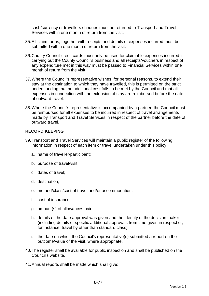cash/currency or travellers cheques must be returned to Transport and Travel Services within one month of return from the visit.

- 35. All claim forms, together with receipts and details of expenses incurred must be submitted within one month of return from the visit.
- 36. County Council credit cards must only be used for claimable expenses incurred in carrying out the County Council's business and all receipts/vouchers in respect of any expenditure met in this way must be passed to Financial Services within one month of return from the visit.
- 37. Where the Council's representative wishes, for personal reasons, to extend their stay at the destination to which they have travelled, this is permitted on the strict understanding that no additional cost falls to be met by the Council and that all expenses in connection with the extension of stay are reimbursed before the date of outward travel.
- 38. Where the Council's representative is accompanied by a partner, the Council must be reimbursed for all expenses to be incurred in respect of travel arrangements made by Transport and Travel Services in respect of the partner before the date of outward travel.

# **RECORD KEEPING**

- 39. Transport and Travel Services will maintain a public register of the following information in respect of each item or travel undertaken under this policy:
	- a. name of traveller/participant;
	- b. purpose of travel/visit;
	- c. dates of travel;
	- d. destination;
	- e. method/class/cost of travel and/or accommodation;
	- f. cost of insurance;
	- g. amount(s) of allowances paid;
	- h. details of the date approval was given and the identity of the decision maker (including details of specific additional approvals from time given in respect of, for instance, travel by other than standard class);
	- i. the date on which the Council's representative(s) submitted a report on the outcome/value of the visit, where appropriate.
- 40. The register shall be available for public inspection and shall be published on the Council's website.
- 41. Annual reports shall be made which shall give: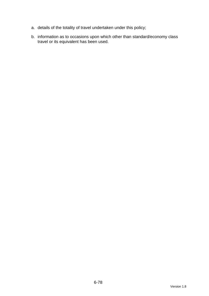- a. details of the totality of travel undertaken under this policy;
- b. information as to occasions upon which other than standard/economy class travel or its equivalent has been used.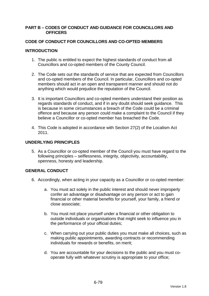#### **PART B – CODES OF CONDUCT AND GUIDANCE FOR COUNCILLORS AND OFFICERS**

### **CODE OF CONDUCT FOR COUNCILLORS AND CO-OPTED MEMBERS**

### **INTRODUCTION**

- 1. The public is entitled to expect the highest standards of conduct from all Councillors and co-opted members of the County Council.
- 2. The Code sets out the standards of service that are expected from Councillors and co-opted members of the Council. In particular, Councillors and co-opted members should act in an open and transparent manner and should not do anything which would prejudice the reputation of the Council.
- 3. It is important Councillors and co-opted members understand their position as regards standards of conduct, and if in any doubt should seek guidance. This is because in some circumstances a breach of the Code could be a criminal offence and because any person could make a complaint to the Council if they believe a Councillor or co-opted member has breached the Code.
- 4. This Code is adopted in accordance with Section 27(2) of the Localism Act 2011.

### **UNDERLYING PRINCIPLES**

5. As a Councillor or co-opted member of the Council you must have regard to the following principles – selflessness, integrity, objectivity, accountability, openness, honesty and leadership.

# **GENERAL CONDUCT**

- 6. Accordingly, when acting in your capacity as a Councillor or co-opted member:
	- a. You must act solely in the public interest and should never improperly confer an advantage or disadvantage on any person or act to gain financial or other material benefits for yourself, your family, a friend or close associate;
	- b. You must not place yourself under a financial or other obligation to outside individuals or organisations that might seek to influence you in the performance of your official duties;
	- c. When carrying out your public duties you must make all choices, such as making public appointments, awarding contracts or recommending individuals for rewards or benefits, on merit;
	- d. You are accountable for your decisions to the public and you must cooperate fully with whatever scrutiny is appropriate to your office;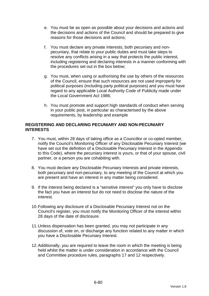- e. You must be as open as possible about your decisions and actions and the decisions and actions of the Council and should be prepared to give reasons for those decisions and actions;
- f. You must declare any private interests, both pecuniary and nonpecuniary, that relate to your public duties and must take steps to resolve any conflicts arising in a way that protects the public interest, including registering and declaring interests in a manner conforming with the procedures set out in the box below;
- g. You must, when using or authorising the use by others of the resources of the Council, ensure that such resources are not used improperly for political purposes (including party political purposes) and you must have regard to any applicable Local Authority Code of Publicity made under the Local Government Act 1986;
- h. You must promote and support high standards of conduct when serving in your public post, in particular as characterised by the above requirements, by leadership and example

### **REGISTERING AND DECLARING PECUNIARY AND NON-PECUNIARY INTERESTS**

- 7. You must, within 28 days of taking office as a Councillor or co-opted member, notify the Council's Monitoring Officer of any Disclosable Pecuniary Interest (we have set out the definition of a Disclosable Pecuniary Interest in the Appendix to this Code), where the pecuniary interest is yours, or that of your spouse, civil partner, or a person you are cohabiting with.
- 8. You must declare any Disclosable Pecuniary Interests and private interests, both pecuniary and non-pecuniary, to any meeting of the Council at which you are present and have an interest in any matter being considered.
- 9. If the interest being declared is a "sensitive interest" you only have to disclose the fact you have an interest but do not need to disclose the nature of the interest.
- 10. Following any disclosure of a Disclosable Pecuniary Interest not on the Council's register, you must notify the Monitoring Officer of the interest within 28 days of the date of disclosure.
- 11. Unless dispensation has been granted, you may not participate in any discussion of, vote on, or discharge any function related to any matter in which you have a Disclosable Pecuniary Interest.
- 12. Additionally, you are required to leave the room in which the meeting is being held whilst the matter is under consideration in accordance with the Council and Committee procedure rules, paragraphs 17 and 12 respectively.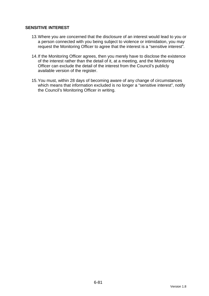### **SENSITIVE INTEREST**

- 13. Where you are concerned that the disclosure of an interest would lead to you or a person connected with you being subject to violence or intimidation, you may request the Monitoring Officer to agree that the interest is a "sensitive interest".
- 14. If the Monitoring Officer agrees, then you merely have to disclose the existence of the interest rather than the detail of it, at a meeting, and the Monitoring Officer can exclude the detail of the interest from the Council's publicly available version of the register.
- 15. You must, within 28 days of becoming aware of any change of circumstances which means that information excluded is no longer a "sensitive interest", notify the Council's Monitoring Officer in writing.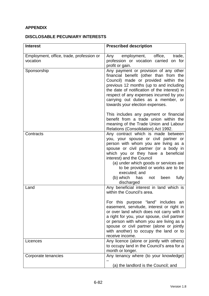# **APPENDIX**

# **DISCLOSABLE PECUNIARY INTERESTS**

| <b>Interest</b>                                      | <b>Prescribed description</b>                                                                                                                                                                                                                                                                                                                                                                               |
|------------------------------------------------------|-------------------------------------------------------------------------------------------------------------------------------------------------------------------------------------------------------------------------------------------------------------------------------------------------------------------------------------------------------------------------------------------------------------|
| Employment, office, trade, profession or<br>vocation | employment, office,<br>trade,<br>Any<br>profession or vocation carried on for<br>profit or gain.                                                                                                                                                                                                                                                                                                            |
| Sponsorship                                          | Any payment or provision of any other<br>financial benefit (other than from the<br>Council) made or provided within the<br>previous 12 months (up to and including<br>the date of notification of the interest) in<br>respect of any expenses incurred by you<br>carrying out duties as a member, or<br>towards your election expenses.                                                                     |
|                                                      | This includes any payment or financial<br>benefit from a trade union within the<br>meaning of the Trade Union and Labour<br>Relations (Consolidation) Act 1992.                                                                                                                                                                                                                                             |
| Contracts                                            | Any contract which is made between<br>you, your spouse or civil partner or<br>person with whom you are living as a<br>spouse or civil partner (or a body in<br>which you or they have a beneficial<br>interest) and the Council<br>(a) under which goods or services are<br>to be provided or works are to be<br>executed; and<br>(b) which<br>has<br>fully<br>not<br>been<br>discharged                    |
| Land                                                 | Any beneficial interest in land which is<br>within the Council's area.<br>For this purpose "land" includes an<br>easement, servitude, interest or right in<br>or over land which does not carry with it<br>a right for you, your spouse, civil partner<br>or person with whom you are living as a<br>spouse or civil partner (alone or jointly<br>with another) to occupy the land or to<br>receive income. |
| Licences                                             | Any licence (alone or jointly with others)<br>to occupy land in the Council's area for a<br>month or longer.                                                                                                                                                                                                                                                                                                |
| Corporate tenancies                                  | Any tenancy where (to your knowledge)<br>(a) the landlord is the Council; and                                                                                                                                                                                                                                                                                                                               |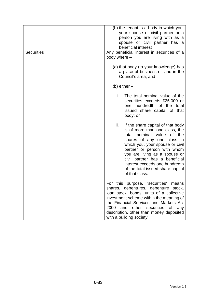| <b>Securities</b> | (b) the tenant is a body in which you,<br>your spouse or civil partner or a<br>person you are living with as a<br>spouse or civil partner has a<br>beneficial interest<br>Any beneficial interest in securities of a<br>body where -                                                                                                                                       |  |
|-------------------|----------------------------------------------------------------------------------------------------------------------------------------------------------------------------------------------------------------------------------------------------------------------------------------------------------------------------------------------------------------------------|--|
|                   | (a) that body (to your knowledge) has<br>a place of business or land in the<br>Council's area; and                                                                                                                                                                                                                                                                         |  |
|                   | (b) either $-$                                                                                                                                                                                                                                                                                                                                                             |  |
|                   | i.<br>The total nominal value of the<br>securities exceeds £25,000 or<br>one hundredth of the total<br>issued share capital of that<br>body; or                                                                                                                                                                                                                            |  |
|                   | ii.<br>If the share capital of that body<br>is of more than one class, the<br>nominal value<br>of the<br>total<br>shares of any one class in<br>which you, your spouse or civil<br>partner or person with whom<br>you are living as a spouse or<br>civil partner has a beneficial<br>interest exceeds one hundredth<br>of the total issued share capital<br>of that class. |  |
|                   | For this purpose, "securities"<br>means<br>shares, debentures, debenture stock,<br>loan stock, bonds, units of a collective<br>investment scheme within the meaning of<br>the Financial Services and Markets Act<br>2000<br>and other securities of<br>any<br>description, other than money deposited<br>with a building society.                                          |  |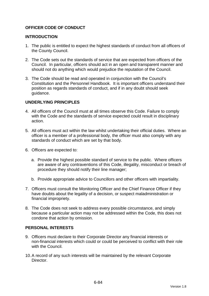# **OFFICER CODE OF CONDUCT**

#### **INTRODUCTION**

- 1. The public is entitled to expect the highest standards of conduct from all officers of the County Council.
- 2. The Code sets out the standards of service that are expected from officers of the Council. In particular, officers should act in an open and transparent manner and should not do anything which would prejudice the reputation of the Council.
- 3. The Code should be read and operated in conjunction with the Council's Constitution and the Personnel Handbook. It is important officers understand their position as regards standards of conduct, and if in any doubt should seek guidance.

### **UNDERLYING PRINCIPLES**

- 4. All officers of the Council must at all times observe this Code. Failure to comply with the Code and the standards of service expected could result in disciplinary action.
- 5. All officers must act within the law whilst undertaking their official duties. Where an officer is a member of a professional body, the officer must also comply with any standards of conduct which are set by that body.
- 6. Officers are expected to:
	- a. Provide the highest possible standard of service to the public. Where officers are aware of any contraventions of this Code, illegality, misconduct or breach of procedure they should notify their line manager;
	- b. Provide appropriate advice to Councillors and other officers with impartiality.
- 7. Officers must consult the Monitoring Officer and the Chief Finance Officer if they have doubts about the legality of a decision, or suspect maladministration or financial impropriety.
- 8. The Code does not seek to address every possible circumstance, and simply because a particular action may not be addressed within the Code, this does not condone that action by omission.

#### **PERSONAL INTERESTS**

- 9. Officers must declare to their Corporate Director any financial interests or non-financial interests which could or could be perceived to conflict with their role with the Council.
- 10. A record of any such interests will be maintained by the relevant Corporate **Director**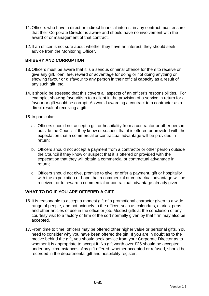- 11. Officers who have a direct or indirect financial interest in any contract must ensure that their Corporate Director is aware and should have no involvement with the award of or management of that contract.
- 12. If an officer is not sure about whether they have an interest, they should seek advice from the Monitoring Officer.

### **BRIBERY AND CORRUPTION**

- 13. Officers must be aware that it is a serious criminal offence for them to receive or give any gift, loan, fee, reward or advantage for doing or not doing anything or showing favour or disfavour to any person in their official capacity as a result of any such gift, etc.
- 14. It should be stressed that this covers all aspects of an officer's responsibilities. For example, showing favouritism to a client in the provision of a service in return for a favour or gift would be corrupt. As would awarding a contract to a contractor as a direct result of receiving a gift.
- 15. In particular:
	- a. Officers should not accept a gift or hospitality from a contractor or other person outside the Council if they know or suspect that it is offered or provided with the expectation that a commercial or contractual advantage will be provided in return;
	- b. Officers should not accept a payment from a contractor or other person outside the Council if they know or suspect that it is offered or provided with the expectation that they will obtain a commercial or contractual advantage in return;
	- c. Officers should not give, promise to give, or offer a payment, gift or hospitality with the expectation or hope that a commercial or contractual advantage will be received, or to reward a commercial or contractual advantage already given.

# **WHAT TO DO IF YOU ARE OFFERED A GIFT**

- 16. It is reasonable to accept a modest gift of a promotional character given to a wide range of people, and not uniquely to the officer, such as calendars, diaries, pens and other articles of use in the office or job. Modest gifts at the conclusion of any courtesy visit to a factory or firm of the sort normally given by that firm may also be accepted.
- 17. From time to time, officers may be offered other higher value or personal gifts. You need to consider why you have been offered the gift. If you are in doubt as to the motive behind the gift, you should seek advice from your Corporate Director as to whether it is appropriate to accept it. No gift worth over £25 should be accepted under any circumstances. Any gift offered, whether accepted or refused, should be recorded in the departmental gift and hospitality register.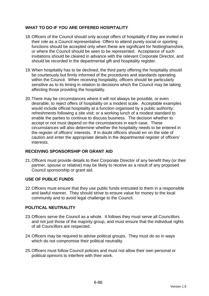# **WHAT TO DO IF YOU ARE OFFERED HOSPITALITY**

- 18. Officers of the Council should only accept offers of hospitality if they are invited in their role as a Council representative. Offers to attend purely social or sporting functions should be accepted only when these are significant for Nottinghamshire, or where the Council should be seen to be represented. Acceptance of such invitations should be cleared in advance with the relevant Corporate Director, and should be recorded in the departmental gift and hospitality register.
- 19. When hospitality has to be declined, the third party offering the hospitality should be courteously but firmly informed of the procedures and standards operating within the Council. When receiving hospitality, officers should be particularly sensitive as to its timing in relation to decisions which the Council may be taking affecting those providing the hospitality.
- 20. There may be circumstances where it will not always be possible, or even desirable, to reject offers of hospitality on a modest scale. Acceptable examples would include official hospitality at a function organised by a public authority; refreshments following a site visit; or a working lunch of a modest standard to enable the parties to continue to discuss business. The decision whether to accept or not must depend on the circumstances in each case. These circumstances will also determine whether the hospitality needs to be entered in the register of officers' interests. If in doubt officers should err on the side of caution and enter the appropriate details in the departmental register of officers' interests.

# **RECEIVING SPONSORSHIP OR GRANT AID**

21. Officers must provide details to their Corporate Director of any benefit they (or their partner, spouse or relative) may be likely to receive as a result of any proposed Council sponsorship or grant aid.

# **USE OF PUBLIC FUNDS**

22. Officers must ensure that they use public funds entrusted to them in a responsible and lawful manner. They should strive to ensure value for money to the local community and to avoid legal challenge to the Council.

# **POLITICAL NEUTRALITY**

- 23. Officers serve the Council as a whole. It follows they must serve all Councillors and not just those of the majority group, and must ensure that the individual rights of all Councillors are respected.
- 24. Officers may be required to advise political groups. They must do so in ways which do not compromise their political neutrality.
- 25. Officers must follow Council policies and must not allow their own personal or political opinions to interfere with their work.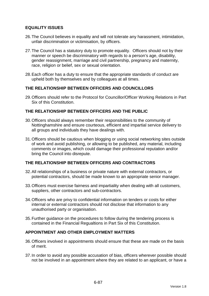### **EQUALITY ISSUES**

- 26. The Council believes in equality and will not tolerate any harassment, intimidation, unfair discrimination or victimisation, by officers.
- 27. The Council has a statutory duty to promote equality. Officers should not by their manner or speech be discriminatory with regards to a person's age, disability, gender reassignment, marriage and civil partnership, pregnancy and maternity, race, religion or belief, sex or sexual orientation.
- 28. Each officer has a duty to ensure that the appropriate standards of conduct are upheld both by themselves and by colleagues at all times.

### **THE RELATIONSHIP BETWEEN OFFICERS AND COUNCILLORS**

29. Officers should refer to the Protocol for Councillor/Officer Working Relations in Part Six of this Constitution.

### **THE RELATIONSHIP BETWEEN OFFICERS AND THE PUBLIC**

- 30. Officers should always remember their responsibilities to the community of Nottinghamshire and ensure courteous, efficient and impartial service delivery to all groups and individuals they have dealings with.
- 31. Officers should be cautious when blogging or using social networking sites outside of work and avoid publishing, or allowing to be published, any material, including comments or images, which could damage their professional reputation and/or bring the Council into disrepute.

### **THE RELATIONSHIP BETWEEN OFFICERS AND CONTRACTORS**

- 32. All relationships of a business or private nature with external contractors, or potential contractors, should be made known to an appropriate senior manager.
- 33. Officers must exercise fairness and impartiality when dealing with all customers, suppliers, other contractors and sub-contractors.
- 34. Officers who are privy to confidential information on tenders or costs for either internal or external contractors should not disclose that information to any unauthorised party or organisation.
- 35. Further guidance on the procedures to follow during the tendering process is contained in the Financial Regualtions in Part Six of this Constitution.

#### **APPOINTMENT AND OTHER EMPLOYMENT MATTERS**

- 36. Officers involved in appointments should ensure that these are made on the basis of merit.
- 37. In order to avoid any possible accusation of bias, officers wherever possible should not be involved in an appointment where they are related to an applicant, or have a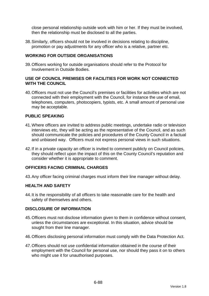close personal relationship outside work with him or her. If they must be involved, then the relationship must be disclosed to all the parties.

38. Similarly, officers should not be involved in decisions relating to discipline, promotion or pay adjustments for any officer who is a relative, partner etc.

### **WORKING FOR OUTSIDE ORGANISATIONS**

39. Officers working for outside organisations should refer to the Protocol for Involvement in Outside Bodies.

### **USE OF COUNCIL PREMISES OR FACILITIES FOR WORK NOT CONNECTED WITH THE COUNCIL**

40. Officers must not use the Council's premises or facilities for activities which are not connected with their employment with the Council, for instance the use of email, telephones, computers, photocopiers, typists, etc. A small amount of personal use may be acceptable.

### **PUBLIC SPEAKING**

- 41. Where officers are invited to address public meetings, undertake radio or television interviews etc, they will be acting as the representative of the Council, and as such should communicate the policies and procedures of the County Council in a factual and unbiased way. Officers must not express personal views in such situations.
- 42. If in a private capacity an officer is invited to comment publicly on Council policies, they should reflect upon the impact of this on the County Council's reputation and consider whether it is appropriate to comment.

### **OFFICERS FACING CRIMINAL CHARGES**

43. Any officer facing criminal charges must inform their line manager without delay.

#### **HEALTH AND SAFETY**

44. It is the responsibility of all officers to take reasonable care for the health and safety of themselves and others.

#### **DISCLOSURE OF INFORMATION**

- 45. Officers must not disclose information given to them in confidence without consent, unless the circumstances are exceptional. In this situation, advice should be sought from their line manager.
- 46. Officers disclosing personal information must comply with the Data Protection Act.
- 47. Officers should not use confidential information obtained in the course of their employment with the Council for personal use, nor should they pass it on to others who might use it for unauthorised purposes.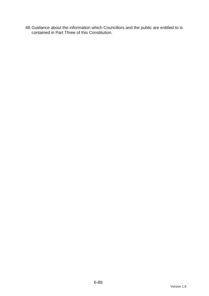48. Guidance about the information which Councillors and the public are entitled to is contained in Part Three of this Constitution.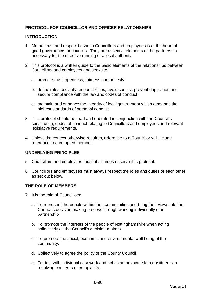# **PROTOCOL FOR COUNCILLOR AND OFFICER RELATIONSHIPS**

### **INTRODUCTION**

- 1. Mutual trust and respect between Councillors and employees is at the heart of good governance for councils. They are essential elements of the partnership necessary for the effective running of a local authority.
- 2. This protocol is a written guide to the basic elements of the relationships between Councillors and employees and seeks to:
	- a. promote trust, openness, fairness and honesty;
	- b. define roles to clarify responsibilities, avoid conflict, prevent duplication and secure compliance with the law and codes of conduct;
	- c. maintain and enhance the integrity of local government which demands the highest standards of personal conduct.
- 3. This protocol should be read and operated in conjunction with the Council's constitution, codes of conduct relating to Councillors and employees and relevant legislative requirements.
- 4. Unless the context otherwise requires, reference to a Councillor will include reference to a co-opted member.

# **UNDERLYING PRINCIPLES**

- 5. Councillors and employees must at all times observe this protocol.
- 6. Councillors and employees must always respect the roles and duties of each other as set out below.

#### **THE ROLE OF MEMBERS**

- 7. It is the role of Councillors:
	- a. To represent the people within their communities and bring their views into the Council's decision making process through working individually or in partnership
	- b. To promote the interests of the people of Nottinghamshire when acting collectively as the Council's decision-makers
	- c. To promote the social, economic and environmental well being of the community.
	- d. Collectively to agree the policy of the County Council
	- e. To deal with individual casework and act as an advocate for constituents in resolving concerns or complaints.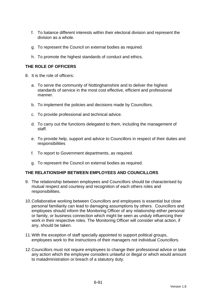- f. To balance different interests within their electoral division and represent the division as a whole.
- g. To represent the Council on external bodies as required.
- h. To promote the highest standards of conduct and ethics.

# **THE ROLE OF OFFICERS**

- 8. It is the role of officers:
	- a. To serve the community of Nottinghamshire and to deliver the highest standards of service in the most cost effective, efficient and professional manner.
	- b. To implement the policies and decisions made by Councillors.
	- c. To provide professional and technical advice.
	- d. To carry out the functions delegated to them, including the management of staff.
	- e. To provide help, support and advice to Councillors in respect of their duties and responsibilities
	- f. To report to Government departments, as required.
	- g. To represent the Council on external bodies as required.

#### **THE RELATIONSHIP BETWEEN EMPLOYEES AND COUNCILLORS**

- 9. The relationship between employees and Councillors should be characterised by mutual respect and courtesy and recognition of each others roles and responsibilities.
- 10. Collaborative working between Councillors and employees is essential but close personal familiarity can lead to damaging assumptions by others. Councillors and employees should inform the Monitoring Officer of any relationship either personal or family, or business connection which might be seen as unduly influencing their work in their respective roles. The Monitoring Officer will consider what action, if any, should be taken.
- 11. With the exception of staff specially appointed to support political groups, employees work to the instructions of their managers not individual Councillors.
- 12. Councillors must not require employees to change their professional advice or take any action which the employee considers unlawful or illegal or which would amount to maladministration or breach of a statutory duty.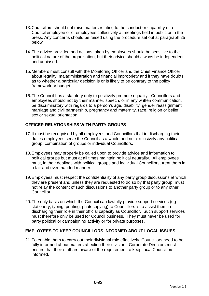- 13. Councillors should not raise matters relating to the conduct or capability of a Council employee or of employees collectively at meetings held in public or in the press. Any concerns should be raised using the procedure set out at paragraph 25 below.
- 14. The advice provided and actions taken by employees should be sensitive to the political nature of the organisation, but their advice should always be independent and unbiased.
- 15. Members must consult with the Monitoring Officer and the Chief Finance Officer about legality, maladministration and financial impropriety and if they have doubts as to whether a particular decision is or is likely to be contrary to the policy framework or budget.
- 16. The Council has a statutory duty to positively promote equality. Councillors and employees should not by their manner, speech, or in any written communication, be discriminatory with regards to a person's age, disability, gender reassignment, marriage and civil partnership, pregnancy and maternity, race, religion or belief, sex or sexual orientation.

# **OFFICER RELATIONSHIPS WITH PARTY GROUPS**

- 17. It must be recognised by all employees and Councillors that in discharging their duties employees serve the Council as a whole and not exclusively any political group, combination of groups or individual Councillors.
- 18. Employees may properly be called upon to provide advice and information to political groups but must at all times maintain political neutrality. All employees must, in their dealings with political groups and individual Councillors, treat them in a fair and even handed manner.
- 19. Employees must respect the confidentiality of any party group discussions at which they are present and unless they are requested to do so by that party group, must not relay the content of such discussions to another party group or to any other Councillor.
- 20. The only basis on which the Council can lawfully provide support services (eg stationery, typing, printing, photocopying) to Councillors is to assist them in discharging their role in their official capacity as Councillor. Such support services must therefore only be used for Council business. They must never be used for party political or campaigning activity or for private purposes.

# **EMPLOYEES TO KEEP COUNCILLORS INFORMED ABOUT LOCAL ISSUES**

21. To enable them to carry out their divisional role effectively, Councillors need to be fully informed about matters affecting their division. Corporate Directors must ensure that their staff are aware of the requirement to keep local Councillors informed.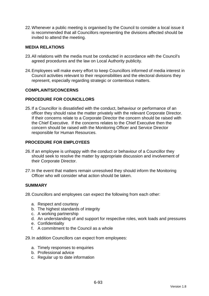22. Whenever a public meeting is organised by the Council to consider a local issue it is recommended that all Councillors representing the divisions affected should be invited to attend the meeting.

### **MEDIA RELATIONS**

- 23. All relations with the media must be conducted in accordance with the Council's agreed procedures and the law on Local Authority publicity.
- 24. Employees will make every effort to keep Councillors informed of media interest in Council activities relevant to their responsibilities and the electoral divisions they represent, especially regarding strategic or contentious matters.

#### **COMPLAINTS/CONCERNS**

### **PROCEDURE FOR COUNCILLORS**

25. If a Councillor is dissatisfied with the conduct, behaviour or performance of an officer they should raise the matter privately with the relevant Corporate Director. If their concerns relate to a Corporate Director the concern should be raised with the Chief Executive. If the concerns relates to the Chief Executive then the concern should be raised with the Monitoring Officer and Service Director responsible for Human Resources.

### **PROCEDURE FOR EMPLOYEES**

- 26. If an employee is unhappy with the conduct or behaviour of a Councillor they should seek to resolve the matter by appropriate discussion and involvement of their Corporate Director.
- 27. In the event that matters remain unresolved they should inform the Monitoring Officer who will consider what action should be taken.

#### **SUMMARY**

28. Councillors and employees can expect the following from each other:

- a. Respect and courtesy
- b. The highest standards of integrity
- c. A working partnership
- d. An understanding of and support for respective roles, work loads and pressures
- e. Confidentiality
- f. A commitment to the Council as a whole

29. In addition Councillors can expect from employees:

- a. Timely responses to enquiries
- b. Professional advice
- c. Regular up to date information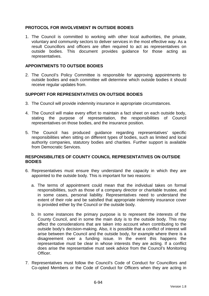### **PROTOCOL FOR INVOLVEMENT IN OUTSIDE BODIES**

1. The Council is committed to working with other local authorities, the private, voluntary and community sectors to deliver services in the most effective way. As a result Councillors and officers are often required to act as representatives on outside bodies. This document provides guidance for those acting as representatives.

### **APPOINTMENTS TO OUTSIDE BODIES**

2. The Council's Policy Committee is responsible for approving appointments to outside bodies and each committee will determine which outside bodies it should receive regular updates from.

### **SUPPORT FOR REPRESENTATIVES ON OUTSIDE BODIES**

- 3. The Council will provide indemnity insurance in appropriate circumstances.
- 4. The Council will make every effort to maintain a fact sheet on each outside body, stating the purpose of representation, the responsibilities of Council representatives on those bodies, and the insurance position.
- 5. The Council has produced guidance regarding representatives' specific responsibilities when sitting on different types of bodies, such as limited and local authority companies, statutory bodies and charities. Further support is available from Democratic Services.

### **RESPONSIBILITIES OF COUNTY COUNCIL REPRESENTATIVES ON OUTSIDE BODIES**

- 6. Representatives must ensure they understand the capacity in which they are appointed to the outside body. This is important for two reasons:
	- a. The terms of appointment could mean that the individual takes on formal responsibilities, such as those of a company director or charitable trustee, and in some cases, personal liability. Representatives need to understand the extent of their role and be satisfied that appropriate indemnity insurance cover is provided either by the Council or the outside body.
	- b. In some instances the primary purpose is to represent the interests of the County Council, and in some the main duty is to the outside body. This may affect the considerations that are taken into account when contributing to the outside body's decision-making. Also, it is possible that a conflict of interest will arise between the Council and the outside body, for example where there is a disagreement over a funding issue. In the event this happens the representative must be clear in whose interests they are acting. If a conflict does arise the representative must seek advice from the Council's Monitoring Officer.
- 7. Representatives must follow the Council's Code of Conduct for Councillors and Co-opted Members or the Code of Conduct for Officers when they are acting in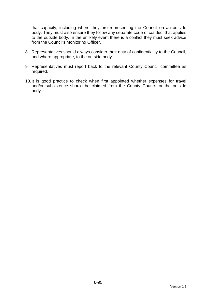that capacity, including where they are representing the Council on an outside body. They must also ensure they follow any separate code of conduct that applies to the outside body. In the unlikely event there is a conflict they must seek advice from the Council's Monitoring Officer.

- 8. Representatives should always consider their duty of confidentiality to the Council, and where appropriate, to the outside body.
- 9. Representatives must report back to the relevant County Council committee as required.
- 10. It is good practice to check when first appointed whether expenses for travel and/or subsistence should be claimed from the County Council or the outside body.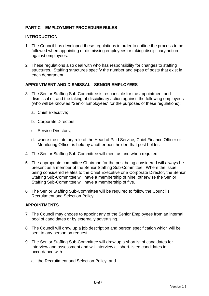# **PART C – EMPLOYMENT PROCEDURE RULES**

#### **INTRODUCTION**

- 1. The Council has developed these regulations in order to outline the process to be followed when appointing or dismissing employees or taking disciplinary action against employees.
- 2. These regulations also deal with who has responsibility for changes to staffing structures. Staffing structures specify the number and types of posts that exist in each department.

### **APPOINTMENT AND DISMISSAL - SENIOR EMPLOYEES**

- 3. The Senior Staffing Sub-Committee is responsible for the appointment and dismissal of, and the taking of disciplinary action against, the following employees (who will be know as "Senior Employees" for the purposes of these regulations):
	- a. Chief Executive;
	- b. Corporate Directors;
	- c. Service Directors;
	- d. where the statutory role of the Head of Paid Service, Chief Finance Officer or Monitoring Officer is held by another post holder, that post holder.
- 4. The Senior Staffing Sub-Committee will meet as and when required.
- 5. The appropriate committee Chairman for the post being considered will always be present as a member of the Senior Staffing Sub-Committee. Where the issue being considered relates to the Chief Executive or a Corporate Director, the Senior Staffing Sub-Committee will have a membership of nine; otherwise the Senior Staffing Sub-Committee will have a membership of five.
- 6. The Senior Staffing Sub-Committee will be required to follow the Council's Recruitment and Selection Policy.

# **APPOINTMENTS**

- 7. The Council may choose to appoint any of the Senior Employees from an internal pool of candidates or by externally advertising.
- 8. The Council will draw up a job description and person specification which will be sent to any person on request.
- 9. The Senior Staffing Sub-Committee will draw up a shortlist of candidates for interview and assessment and will interview all short-listed candidates in accordance with:
	- a. the Recruitment and Selection Policy; and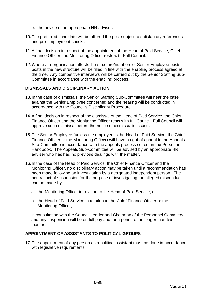- b. the advice of an appropriate HR advisor.
- 10. The preferred candidate will be offered the post subject to satisfactory references and pre-employment checks.
- 11. A final decision in respect of the appointment of the Head of Paid Service, Chief Finance Officer and Monitoring Officer rests with Full Council.
- 12. Where a reorganisation affects the structure/numbers of Senior Employee posts, posts in the new structure will be filled in line with the enabling process agreed at the time. Any competitive interviews will be carried out by the Senior Staffing Sub-Committee in accordance with the enabling process.

#### **DISMISSALS AND DISCIPLINARY ACTION**

- 13. In the case of dismissals, the Senior Staffing Sub-Committee will hear the case against the Senior Employee concerned and the hearing will be conducted in accordance with the Council's Disciplinary Procedure.
- 14. A final decision in respect of the dismissal of the Head of Paid Service, the Chief Finance Officer and the Monitoring Officer rests with full Council. Full Council will approve such dismissal before the notice of dismissal is issued.
- 15. The Senior Employee (unless the employee is the Head of Paid Service, the Chief Finance Officer or the Monitoring Officer) will have a right of appeal to the Appeals Sub-Committee in accordance with the appeals process set out in the Personnel Handbook. The Appeals Sub-Committee will be advised by an appropriate HR adviser who has had no previous dealings with the matter.
- 16. In the case of the Head of Paid Service, the Chief Finance Officer and the Monitoring Officer, no disciplinary action may be taken until a recommendation has been made following an investigation by a designated independent person. The neutral act of suspension for the purpose of investigating the alleged misconduct can be made by:
	- a. the Monitoring Officer in relation to the Head of Paid Service; or
	- b. the Head of Paid Service in relation to the Chief Finance Officer or the Monitoring Officer,

in consultation with the Council Leader and Chairman of the Personnel Committee and any suspension will be on full pay and for a period of no longer than two months.

### **APPOINTMENT OF ASSISTANTS TO POLITICAL GROUPS**

17. The appointment of any person as a political assistant must be done in accordance with legislative requirements.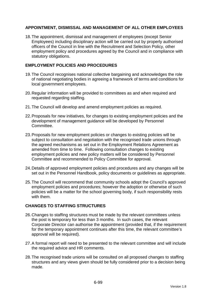# **APPOINTMENT, DISMISSAL AND MANAGEMENT OF ALL OTHER EMPLOYEES**

18. The appointment, dismissal and management of employees (except Senior Employees) including disciplinary action will be carried out by properly authorised officers of the Council in line with the Recruitment and Selection Policy, other employment policy and procedures agreed by the Council and in compliance with statutory obligations.

### **EMPLOYMENT POLICIES AND PROCEDURES**

- 19. The Council recognises national collective bargaining and acknowledges the role of national negotiating bodies in agreeing a framework of terms and conditions for local government employees.
- 20. Regular information will be provided to committees as and when required and requested regarding staffing.
- 21. The Council will develop and amend employment policies as required.
- 22. Proposals for new initiatives, for changes to existing employment policies and the development of management guidance will be developed by Personnel Committee.
- 23. Proposals for new employment policies or changes to existing policies will be subject to consultation and negotiation with the recognised trade unions through the agreed mechanisms as set out in the Employment Relations Agreement as amended from time to time. Following consultation changes to existing employment policies and new policy matters will be considered by Personnel Committee and recommended to Policy Committee for approval.
- 24. Details of approved employment policies and procedures and any changes will be set out in the Personnel Handbook, policy documents or guidelines as appropriate.
- 25. The Council will recommend that community schools adopt the Council's approved employment policies and procedures; however the adoption or otherwise of such policies will be a matter for the school governing body, if such responsibility rests with them.

# **CHANGES TO STAFFING STRUCTURES**

- 26. Changes to staffing structures must be made by the relevant committees unless the post is temporary for less than 3 months. In such cases, the relevant Corporate Director can authorise the appointment (provided that, if the requirement for the temporary appointment continues after this time, the relevant committee's approval will be required).
- 27. A formal report will need to be presented to the relevant committee and will include the required advice and HR comments.
- 28. The recognised trade unions will be consulted on all proposed changes to staffing structures and any views given should be fully considered prior to a decision being made.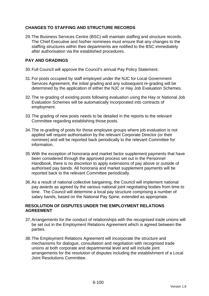# **CHANGES TO STAFFING AND STRUCTURE RECORDS**

29. The Business Services Centre (BSC) will maintain staffing and structure records. The Chief Executive and his/her nominees must ensure that any changes to the staffing structures within their departments are notified to the BSC immediately after authorisation via the established procedures.

# **PAY AND GRADINGS**

- 30. Full Council will approve the Council's annual Pay Policy Statement.
- 31. For posts occupied by staff employed under the NJC for Local Government Services Agreement, the initial grading and any subsequent re-grading will be determined by the application of either the NJC or Hay Job Evaluation Schemes.
- 32. The re-grading of existing posts following evaluation using the Hay or National Job Evaluation Schemes will be automatically incorporated into contracts of employment.
- 33. The grading of new posts needs to be detailed in the reports to the relevant Committee regarding establishing those posts.
- 34. The re-grading of posts for those employee groups where job evaluation is not applied will require authorisation by the relevant Corporate Director (or their nominee) and will be reported back periodically to the relevant Committee for information.
- 35. With the exception of honoraria and market factor supplement payments that have been considered through the approved process set out in the Personnel Handbook, there is no discretion to apply extensions of pay above or outside of authorised pay bands. All honoraria and market supplement payments will be reported back to the relevant Committee periodically.
- 36. As a result of national collective bargaining, the Council will implement national pay awards as agreed by the various national joint negotiating bodies from time to time. The Council will determine a local pay structure comprising a number of salary bands, based on the National Pay Spine, extended as appropriate.

# **RESOLUTION OF DISPUTES UNDER THE EMPLOYMENT RELATIONS AGREEMENT**

- 37. Arrangements for the conduct of relationships with the recognised trade unions will be set out in the Employment Relations Agreement which is agreed between the parties.
- 38. The Employment Relations Agreement will incorporate the structure and mechanisms for dialogue, consultation and negotiation with recognised trade unions at both corporate and departmental level and will include joint arrangements for the resolution of disputes including the establishment of a Local Joint Resolutions Committee.